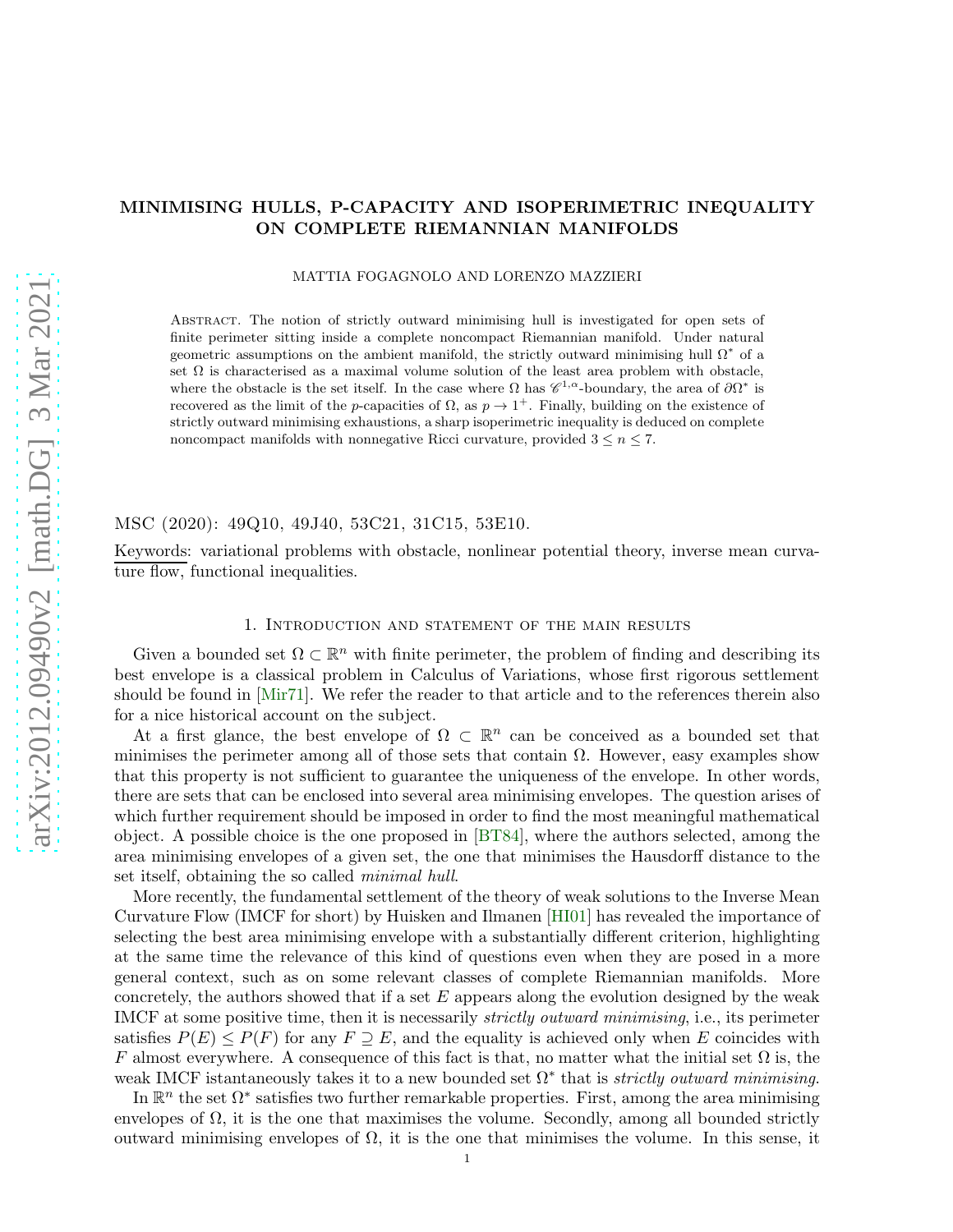# MINIMISING HULLS, P-CAPACITY AND ISOPERIMETRIC INEQUALITY ON COMPLETE RIEMANNIAN MANIFOLDS

MATTIA FOGAGNOLO AND LORENZO MAZZIERI

Abstract. The notion of strictly outward minimising hull is investigated for open sets of finite perimeter sitting inside a complete noncompact Riemannian manifold. Under natural geometric assumptions on the ambient manifold, the strictly outward minimising hull  $\Omega^*$  of a set  $\Omega$  is characterised as a maximal volume solution of the least area problem with obstacle, where the obstacle is the set itself. In the case where  $\Omega$  has  $\mathscr{C}^{1,\alpha}$ -boundary, the area of  $\partial\Omega^*$  is recovered as the limit of the p-capacities of  $\Omega$ , as  $p \to 1^+$ . Finally, building on the existence of strictly outward minimising exhaustions, a sharp isoperimetric inequality is deduced on complete noncompact manifolds with nonnegative Ricci curvature, provided  $3 \leq n \leq 7$ .

MSC (2020): 49Q10, 49J40, 53C21, 31C15, 53E10.

Keywords: variational problems with obstacle, nonlinear potential theory, inverse mean curvature flow, functional inequalities.

# 1. Introduction and statement of the main results

Given a bounded set  $\Omega \subset \mathbb{R}^n$  with finite perimeter, the problem of finding and describing its best envelope is a classical problem in Calculus of Variations, whose first rigorous settlement should be found in [\[Mir71\]](#page-36-0). We refer the reader to that article and to the references therein also for a nice historical account on the subject.

At a first glance, the best envelope of  $\Omega \subset \mathbb{R}^n$  can be conceived as a bounded set that minimises the perimeter among all of those sets that contain  $\Omega$ . However, easy examples show that this property is not sufficient to guarantee the uniqueness of the envelope. In other words, there are sets that can be enclosed into several area minimising envelopes. The question arises of which further requirement should be imposed in order to find the most meaningful mathematical object. A possible choice is the one proposed in [\[BT84\]](#page-34-0), where the authors selected, among the area minimising envelopes of a given set, the one that minimises the Hausdorff distance to the set itself, obtaining the so called minimal hull.

More recently, the fundamental settlement of the theory of weak solutions to the Inverse Mean Curvature Flow (IMCF for short) by Huisken and Ilmanen [\[HI01\]](#page-35-0) has revealed the importance of selecting the best area minimising envelope with a substantially different criterion, highlighting at the same time the relevance of this kind of questions even when they are posed in a more general context, such as on some relevant classes of complete Riemannian manifolds. More concretely, the authors showed that if a set  $E$  appears along the evolution designed by the weak IMCF at some positive time, then it is necessarily strictly outward minimising, i.e., its perimeter satisfies  $P(E) \leq P(F)$  for any  $F \supseteq E$ , and the equality is achieved only when E coincides with F almost everywhere. A consequence of this fact is that, no matter what the initial set  $\Omega$  is, the weak IMCF istantaneously takes it to a new bounded set  $\Omega^*$  that is *strictly outward minimising*.

In  $\mathbb{R}^n$  the set  $\Omega^*$  satisfies two further remarkable properties. First, among the area minimising envelopes of  $\Omega$ , it is the one that maximises the volume. Secondly, among all bounded strictly outward minimising envelopes of  $\Omega$ , it is the one that minimises the volume. In this sense, it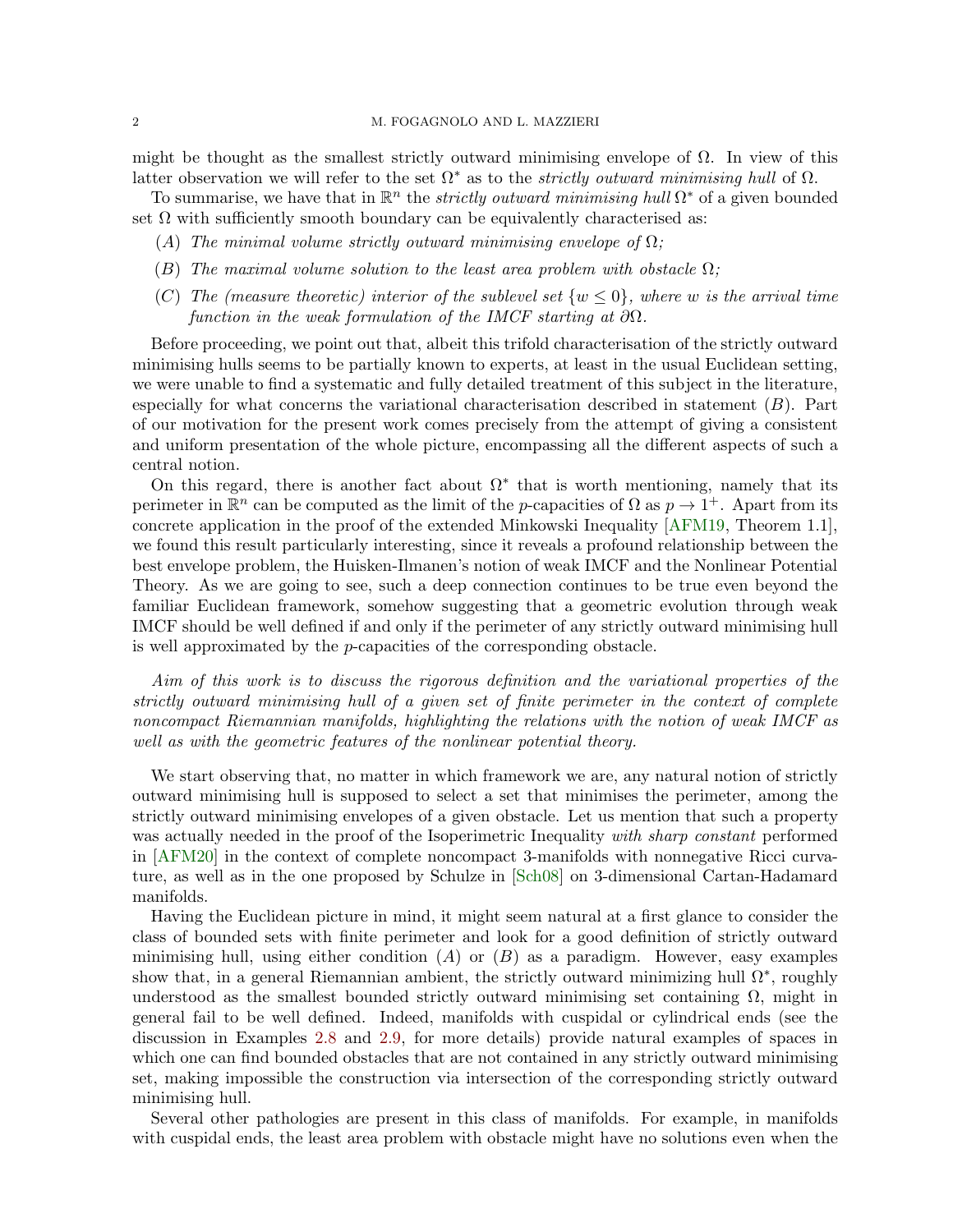## 2 M. FOGAGNOLO AND L. MAZZIERI

might be thought as the smallest strictly outward minimising envelope of  $\Omega$ . In view of this latter observation we will refer to the set  $\Omega^*$  as to the *strictly outward minimising hull* of  $\Omega$ .

To summarise, we have that in  $\mathbb{R}^n$  the *strictly outward minimising hull*  $\Omega^*$  of a given bounded set  $\Omega$  with sufficiently smooth boundary can be equivalently characterised as:

- (A) The minimal volume strictly outward minimising envelope of  $\Omega$ ;
- (B) The maximal volume solution to the least area problem with obstacle  $\Omega$ ;
- (C) The (measure theoretic) interior of the sublevel set  $\{w \leq 0\}$ , where w is the arrival time function in the weak formulation of the IMCF starting at  $\partial\Omega$ .

Before proceeding, we point out that, albeit this trifold characterisation of the strictly outward minimising hulls seems to be partially known to experts, at least in the usual Euclidean setting, we were unable to find a systematic and fully detailed treatment of this subject in the literature, especially for what concerns the variational characterisation described in statement  $(B)$ . Part of our motivation for the present work comes precisely from the attempt of giving a consistent and uniform presentation of the whole picture, encompassing all the different aspects of such a central notion.

On this regard, there is another fact about  $\Omega^*$  that is worth mentioning, namely that its perimeter in  $\mathbb{R}^n$  can be computed as the limit of the p-capacities of  $\Omega$  as  $p \to 1^+$ . Apart from its concrete application in the proof of the extended Minkowski Inequality [\[AFM19,](#page-34-1) Theorem 1.1], we found this result particularly interesting, since it reveals a profound relationship between the best envelope problem, the Huisken-Ilmanen's notion of weak IMCF and the Nonlinear Potential Theory. As we are going to see, such a deep connection continues to be true even beyond the familiar Euclidean framework, somehow suggesting that a geometric evolution through weak IMCF should be well defined if and only if the perimeter of any strictly outward minimising hull is well approximated by the p-capacities of the corresponding obstacle.

Aim of this work is to discuss the rigorous definition and the variational properties of the strictly outward minimising hull of a given set of finite perimeter in the context of complete noncompact Riemannian manifolds, highlighting the relations with the notion of weak IMCF as well as with the geometric features of the nonlinear potential theory.

We start observing that, no matter in which framework we are, any natural notion of strictly outward minimising hull is supposed to select a set that minimises the perimeter, among the strictly outward minimising envelopes of a given obstacle. Let us mention that such a property was actually needed in the proof of the Isoperimetric Inequality with sharp constant performed in [\[AFM20\]](#page-34-2) in the context of complete noncompact 3-manifolds with nonnegative Ricci curvature, as well as in the one proposed by Schulze in [\[Sch08\]](#page-37-0) on 3-dimensional Cartan-Hadamard manifolds.

Having the Euclidean picture in mind, it might seem natural at a first glance to consider the class of bounded sets with finite perimeter and look for a good definition of strictly outward minimising hull, using either condition  $(A)$  or  $(B)$  as a paradigm. However, easy examples show that, in a general Riemannian ambient, the strictly outward minimizing hull  $\Omega^*$ , roughly understood as the smallest bounded strictly outward minimising set containing  $\Omega$ , might in general fail to be well defined. Indeed, manifolds with cuspidal or cylindrical ends (see the discussion in Examples [2.8](#page-8-0) and [2.9,](#page-9-0) for more details) provide natural examples of spaces in which one can find bounded obstacles that are not contained in any strictly outward minimising set, making impossible the construction via intersection of the corresponding strictly outward minimising hull.

Several other pathologies are present in this class of manifolds. For example, in manifolds with cuspidal ends, the least area problem with obstacle might have no solutions even when the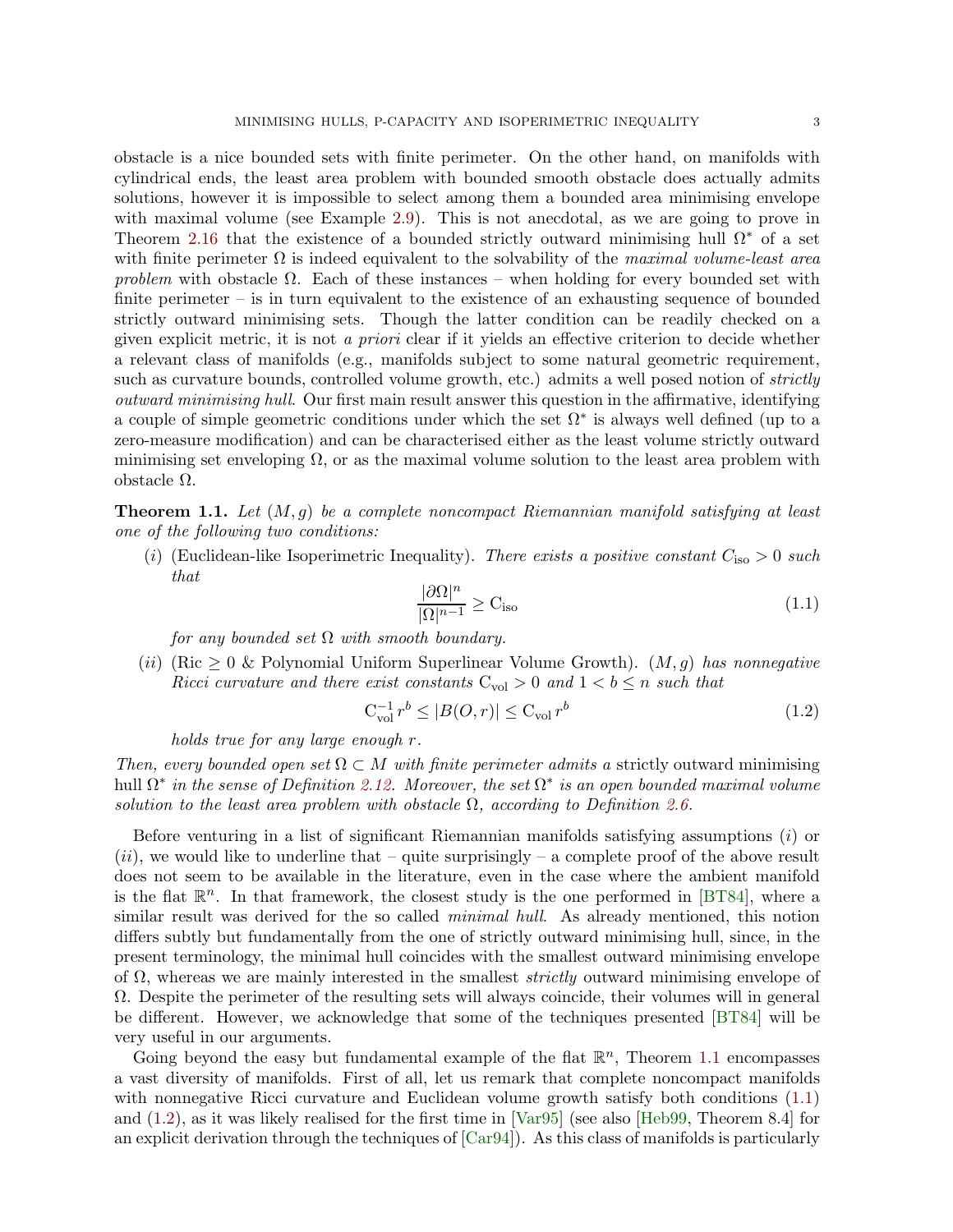obstacle is a nice bounded sets with finite perimeter. On the other hand, on manifolds with cylindrical ends, the least area problem with bounded smooth obstacle does actually admits solutions, however it is impossible to select among them a bounded area minimising envelope with maximal volume (see Example [2.9\)](#page-9-0). This is not anecdotal, as we are going to prove in Theorem [2.16](#page-13-0) that the existence of a bounded strictly outward minimising hull  $\Omega^*$  of a set with finite perimeter  $\Omega$  is indeed equivalent to the solvability of the maximal volume-least area problem with obstacle  $\Omega$ . Each of these instances – when holding for every bounded set with finite perimeter – is in turn equivalent to the existence of an exhausting sequence of bounded strictly outward minimising sets. Though the latter condition can be readily checked on a given explicit metric, it is not a priori clear if it yields an effective criterion to decide whether a relevant class of manifolds (e.g., manifolds subject to some natural geometric requirement, such as curvature bounds, controlled volume growth, etc.) admits a well posed notion of *strictly* outward minimising hull. Our first main result answer this question in the affirmative, identifying a couple of simple geometric conditions under which the set  $\Omega^*$  is always well defined (up to a zero-measure modification) and can be characterised either as the least volume strictly outward minimising set enveloping  $\Omega$ , or as the maximal volume solution to the least area problem with obstacle Ω.

<span id="page-2-0"></span>**Theorem 1.1.** Let  $(M, g)$  be a complete noncompact Riemannian manifold satisfying at least one of the following two conditions:

(i) (Euclidean-like Isoperimetric Inequality). There exists a positive constant  $C_{\text{iso}} > 0$  such that

<span id="page-2-2"></span><span id="page-2-1"></span>
$$
\frac{|\partial\Omega|^n}{|\Omega|^{n-1}} \ge \mathcal{C}_{\text{iso}} \tag{1.1}
$$

for any bounded set  $\Omega$  with smooth boundary.

(ii) (Ric  $\geq 0$  & Polynomial Uniform Superlinear Volume Growth). (M, q) has nonnegative Ricci curvature and there exist constants  $C_{\text{vol}} > 0$  and  $1 < b \leq n$  such that

$$
C_{\text{vol}}^{-1} r^b \le |B(O, r)| \le C_{\text{vol}} r^b \tag{1.2}
$$

holds true for any large enough r.

Then, every bounded open set  $\Omega \subset M$  with finite perimeter admits a strictly outward minimising hull  $\Omega^*$  in the sense of Definition [2.12.](#page-11-0) Moreover, the set  $\Omega^*$  is an open bounded maximal volume solution to the least area problem with obstacle  $\Omega$ , according to Definition [2.6.](#page-8-1)

Before venturing in a list of significant Riemannian manifolds satisfying assumptions (i) or  $(ii)$ , we would like to underline that – quite surprisingly – a complete proof of the above result does not seem to be available in the literature, even in the case where the ambient manifold is the flat  $\mathbb{R}^n$ . In that framework, the closest study is the one performed in [\[BT84\]](#page-34-0), where a similar result was derived for the so called *minimal hull.* As already mentioned, this notion differs subtly but fundamentally from the one of strictly outward minimising hull, since, in the present terminology, the minimal hull coincides with the smallest outward minimising envelope of  $\Omega$ , whereas we are mainly interested in the smallest *strictly* outward minimising envelope of Ω. Despite the perimeter of the resulting sets will always coincide, their volumes will in general be different. However, we acknowledge that some of the techniques presented [\[BT84\]](#page-34-0) will be very useful in our arguments.

Going beyond the easy but fundamental example of the flat  $\mathbb{R}^n$ , Theorem [1.1](#page-2-0) encompasses a vast diversity of manifolds. First of all, let us remark that complete noncompact manifolds with nonnegative Ricci curvature and Euclidean volume growth satisfy both conditions  $(1.1)$ and [\(1.2\)](#page-2-2), as it was likely realised for the first time in [\[Var95\]](#page-37-1) (see also [\[Heb99,](#page-35-1) Theorem 8.4] for an explicit derivation through the techniques of  $[Car94]$ ). As this class of manifolds is particularly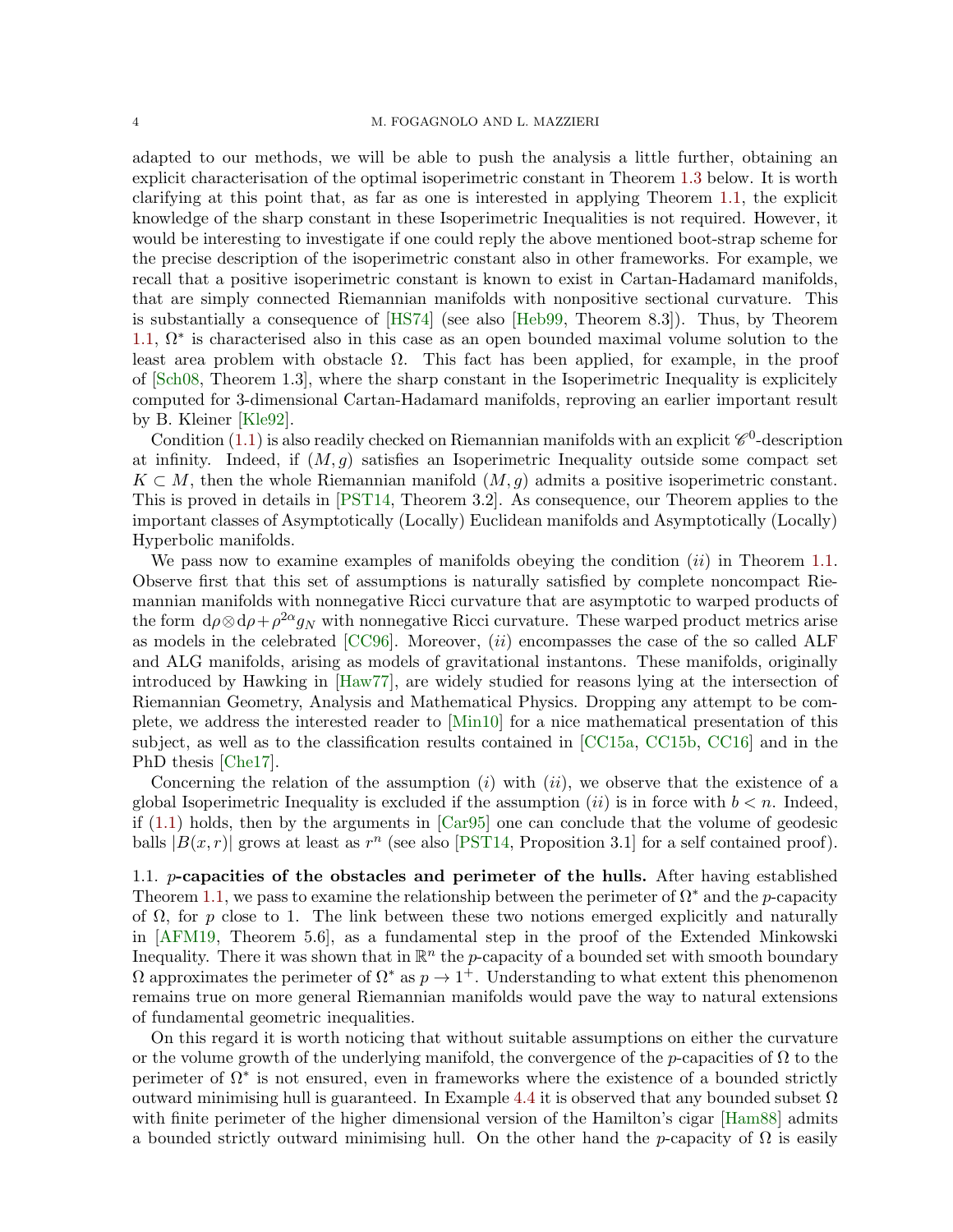adapted to our methods, we will be able to push the analysis a little further, obtaining an explicit characterisation of the optimal isoperimetric constant in Theorem [1.3](#page-4-0) below. It is worth clarifying at this point that, as far as one is interested in applying Theorem [1.1,](#page-2-0) the explicit knowledge of the sharp constant in these Isoperimetric Inequalities is not required. However, it would be interesting to investigate if one could reply the above mentioned boot-strap scheme for the precise description of the isoperimetric constant also in other frameworks. For example, we recall that a positive isoperimetric constant is known to exist in Cartan-Hadamard manifolds, that are simply connected Riemannian manifolds with nonpositive sectional curvature. This is substantially a consequence of [\[HS74\]](#page-36-1) (see also [\[Heb99,](#page-35-1) Theorem 8.3]). Thus, by Theorem [1.1,](#page-2-0)  $\Omega^*$  is characterised also in this case as an open bounded maximal volume solution to the least area problem with obstacle  $Ω$ . This fact has been applied, for example, in the proof of [\[Sch08,](#page-37-0) Theorem 1.3], where the sharp constant in the Isoperimetric Inequality is explicitely computed for 3-dimensional Cartan-Hadamard manifolds, reproving an earlier important result by B. Kleiner [\[Kle92\]](#page-36-2).

Condition [\(1.1\)](#page-2-1) is also readily checked on Riemannian manifolds with an explicit  $\mathscr{C}^0$ -description at infinity. Indeed, if  $(M, g)$  satisfies an Isoperimetric Inequality outside some compact set  $K \subset M$ , then the whole Riemannian manifold  $(M, q)$  admits a positive isoperimetric constant. This is proved in details in [\[PST14,](#page-36-3) Theorem 3.2]. As consequence, our Theorem applies to the important classes of Asymptotically (Locally) Euclidean manifolds and Asymptotically (Locally) Hyperbolic manifolds.

We pass now to examine examples of manifolds obeying the condition  $(ii)$  in Theorem [1.1.](#page-2-0) Observe first that this set of assumptions is naturally satisfied by complete noncompact Riemannian manifolds with nonnegative Ricci curvature that are asymptotic to warped products of the form  $d\rho \otimes d\rho + \rho^{2\alpha} g_N$  with nonnegative Ricci curvature. These warped product metrics arise as models in the celebrated  $[CC96]$ . Moreover,  $(ii)$  encompasses the case of the so called ALF and ALG manifolds, arising as models of gravitational instantons. These manifolds, originally introduced by Hawking in [\[Haw77\]](#page-35-3), are widely studied for reasons lying at the intersection of Riemannian Geometry, Analysis and Mathematical Physics. Dropping any attempt to be complete, we address the interested reader to [\[Min10\]](#page-36-4) for a nice mathematical presentation of this subject, as well as to the classification results contained in [\[CC15a,](#page-35-4) [CC15b,](#page-35-5) [CC16\]](#page-35-6) and in the PhD thesis [\[Che17\]](#page-35-7).

Concerning the relation of the assumption  $(i)$  with  $(ii)$ , we observe that the existence of a global Isoperimetric Inequality is excluded if the assumption  $(ii)$  is in force with  $b < n$ . Indeed, if  $(1.1)$  holds, then by the arguments in [\[Car95\]](#page-35-8) one can conclude that the volume of geodesic balls  $|B(x, r)|$  grows at least as  $r^n$  (see also [\[PST14,](#page-36-3) Proposition 3.1] for a self contained proof).

1.1. p-capacities of the obstacles and perimeter of the hulls. After having established Theorem [1.1,](#page-2-0) we pass to examine the relationship between the perimeter of  $\Omega^*$  and the p-capacity of  $\Omega$ , for p close to 1. The link between these two notions emerged explicitly and naturally in [\[AFM19,](#page-34-1) Theorem 5.6], as a fundamental step in the proof of the Extended Minkowski Inequality. There it was shown that in  $\mathbb{R}^n$  the p-capacity of a bounded set with smooth boundary  $\Omega$  approximates the perimeter of  $\Omega^*$  as  $p \to 1^+$ . Understanding to what extent this phenomenon remains true on more general Riemannian manifolds would pave the way to natural extensions of fundamental geometric inequalities.

On this regard it is worth noticing that without suitable assumptions on either the curvature or the volume growth of the underlying manifold, the convergence of the *p*-capacities of  $\Omega$  to the perimeter of  $\Omega^*$  is not ensured, even in frameworks where the existence of a bounded strictly outward minimising hull is guaranteed. In Example [4.4](#page-26-0) it is observed that any bounded subset  $\Omega$ with finite perimeter of the higher dimensional version of the Hamilton's cigar [\[Ham88\]](#page-35-9) admits a bounded strictly outward minimising hull. On the other hand the p-capacity of  $\Omega$  is easily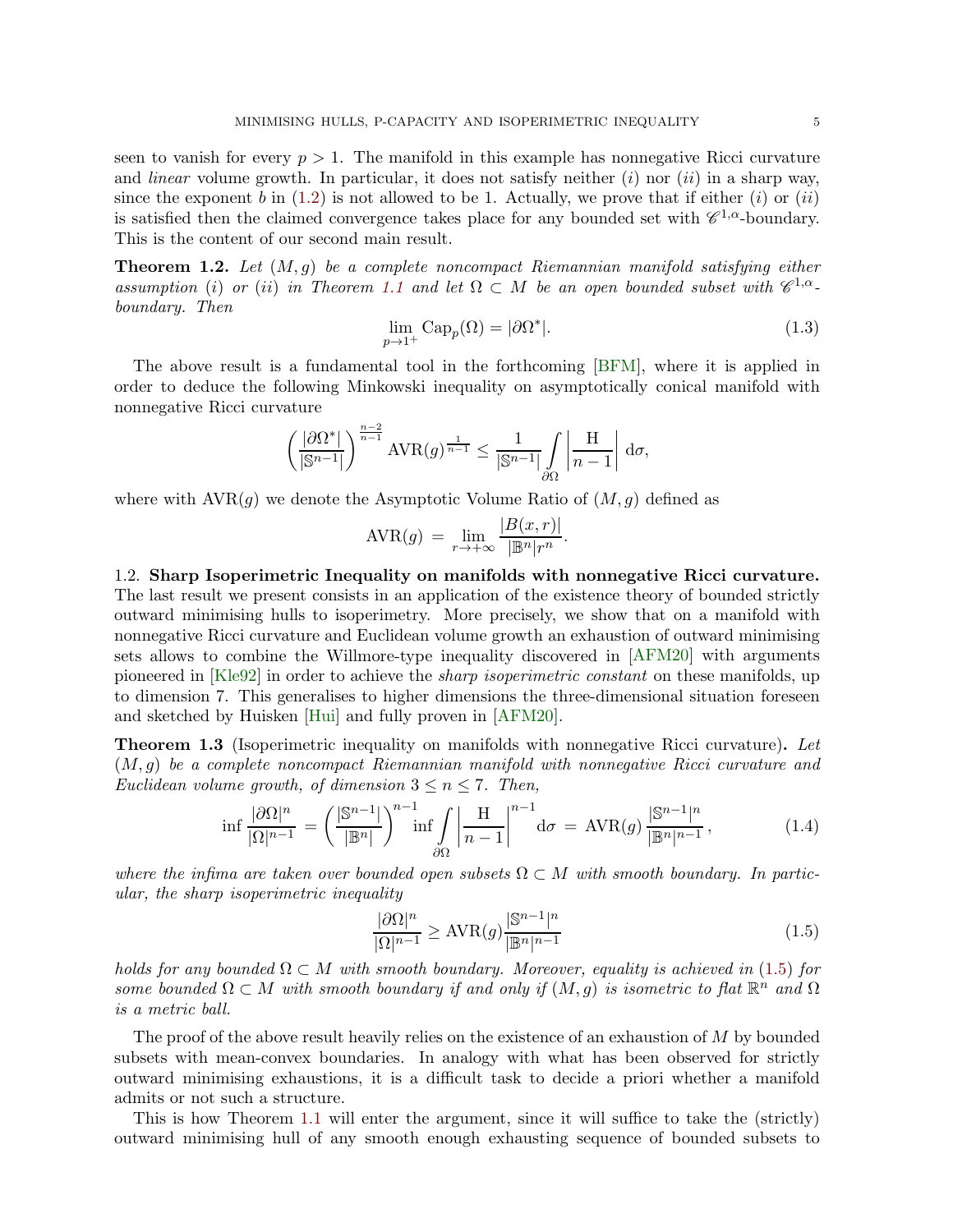seen to vanish for every  $p > 1$ . The manifold in this example has nonnegative Ricci curvature and *linear* volume growth. In particular, it does not satisfy neither  $(i)$  nor  $(ii)$  in a sharp way, since the exponent b in  $(1.2)$  is not allowed to be 1. Actually, we prove that if either  $(i)$  or  $(ii)$ is satisfied then the claimed convergence takes place for any bounded set with  $\mathscr{C}^{1,\alpha}$ -boundary. This is the content of our second main result.

<span id="page-4-3"></span>**Theorem 1.2.** Let  $(M, g)$  be a complete noncompact Riemannian manifold satisfying either assumption (i) or (ii) in Theorem [1.1](#page-2-0) and let  $\Omega \subset M$  be an open bounded subset with  $\mathscr{C}^{1,\alpha}$ boundary. Then

<span id="page-4-4"></span>
$$
\lim_{p \to 1^+} \text{Cap}_p(\Omega) = |\partial \Omega^*|.
$$
\n(1.3)

The above result is a fundamental tool in the forthcoming [\[BFM\]](#page-34-4), where it is applied in order to deduce the following Minkowski inequality on asymptotically conical manifold with nonnegative Ricci curvature

$$
\left(\frac{\left|\partial\Omega^*\right|}{\left|\mathbb{S}^{n-1}\right|}\right)^{\frac{n-2}{n-1}}\text{AVR}(g)^{\frac{1}{n-1}}\leq\frac{1}{\left|\mathbb{S}^{n-1}\right|}\int\limits_{\partial\Omega}\left|\frac{\text{H}}{n-1}\right|\,\text{d}\sigma,
$$

where with  $AVR(q)$  we denote the Asymptotic Volume Ratio of  $(M, q)$  defined as

$$
AVR(g) = \lim_{r \to +\infty} \frac{|B(x, r)|}{|\mathbb{B}^n|r^n}.
$$

1.2. Sharp Isoperimetric Inequality on manifolds with nonnegative Ricci curvature. The last result we present consists in an application of the existence theory of bounded strictly outward minimising hulls to isoperimetry. More precisely, we show that on a manifold with nonnegative Ricci curvature and Euclidean volume growth an exhaustion of outward minimising sets allows to combine the Willmore-type inequality discovered in [\[AFM20\]](#page-34-2) with arguments pioneered in [\[Kle92\]](#page-36-2) in order to achieve the *sharp isoperimetric constant* on these manifolds, up to dimension 7. This generalises to higher dimensions the three-dimensional situation foreseen and sketched by Huisken [\[Hui\]](#page-36-5) and fully proven in [\[AFM20\]](#page-34-2).

<span id="page-4-0"></span>**Theorem 1.3** (Isoperimetric inequality on manifolds with nonnegative Ricci curvature). Let (M, g) be a complete noncompact Riemannian manifold with nonnegative Ricci curvature and Euclidean volume growth, of dimension  $3 \le n \le 7$ . Then,

$$
\inf \frac{|\partial\Omega|^n}{|\Omega|^{n-1}} = \left(\frac{|\mathbb{S}^{n-1}|}{|\mathbb{B}^n|}\right)^{n-1} \inf \int\limits_{\partial\Omega} \left|\frac{H}{n-1}\right|^{n-1} d\sigma = AVR(g) \frac{|\mathbb{S}^{n-1}|^n}{|\mathbb{B}^n|^{n-1}},\tag{1.4}
$$

where the infima are taken over bounded open subsets  $\Omega \subset M$  with smooth boundary. In particular, the sharp isoperimetric inequality

<span id="page-4-2"></span><span id="page-4-1"></span>
$$
\frac{|\partial\Omega|^n}{|\Omega|^{n-1}} \ge \text{AVR}(g) \frac{|\mathbb{S}^{n-1}|^n}{|\mathbb{B}^n|^{n-1}}\tag{1.5}
$$

holds for any bounded  $\Omega \subset M$  with smooth boundary. Moreover, equality is achieved in [\(1.5\)](#page-4-1) for some bounded  $\Omega \subset M$  with smooth boundary if and only if  $(M, g)$  is isometric to flat  $\mathbb{R}^n$  and  $\Omega$ is a metric ball.

The proof of the above result heavily relies on the existence of an exhaustion of M by bounded subsets with mean-convex boundaries. In analogy with what has been observed for strictly outward minimising exhaustions, it is a difficult task to decide a priori whether a manifold admits or not such a structure.

This is how Theorem [1.1](#page-2-0) will enter the argument, since it will suffice to take the (strictly) outward minimising hull of any smooth enough exhausting sequence of bounded subsets to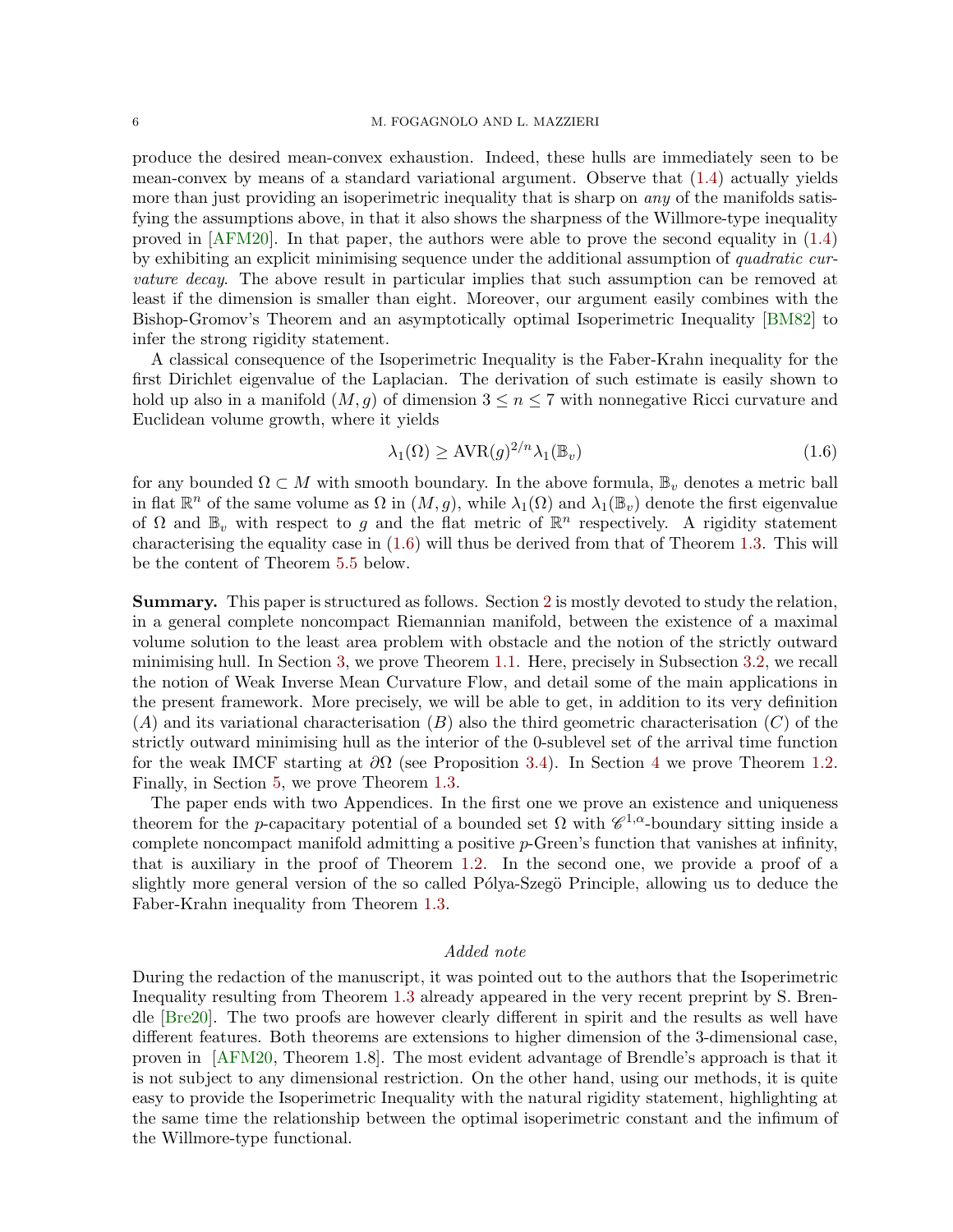### 6 M. FOGAGNOLO AND L. MAZZIERI

produce the desired mean-convex exhaustion. Indeed, these hulls are immediately seen to be mean-convex by means of a standard variational argument. Observe that [\(1.4\)](#page-4-2) actually yields more than just providing an isoperimetric inequality that is sharp on *any* of the manifolds satisfying the assumptions above, in that it also shows the sharpness of the Willmore-type inequality proved in [\[AFM20\]](#page-34-2). In that paper, the authors were able to prove the second equality in [\(1.4\)](#page-4-2) by exhibiting an explicit minimising sequence under the additional assumption of quadratic curvature decay. The above result in particular implies that such assumption can be removed at least if the dimension is smaller than eight. Moreover, our argument easily combines with the Bishop-Gromov's Theorem and an asymptotically optimal Isoperimetric Inequality [\[BM82\]](#page-34-5) to infer the strong rigidity statement.

A classical consequence of the Isoperimetric Inequality is the Faber-Krahn inequality for the first Dirichlet eigenvalue of the Laplacian. The derivation of such estimate is easily shown to hold up also in a manifold  $(M, g)$  of dimension  $3 \leq n \leq 7$  with nonnegative Ricci curvature and Euclidean volume growth, where it yields

<span id="page-5-0"></span>
$$
\lambda_1(\Omega) \geq \text{AVR}(g)^{2/n} \lambda_1(\mathbb{B}_v)
$$
\n(1.6)

for any bounded  $\Omega \subset M$  with smooth boundary. In the above formula,  $\mathbb{B}_v$  denotes a metric ball in flat  $\mathbb{R}^n$  of the same volume as  $\Omega$  in  $(M, g)$ , while  $\lambda_1(\Omega)$  and  $\lambda_1(\mathbb{B}_v)$  denote the first eigenvalue of  $\Omega$  and  $\mathbb{B}_v$  with respect to g and the flat metric of  $\mathbb{R}^n$  respectively. A rigidity statement characterising the equality case in [\(1.6\)](#page-5-0) will thus be derived from that of Theorem [1.3.](#page-4-0) This will be the content of Theorem [5.5](#page-30-0) below.

Summary. This paper is structured as follows. Section [2](#page-6-0) is mostly devoted to study the relation, in a general complete noncompact Riemannian manifold, between the existence of a maximal volume solution to the least area problem with obstacle and the notion of the strictly outward minimising hull. In Section [3,](#page-14-0) we prove Theorem [1.1.](#page-2-0) Here, precisely in Subsection [3.2,](#page-16-0) we recall the notion of Weak Inverse Mean Curvature Flow, and detail some of the main applications in the present framework. More precisely, we will be able to get, in addition to its very definition  $(A)$  and its variational characterisation  $(B)$  also the third geometric characterisation  $(C)$  of the strictly outward minimising hull as the interior of the 0-sublevel set of the arrival time function for the weak IMCF starting at  $\partial\Omega$  (see Proposition [3.4\)](#page-17-0). In Section [4](#page-20-0) we prove Theorem [1.2.](#page-4-3) Finally, in Section [5,](#page-26-1) we prove Theorem [1.3.](#page-4-0)

The paper ends with two Appendices. In the first one we prove an existence and uniqueness theorem for the p-capacitary potential of a bounded set  $\Omega$  with  $\mathscr{C}^{1,\alpha}$ -boundary sitting inside a complete noncompact manifold admitting a positive p-Green's function that vanishes at infinity, that is auxiliary in the proof of Theorem [1.2.](#page-4-3) In the second one, we provide a proof of a slightly more general version of the so called Pólya-Szegö Principle, allowing us to deduce the Faber-Krahn inequality from Theorem [1.3.](#page-4-0)

## Added note

During the redaction of the manuscript, it was pointed out to the authors that the Isoperimetric Inequality resulting from Theorem [1.3](#page-4-0) already appeared in the very recent preprint by S. Brendle [\[Bre20\]](#page-34-6). The two proofs are however clearly different in spirit and the results as well have different features. Both theorems are extensions to higher dimension of the 3-dimensional case, proven in [\[AFM20,](#page-34-2) Theorem 1.8]. The most evident advantage of Brendle's approach is that it is not subject to any dimensional restriction. On the other hand, using our methods, it is quite easy to provide the Isoperimetric Inequality with the natural rigidity statement, highlighting at the same time the relationship between the optimal isoperimetric constant and the infimum of the Willmore-type functional.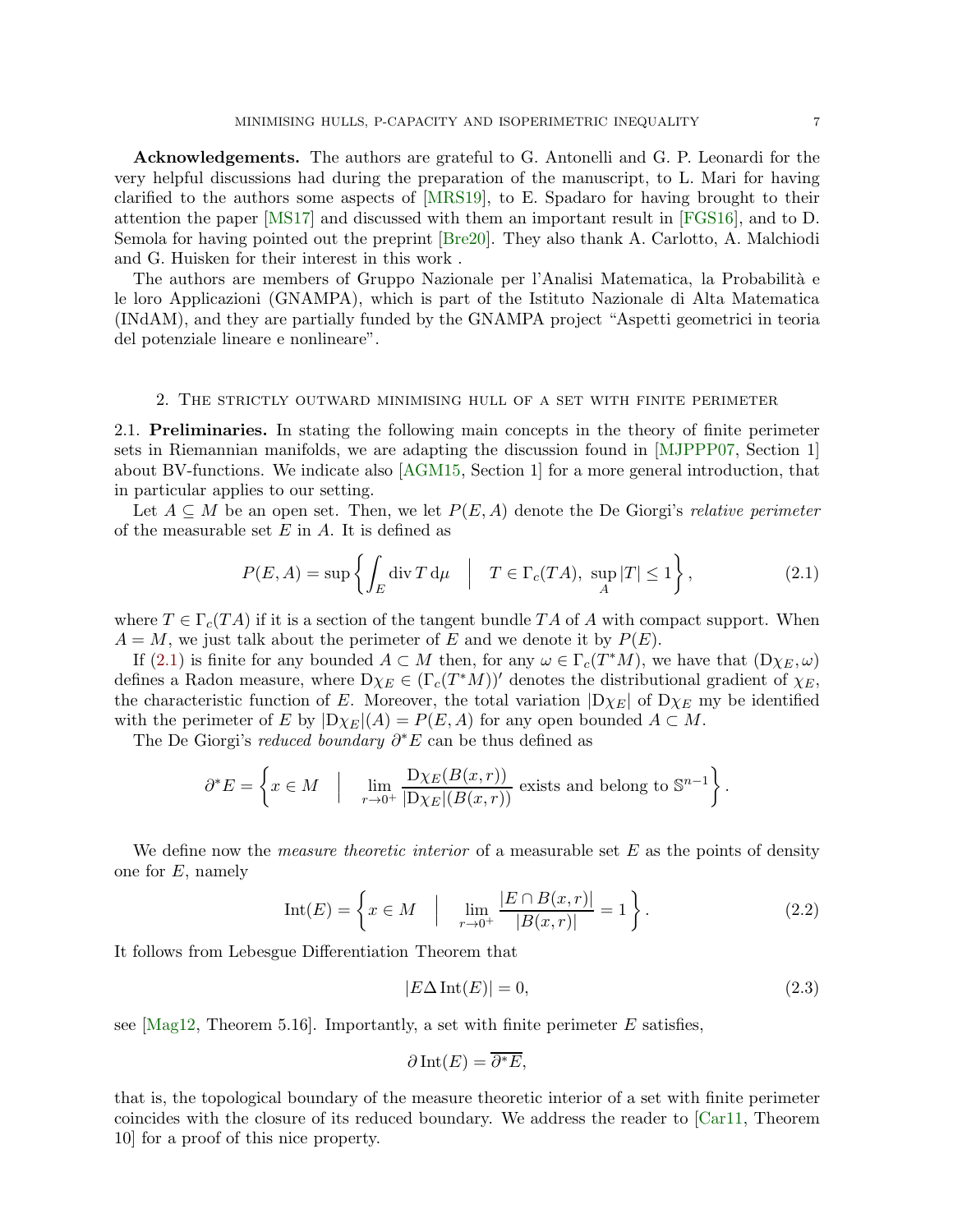Acknowledgements. The authors are grateful to G. Antonelli and G. P. Leonardi for the very helpful discussions had during the preparation of the manuscript, to L. Mari for having clarified to the authors some aspects of [\[MRS19\]](#page-36-6), to E. Spadaro for having brought to their attention the paper [\[MS17\]](#page-36-7) and discussed with them an important result in [\[FGS16\]](#page-35-10), and to D. Semola for having pointed out the preprint [\[Bre20\]](#page-34-6). They also thank A. Carlotto, A. Malchiodi and G. Huisken for their interest in this work .

The authors are members of Gruppo Nazionale per l'Analisi Matematica, la Probabilità e le loro Applicazioni (GNAMPA), which is part of the Istituto Nazionale di Alta Matematica (INdAM), and they are partially funded by the GNAMPA project "Aspetti geometrici in teoria del potenziale lineare e nonlineare".

## <span id="page-6-0"></span>2. The strictly outward minimising hull of a set with finite perimeter

2.1. Preliminaries. In stating the following main concepts in the theory of finite perimeter sets in Riemannian manifolds, we are adapting the discussion found in [\[MJPPP07,](#page-36-8) Section 1] about BV-functions. We indicate also [\[AGM15,](#page-34-7) Section 1] for a more general introduction, that in particular applies to our setting.

Let  $A \subseteq M$  be an open set. Then, we let  $P(E, A)$  denote the De Giorgi's relative perimeter of the measurable set  $E$  in  $A$ . It is defined as

<span id="page-6-1"></span>
$$
P(E, A) = \sup \left\{ \int_E \operatorname{div} T \, \mathrm{d}\mu \quad \Big| \quad T \in \Gamma_c(TA), \sup_A |T| \le 1 \right\},\tag{2.1}
$$

where  $T \in \Gamma_c(TA)$  if it is a section of the tangent bundle TA of A with compact support. When  $A = M$ , we just talk about the perimeter of E and we denote it by  $P(E)$ .

If [\(2.1\)](#page-6-1) is finite for any bounded  $A \subset M$  then, for any  $\omega \in \Gamma_c(T^*M)$ , we have that  $(D\chi_E, \omega)$ defines a Radon measure, where  $D\chi_E \in (\Gamma_c(T^*M))'$  denotes the distributional gradient of  $\chi_E$ , the characteristic function of E. Moreover, the total variation  $|D\chi_E|$  of  $D\chi_E$  my be identified with the perimeter of E by  $|D\chi_E|(A) = P(E, A)$  for any open bounded  $A \subset M$ .

The De Giorgi's reduced boundary  $\partial^* E$  can be thus defined as

$$
\partial^* E = \left\{ x \in M \quad \Big| \quad \lim_{r \to 0^+} \frac{\mathrm{D}\chi_E(B(x,r))}{|\mathrm{D}\chi_E|(B(x,r))} \text{ exists and belong to } \mathbb{S}^{n-1} \right\}.
$$

We define now the *measure theoretic interior* of a measurable set  $E$  as the points of density one for  $E$ , namely

$$
Int(E) = \left\{ x \in M \quad \Big| \quad \lim_{r \to 0^+} \frac{|E \cap B(x, r)|}{|B(x, r)|} = 1 \right\}.
$$
 (2.2)

It follows from Lebesgue Differentiation Theorem that

<span id="page-6-3"></span><span id="page-6-2"></span>
$$
|E\Delta\operatorname{Int}(E)| = 0,\t\t(2.3)
$$

see  $[Mag12, Theorem 5.16]$ . Importantly, a set with finite perimeter E satisfies,

$$
\partial \operatorname{Int}(E) = \overline{\partial^* E},
$$

that is, the topological boundary of the measure theoretic interior of a set with finite perimeter coincides with the closure of its reduced boundary. We address the reader to [\[Car11,](#page-35-11) Theorem 10] for a proof of this nice property.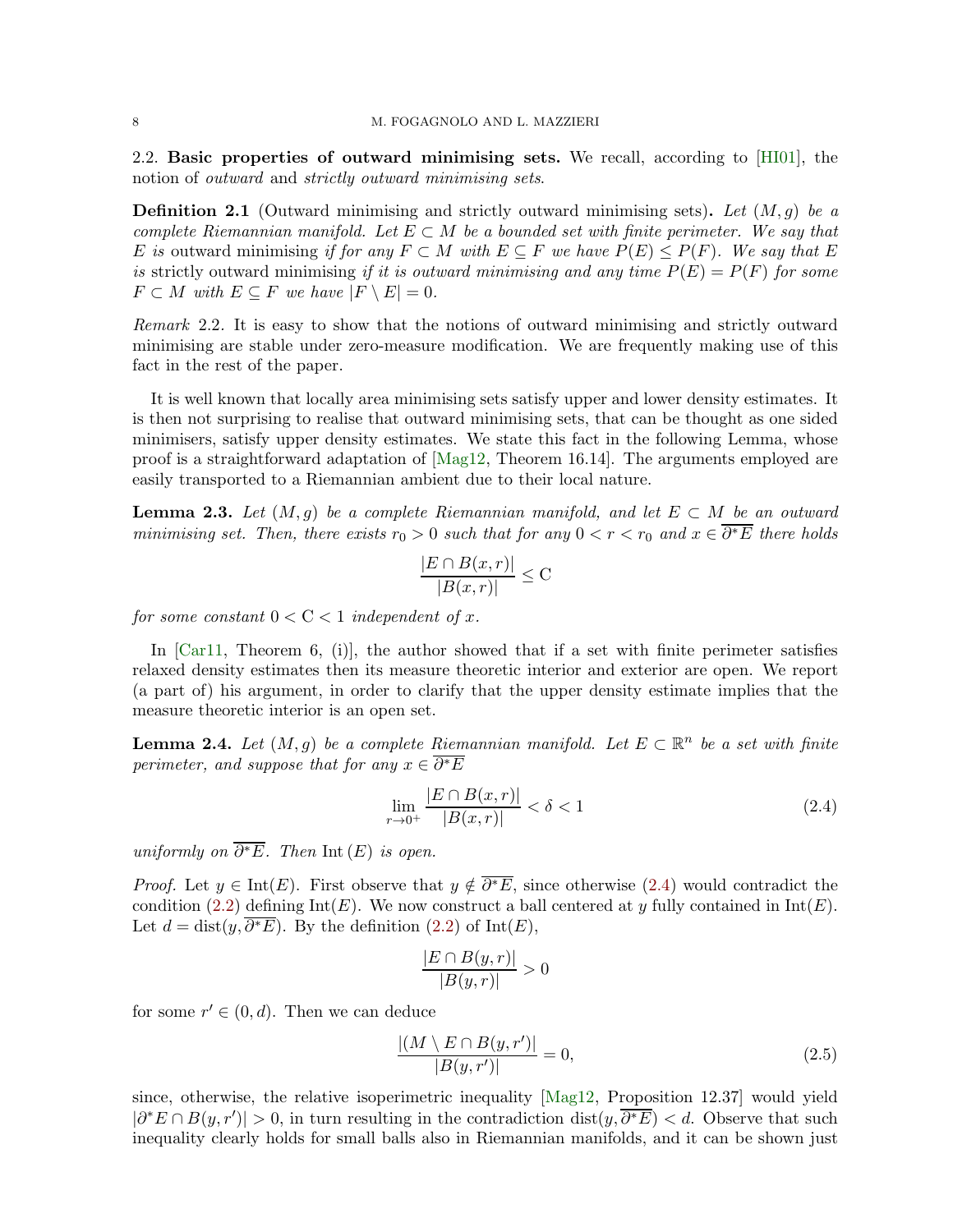2.2. Basic properties of outward minimising sets. We recall, according to [\[HI01\]](#page-35-0), the notion of outward and strictly outward minimising sets.

**Definition 2.1** (Outward minimising and strictly outward minimising sets). Let  $(M, g)$  be a complete Riemannian manifold. Let  $E \subset M$  be a bounded set with finite perimeter. We say that E is outward minimising if for any  $F \subset M$  with  $E \subset F$  we have  $P(E) \leq P(F)$ . We say that E is strictly outward minimising if it is outward minimising and any time  $P(E) = P(F)$  for some  $F \subset M$  with  $E \subset F$  we have  $|F \setminus E| = 0$ .

Remark 2.2. It is easy to show that the notions of outward minimising and strictly outward minimising are stable under zero-measure modification. We are frequently making use of this fact in the rest of the paper.

It is well known that locally area minimising sets satisfy upper and lower density estimates. It is then not surprising to realise that outward minimising sets, that can be thought as one sided minimisers, satisfy upper density estimates. We state this fact in the following Lemma, whose proof is a straightforward adaptation of [\[Mag12,](#page-36-9) Theorem 16.14]. The arguments employed are easily transported to a Riemannian ambient due to their local nature.

<span id="page-7-2"></span>**Lemma 2.3.** Let  $(M, g)$  be a complete Riemannian manifold, and let  $E \subset M$  be an outward minimising set. Then, there exists  $r_0 > 0$  such that for any  $0 < r < r_0$  and  $x \in \overline{\partial^* E}$  there holds

$$
\frac{|E \cap B(x,r)|}{|B(x,r)|} \leq C
$$

for some constant  $0 < C < 1$  independent of x.

In  $[Car11, Theorem 6, (i)]$ , the author showed that if a set with finite perimeter satisfies relaxed density estimates then its measure theoretic interior and exterior are open. We report (a part of) his argument, in order to clarify that the upper density estimate implies that the measure theoretic interior is an open set.

<span id="page-7-3"></span>**Lemma 2.4.** Let  $(M, g)$  be a complete Riemannian manifold. Let  $E \subset \mathbb{R}^n$  be a set with finite perimeter, and suppose that for any  $x \in \overline{\partial^* E}$ 

$$
\lim_{r \to 0^+} \frac{|E \cap B(x, r)|}{|B(x, r)|} < \delta < 1
$$
\n(2.4)

uniformly on  $\overline{\partial^*E}$ . Then Int  $(E)$  is open.

*Proof.* Let  $y \in Int(E)$ . First observe that  $y \notin \overline{\partial^*E}$ , since otherwise [\(2.4\)](#page-7-0) would contradict the condition [\(2.2\)](#page-6-2) defining  $Int(E)$ . We now construct a ball centered at y fully contained in  $Int(E)$ . Let  $d = dist(y, \overline{\partial^* E})$ . By the definition  $(2.2)$  of Int $(E)$ ,

<span id="page-7-1"></span><span id="page-7-0"></span>
$$
\frac{|E \cap B(y,r)|}{|B(y,r)|} > 0
$$

for some  $r' \in (0, d)$ . Then we can deduce

$$
\frac{|(M \setminus E \cap B(y, r'))|}{|B(y, r')|} = 0,\t(2.5)
$$

since, otherwise, the relative isoperimetric inequality [\[Mag12,](#page-36-9) Proposition 12.37] would yield  $|\partial^*E \cap B(y, r')| > 0$ , in turn resulting in the contradiction dist $(y, \overline{\partial^*E}) < d$ . Observe that such inequality clearly holds for small balls also in Riemannian manifolds, and it can be shown just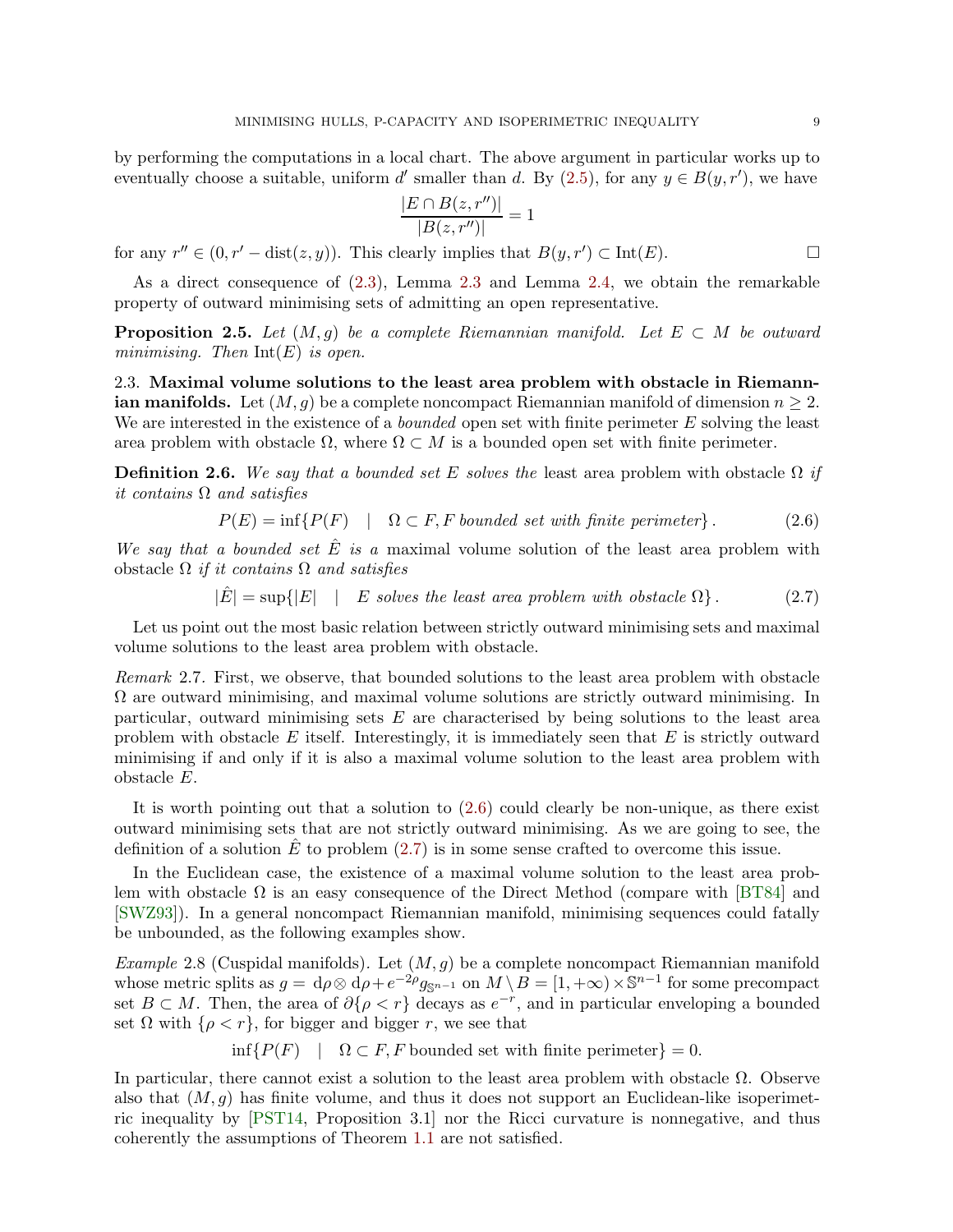by performing the computations in a local chart. The above argument in particular works up to eventually choose a suitable, uniform d' smaller than d. By  $(2.5)$ , for any  $y \in B(y, r')$ , we have

<span id="page-8-3"></span><span id="page-8-2"></span>
$$
\frac{|E \cap B(z, r'')|}{|B(z, r'')|} = 1
$$

for any  $r'' \in (0, r' - dist(z, y))$ . This clearly implies that  $B(y, r') \subset Int(E)$ .

As a direct consequence of [\(2.3\)](#page-6-3), Lemma [2.3](#page-7-2) and Lemma [2.4,](#page-7-3) we obtain the remarkable property of outward minimising sets of admitting an open representative.

<span id="page-8-5"></span>**Proposition 2.5.** Let  $(M, g)$  be a complete Riemannian manifold. Let  $E \subset M$  be outward minimising. Then  $Int(E)$  is open.

2.3. Maximal volume solutions to the least area problem with obstacle in Riemann**ian manifolds.** Let  $(M, g)$  be a complete noncompact Riemannian manifold of dimension  $n \geq 2$ . We are interested in the existence of a *bounded* open set with finite perimeter  $E$  solving the least area problem with obstacle  $\Omega$ , where  $\Omega \subset M$  is a bounded open set with finite perimeter.

<span id="page-8-1"></span>**Definition 2.6.** We say that a bounded set E solves the least area problem with obstacle  $\Omega$  if it contains Ω and satisfies

$$
P(E) = \inf \{ P(F) \mid \Omega \subset F, F \text{ bounded set with finite perimeter} \}.
$$
 (2.6)

We say that a bounded set  $\hat{E}$  is a maximal volume solution of the least area problem with obstacle  $\Omega$  if it contains  $\Omega$  and satisfies

$$
|\hat{E}| = \sup\{|E| \quad | \quad E \text{ solves the least area problem with obstacle } \Omega\}. \tag{2.7}
$$

Let us point out the most basic relation between strictly outward minimising sets and maximal volume solutions to the least area problem with obstacle.

<span id="page-8-4"></span>Remark 2.7. First, we observe, that bounded solutions to the least area problem with obstacle  $\Omega$  are outward minimising, and maximal volume solutions are strictly outward minimising. In particular, outward minimising sets  $E$  are characterised by being solutions to the least area problem with obstacle E itself. Interestingly, it is immediately seen that  $E$  is strictly outward minimising if and only if it is also a maximal volume solution to the least area problem with obstacle E.

It is worth pointing out that a solution to  $(2.6)$  could clearly be non-unique, as there exist outward minimising sets that are not strictly outward minimising. As we are going to see, the definition of a solution E to problem  $(2.7)$  is in some sense crafted to overcome this issue.

In the Euclidean case, the existence of a maximal volume solution to the least area problem with obstacle  $\Omega$  is an easy consequence of the Direct Method (compare with [\[BT84\]](#page-34-0) and [\[SWZ93\]](#page-37-2)). In a general noncompact Riemannian manifold, minimising sequences could fatally be unbounded, as the following examples show.

<span id="page-8-0"></span>*Example* 2.8 (Cuspidal manifolds). Let  $(M, g)$  be a complete noncompact Riemannian manifold whose metric splits as  $g = d\rho \otimes d\rho + e^{-2\rho} g_{\mathbb{S}^{n-1}}$  on  $M \setminus B = [1, +\infty) \times \mathbb{S}^{n-1}$  for some precompact set  $B \subset M$ . Then, the area of  $\partial \{\rho \leq r\}$  decays as  $e^{-r}$ , and in particular enveloping a bounded set  $\Omega$  with  $\{\rho < r\}$ , for bigger and bigger r, we see that

 $\inf\{P(F) \mid \Omega \subset F, F \text{ bounded set with finite perimeter}\} = 0.$ 

In particular, there cannot exist a solution to the least area problem with obstacle Ω. Observe also that  $(M, q)$  has finite volume, and thus it does not support an Euclidean-like isoperimetric inequality by [\[PST14,](#page-36-3) Proposition 3.1] nor the Ricci curvature is nonnegative, and thus coherently the assumptions of Theorem [1.1](#page-2-0) are not satisfied.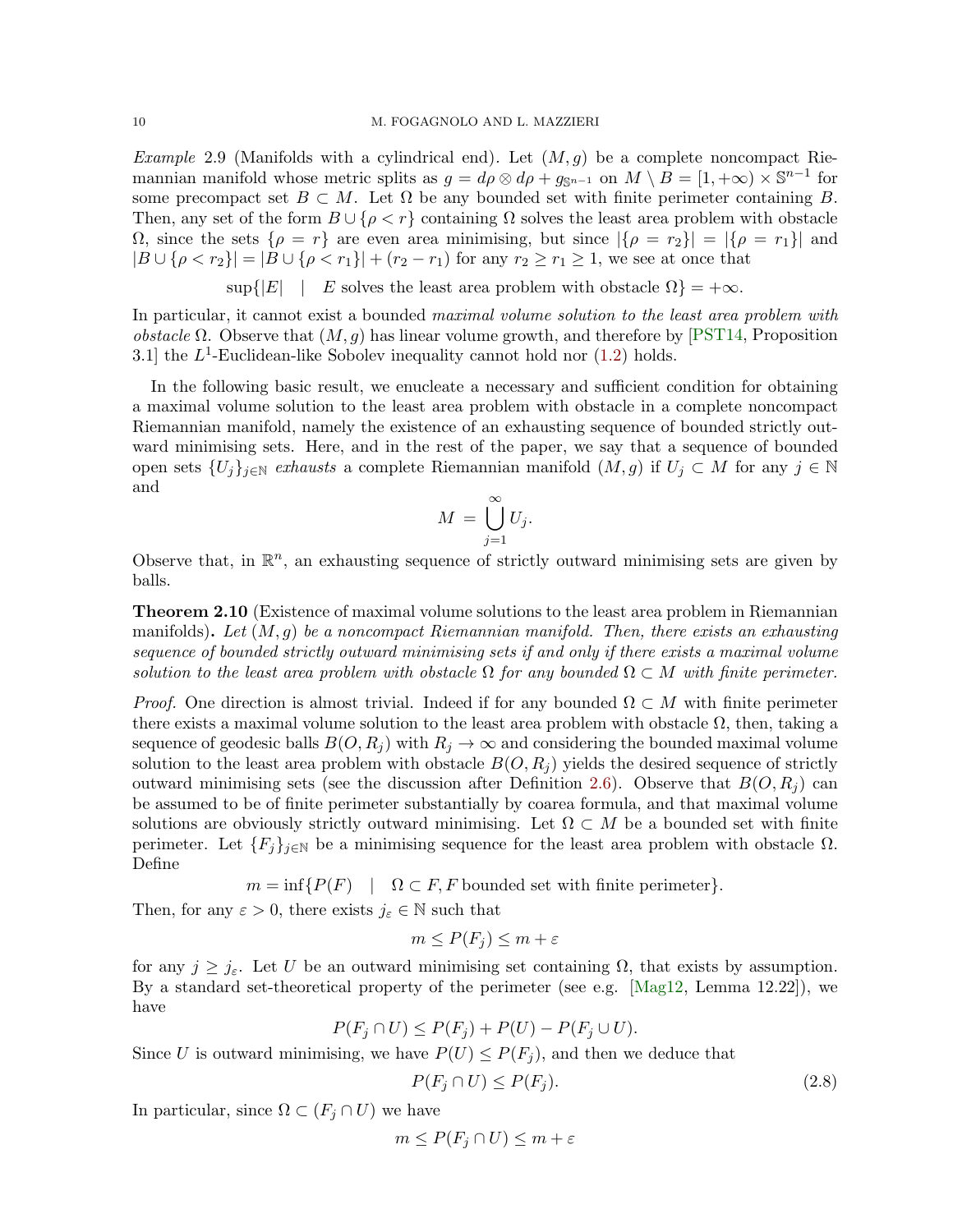<span id="page-9-0"></span>*Example* 2.9 (Manifolds with a cylindrical end). Let  $(M, g)$  be a complete noncompact Riemannian manifold whose metric splits as  $g = d\rho \otimes d\rho + g_{\mathbb{S}^{n-1}}$  on  $M \setminus B = [1, +\infty) \times \mathbb{S}^{n-1}$  for some precompact set  $B \subset M$ . Let  $\Omega$  be any bounded set with finite perimeter containing B. Then, any set of the form  $B \cup \{\rho < r\}$  containing  $\Omega$  solves the least area problem with obstacle  $Ω$ , since the sets  ${ρ = r}$  are even area minimising, but since  ${βρ = r_2}$  $| = {βρ = r_1}$  and  $|B \cup \{\rho < r_2\}| = |B \cup \{\rho < r_1\}| + (r_2 - r_1)$  for any  $r_2 \ge r_1 \ge 1$ , we see at once that

 $\sup\{|E|$  | E solves the least area problem with obstacle  $\Omega$ } = + $\infty$ .

In particular, it cannot exist a bounded maximal volume solution to the least area problem with *obstacle* Ω. Observe that  $(M, q)$  has linear volume growth, and therefore by [\[PST14,](#page-36-3) Proposition 3.1] the  $L^1$ -Euclidean-like Sobolev inequality cannot hold nor  $(1.2)$  holds.

In the following basic result, we enucleate a necessary and sufficient condition for obtaining a maximal volume solution to the least area problem with obstacle in a complete noncompact Riemannian manifold, namely the existence of an exhausting sequence of bounded strictly outward minimising sets. Here, and in the rest of the paper, we say that a sequence of bounded open sets  $\{U_j\}_{j\in\mathbb{N}}$  exhausts a complete Riemannian manifold  $(M, g)$  if  $U_j \subset M$  for any  $j \in \mathbb{N}$ and

$$
M = \bigcup_{j=1}^{\infty} U_j.
$$

Observe that, in  $\mathbb{R}^n$ , an exhausting sequence of strictly outward minimising sets are given by balls.

<span id="page-9-2"></span>**Theorem 2.10** (Existence of maximal volume solutions to the least area problem in Riemannian manifolds). Let  $(M, g)$  be a noncompact Riemannian manifold. Then, there exists an exhausting sequence of bounded strictly outward minimising sets if and only if there exists a maximal volume solution to the least area problem with obstacle  $\Omega$  for any bounded  $\Omega \subset M$  with finite perimeter.

*Proof.* One direction is almost trivial. Indeed if for any bounded  $\Omega \subset M$  with finite perimeter there exists a maximal volume solution to the least area problem with obstacle  $\Omega$ , then, taking a sequence of geodesic balls  $B(O, R_i)$  with  $R_i \to \infty$  and considering the bounded maximal volume solution to the least area problem with obstacle  $B(O, R<sub>j</sub>)$  yields the desired sequence of strictly outward minimising sets (see the discussion after Definition [2.6\)](#page-8-1). Observe that  $B(O, R<sub>j</sub>)$  can be assumed to be of finite perimeter substantially by coarea formula, and that maximal volume solutions are obviously strictly outward minimising. Let  $\Omega \subset M$  be a bounded set with finite perimeter. Let  ${F_j}_{j \in \mathbb{N}}$  be a minimising sequence for the least area problem with obstacle  $\Omega$ . Define

 $m = \inf\{P(F) \mid \Omega \subset F, F \text{ bounded set with finite perimeter}\}.$ 

Then, for any  $\varepsilon > 0$ , there exists  $j_{\varepsilon} \in \mathbb{N}$  such that

$$
m \le P(F_j) \le m + \varepsilon
$$

for any  $j \geq j_{\varepsilon}$ . Let U be an outward minimising set containing  $\Omega$ , that exists by assumption. By a standard set-theoretical property of the perimeter (see e.g. [\[Mag12,](#page-36-9) Lemma 12.22]), we have

 $P(F_i \cap U) \leq P(F_i) + P(U) - P(F_i \cup U).$ 

Since U is outward minimising, we have  $P(U) \leq P(F_i)$ , and then we deduce that

<span id="page-9-1"></span>
$$
P(F_j \cap U) \le P(F_j). \tag{2.8}
$$

In particular, since  $\Omega \subset (F_i \cap U)$  we have

$$
m \le P(F_j \cap U) \le m + \varepsilon
$$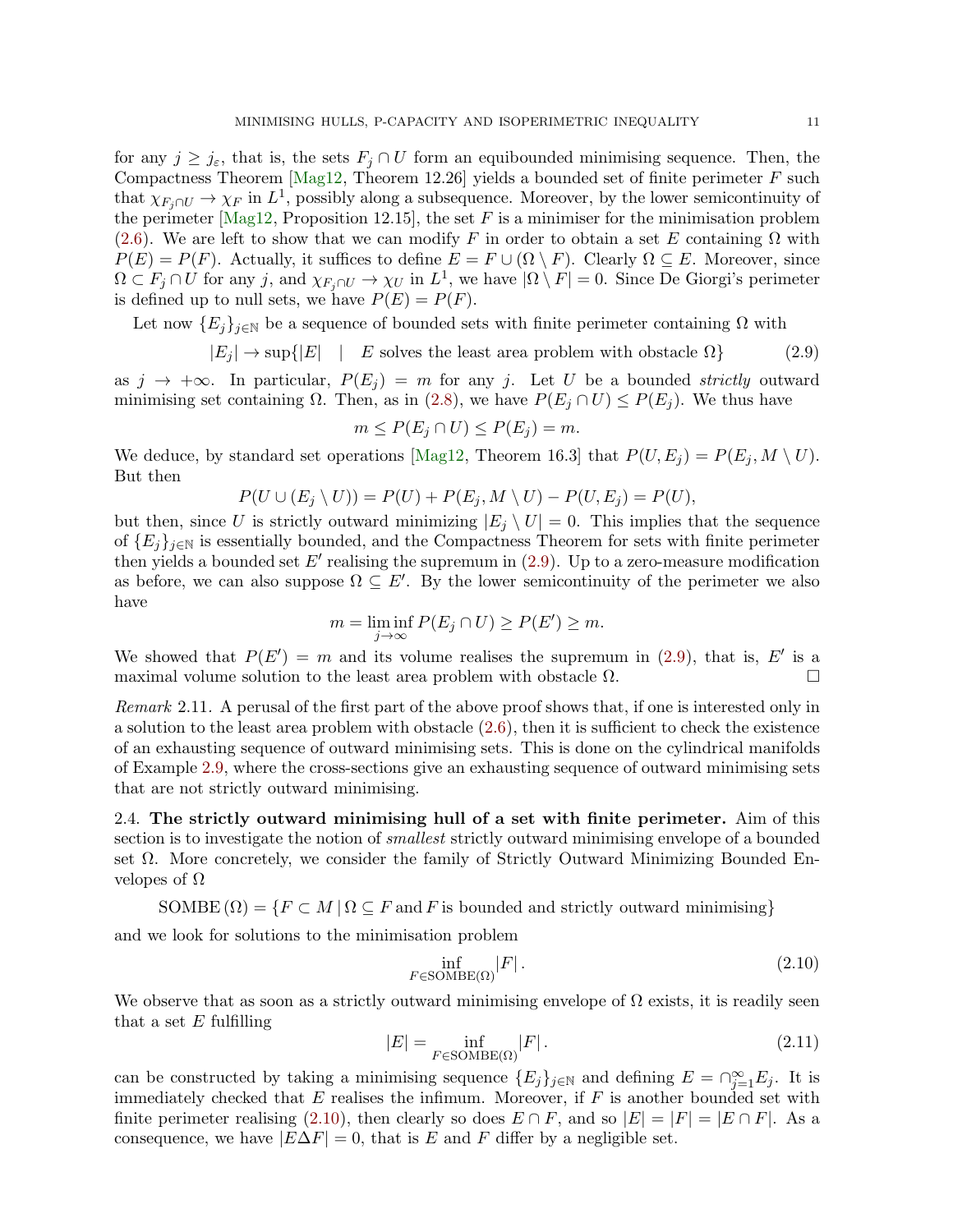<span id="page-10-0"></span>

for any  $j \geq j_{\varepsilon}$ , that is, the sets  $F_j \cap U$  form an equibounded minimising sequence. Then, the Compactness Theorem [\[Mag12,](#page-36-9) Theorem 12.26] yields a bounded set of finite perimeter  $F$  such that  $\chi_{F_j \cap U} \to \chi_F$  in  $L^1$ , possibly along a subsequence. Moreover, by the lower semicontinuity of the perimeter  $[Mag12, Proposition 12.15]$ , the set F is a minimiser for the minimisation problem [\(2.6\)](#page-8-2). We are left to show that we can modify F in order to obtain a set E containing  $\Omega$  with  $P(E) = P(F)$ . Actually, it suffices to define  $E = F \cup (\Omega \setminus F)$ . Clearly  $\Omega \subseteq E$ . Moreover, since  $\Omega \subset F_j \cap U$  for any j, and  $\chi_{F_j \cap U} \to \chi_U$  in  $L^1$ , we have  $|\Omega \setminus F| = 0$ . Since De Giorgi's perimeter is defined up to null sets, we have  $P(E) = P(F)$ .

Let now  ${E_i}_{i\in\mathbb{N}}$  be a sequence of bounded sets with finite perimeter containing  $\Omega$  with

$$
|E_j| \to \sup\{|E| \quad | \quad E \text{ solves the least area problem with obstacle } \Omega\}
$$
 (2.9)

as  $j \to +\infty$ . In particular,  $P(E_i) = m$  for any j. Let U be a bounded strictly outward minimising set containing  $\Omega$ . Then, as in [\(2.8\)](#page-9-1), we have  $P(E_i \cap U) \leq P(E_i)$ . We thus have

$$
m \le P(E_j \cap U) \le P(E_j) = m.
$$

We deduce, by standard set operations [\[Mag12,](#page-36-9) Theorem 16.3] that  $P(U, E_i) = P(E_i, M \setminus U)$ . But then

$$
P(U \cup (E_j \setminus U)) = P(U) + P(E_j, M \setminus U) - P(U, E_j) = P(U),
$$

but then, since U is strictly outward minimizing  $|E_i \setminus U| = 0$ . This implies that the sequence of  ${E_i}_{i\in\mathbb{N}}$  is essentially bounded, and the Compactness Theorem for sets with finite perimeter then yields a bounded set  $E'$  realising the supremum in  $(2.9)$ . Up to a zero-measure modification as before, we can also suppose  $\Omega \subseteq E'$ . By the lower semicontinuity of the perimeter we also have

$$
m = \liminf_{j \to \infty} P(E_j \cap U) \ge P(E') \ge m.
$$

We showed that  $P(E') = m$  and its volume realises the supremum in [\(2.9\)](#page-10-0), that is, E' is a maximal volume solution to the least area problem with obstacle  $\Omega$ .

Remark 2.11. A perusal of the first part of the above proof shows that, if one is interested only in a solution to the least area problem with obstacle  $(2.6)$ , then it is sufficient to check the existence of an exhausting sequence of outward minimising sets. This is done on the cylindrical manifolds of Example [2.9,](#page-9-0) where the cross-sections give an exhausting sequence of outward minimising sets that are not strictly outward minimising.

2.4. The strictly outward minimising hull of a set with finite perimeter. Aim of this section is to investigate the notion of *smallest* strictly outward minimising envelope of a bounded set Ω. More concretely, we consider the family of Strictly Outward Minimizing Bounded Envelopes of  $Ω$ 

SOMBE  $(\Omega) = \{F \subset M \mid \Omega \subseteq F \text{ and } F \text{ is bounded and strictly outward minimising}\}\$ 

and we look for solutions to the minimisation problem

<span id="page-10-2"></span><span id="page-10-1"></span>
$$
\inf_{F \in \text{SOMBE}(\Omega)} |F| \,. \tag{2.10}
$$

We observe that as soon as a strictly outward minimising envelope of  $\Omega$  exists, it is readily seen that a set  $E$  fulfilling

$$
|E| = \inf_{F \in \text{SOMBE}(\Omega)} |F| \,. \tag{2.11}
$$

can be constructed by taking a minimising sequence  $\{E_j\}_{j\in\mathbb{N}}$  and defining  $E = \bigcap_{j=1}^{\infty} E_j$ . It is immediately checked that  $E$  realises the infimum. Moreover, if  $F$  is another bounded set with finite perimeter realising [\(2.10\)](#page-10-1), then clearly so does  $E \cap F$ , and so  $|E| = |F| = |E \cap F|$ . As a consequence, we have  $|E\Delta F| = 0$ , that is E and F differ by a negligible set.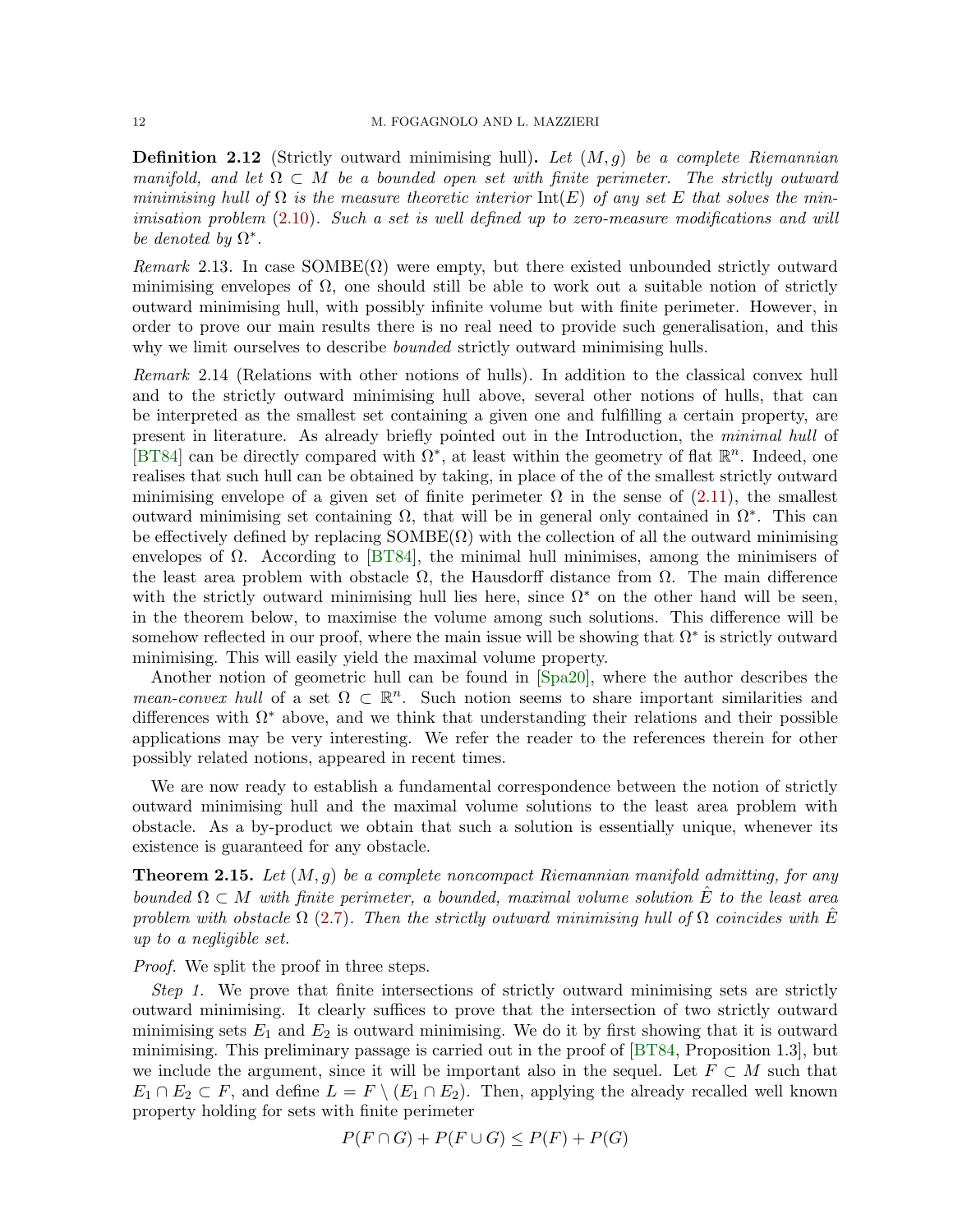<span id="page-11-0"></span>**Definition 2.12** (Strictly outward minimising hull). Let  $(M, g)$  be a complete Riemannian manifold, and let  $\Omega \subset M$  be a bounded open set with finite perimeter. The strictly outward minimising hull of  $\Omega$  is the measure theoretic interior  $\text{Int}(E)$  of any set E that solves the minimisation problem [\(2.10\)](#page-10-1). Such a set is well defined up to zero-measure modifications and will be denoted by  $\Omega^*$ .

Remark 2.13. In case  $SOMBE(\Omega)$  were empty, but there existed unbounded strictly outward minimising envelopes of  $\Omega$ , one should still be able to work out a suitable notion of strictly outward minimising hull, with possibly infinite volume but with finite perimeter. However, in order to prove our main results there is no real need to provide such generalisation, and this why we limit ourselves to describe *bounded* strictly outward minimising hulls.

Remark 2.14 (Relations with other notions of hulls). In addition to the classical convex hull and to the strictly outward minimising hull above, several other notions of hulls, that can be interpreted as the smallest set containing a given one and fulfilling a certain property, are present in literature. As already briefly pointed out in the Introduction, the minimal hull of [\[BT84\]](#page-34-0) can be directly compared with  $\Omega^*$ , at least within the geometry of flat  $\mathbb{R}^n$ . Indeed, one realises that such hull can be obtained by taking, in place of the of the smallest strictly outward minimising envelope of a given set of finite perimeter  $\Omega$  in the sense of [\(2.11\)](#page-10-2), the smallest outward minimising set containing  $\Omega$ , that will be in general only contained in  $\Omega^*$ . This can be effectively defined by replacing  $SOMBE(\Omega)$  with the collection of all the outward minimising envelopes of  $\Omega$ . According to [\[BT84\]](#page-34-0), the minimal hull minimises, among the minimisers of the least area problem with obstacle  $\Omega$ , the Hausdorff distance from  $\Omega$ . The main difference with the strictly outward minimising hull lies here, since  $\Omega^*$  on the other hand will be seen, in the theorem below, to maximise the volume among such solutions. This difference will be somehow reflected in our proof, where the main issue will be showing that  $\Omega^*$  is strictly outward minimising. This will easily yield the maximal volume property.

Another notion of geometric hull can be found in [\[Spa20\]](#page-37-3), where the author describes the mean-convex hull of a set  $\Omega \subset \mathbb{R}^n$ . Such notion seems to share important similarities and differences with  $\Omega^*$  above, and we think that understanding their relations and their possible applications may be very interesting. We refer the reader to the references therein for other possibly related notions, appeared in recent times.

We are now ready to establish a fundamental correspondence between the notion of strictly outward minimising hull and the maximal volume solutions to the least area problem with obstacle. As a by-product we obtain that such a solution is essentially unique, whenever its existence is guaranteed for any obstacle.

<span id="page-11-1"></span>**Theorem 2.15.** Let  $(M, q)$  be a complete noncompact Riemannian manifold admitting, for any bounded  $\Omega \subset M$  with finite perimeter, a bounded, maximal volume solution  $\hat{E}$  to the least area problem with obstacle  $\Omega$  [\(2.7\)](#page-8-3). Then the strictly outward minimising hull of  $\Omega$  coincides with E up to a negligible set.

Proof. We split the proof in three steps.

Step 1. We prove that finite intersections of strictly outward minimising sets are strictly outward minimising. It clearly suffices to prove that the intersection of two strictly outward minimising sets  $E_1$  and  $E_2$  is outward minimising. We do it by first showing that it is outward minimising. This preliminary passage is carried out in the proof of [\[BT84,](#page-34-0) Proposition 1.3], but we include the argument, since it will be important also in the sequel. Let  $F \subset M$  such that  $E_1 \cap E_2 \subset F$ , and define  $L = F \setminus (E_1 \cap E_2)$ . Then, applying the already recalled well known property holding for sets with finite perimeter

 $P(F \cap G) + P(F \cup G) \leq P(F) + P(G)$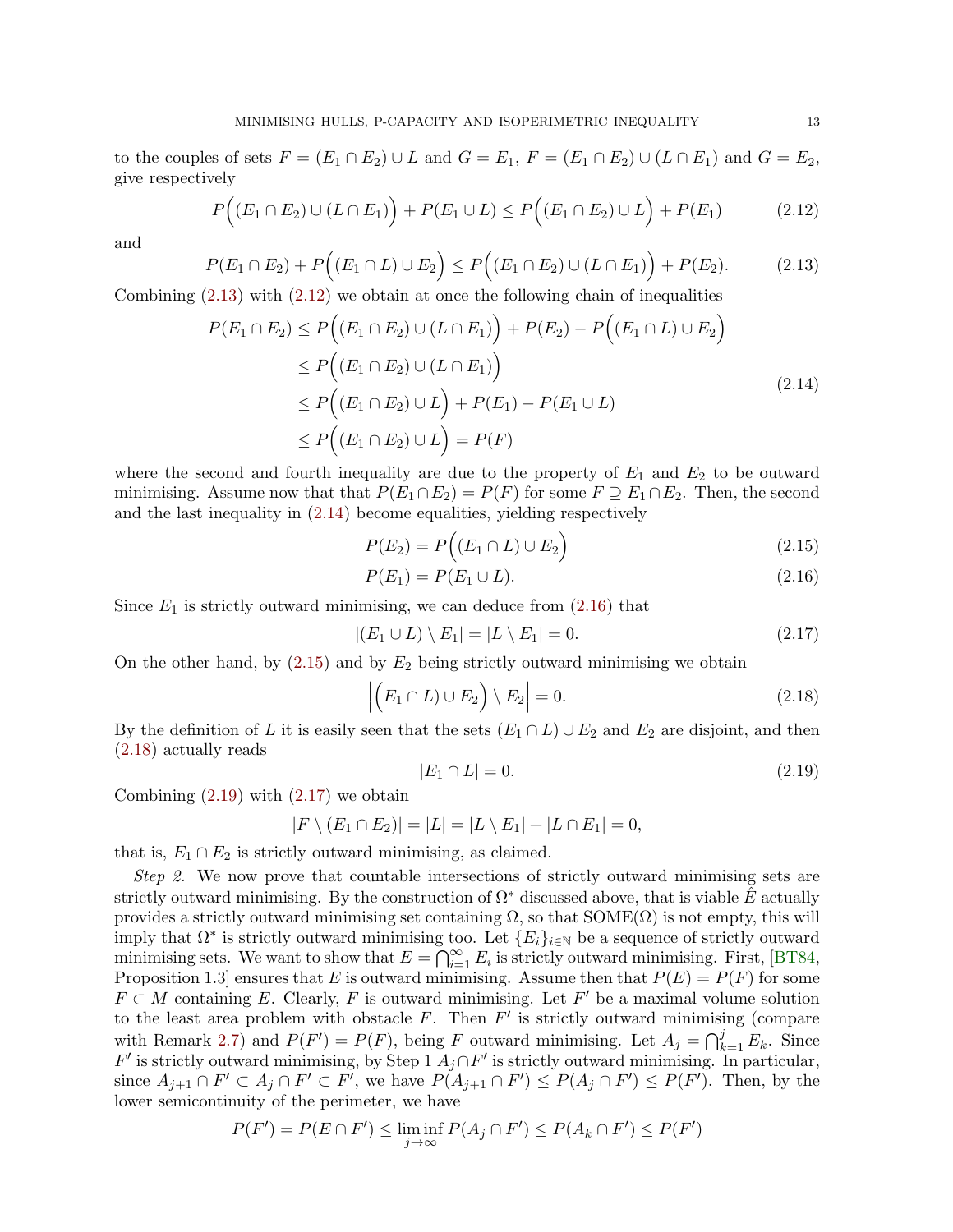to the couples of sets  $F = (E_1 \cap E_2) \cup L$  and  $G = E_1$ ,  $F = (E_1 \cap E_2) \cup (L \cap E_1)$  and  $G = E_2$ , give respectively

$$
P((E_1 \cap E_2) \cup (L \cap E_1)) + P(E_1 \cup L) \le P((E_1 \cap E_2) \cup L) + P(E_1)
$$
 (2.12)

and

$$
P(E_1 \cap E_2) + P\Big((E_1 \cap L) \cup E_2\Big) \le P\Big((E_1 \cap E_2) \cup (L \cap E_1)\Big) + P(E_2). \tag{2.13}
$$

Combining  $(2.13)$  with  $(2.12)$  we obtain at once the following chain of inequalities

$$
P(E_1 \cap E_2) \le P((E_1 \cap E_2) \cup (L \cap E_1)) + P(E_2) - P((E_1 \cap L) \cup E_2)
$$
  
\n
$$
\le P((E_1 \cap E_2) \cup (L \cap E_1))
$$
  
\n
$$
\le P((E_1 \cap E_2) \cup L) + P(E_1) - P(E_1 \cup L)
$$
  
\n
$$
\le P((E_1 \cap E_2) \cup L) = P(F)
$$
\n(2.14)

where the second and fourth inequality are due to the property of  $E_1$  and  $E_2$  to be outward minimising. Assume now that that  $P(E_1 \cap E_2) = P(F)$  for some  $F \supseteq E_1 \cap E_2$ . Then, the second and the last inequality in [\(2.14\)](#page-12-2) become equalities, yielding respectively

<span id="page-12-4"></span><span id="page-12-2"></span><span id="page-12-1"></span><span id="page-12-0"></span>
$$
P(E_2) = P((E_1 \cap L) \cup E_2)
$$
\n(2.15)

$$
P(E_1) = P(E_1 \cup L). \tag{2.16}
$$

Since  $E_1$  is strictly outward minimising, we can deduce from  $(2.16)$  that

$$
|(E_1 \cup L) \setminus E_1| = |L \setminus E_1| = 0. \tag{2.17}
$$

On the other hand, by  $(2.15)$  and by  $E_2$  being strictly outward minimising we obtain

$$
\left| \left( E_1 \cap L \right) \cup E_2 \right| \setminus E_2 \right| = 0. \tag{2.18}
$$

By the definition of L it is easily seen that the sets  $(E_1 \cap L) \cup E_2$  and  $E_2$  are disjoint, and then [\(2.18\)](#page-12-5) actually reads

<span id="page-12-7"></span><span id="page-12-6"></span><span id="page-12-5"></span><span id="page-12-3"></span>
$$
|E_1 \cap L| = 0. \t\t(2.19)
$$

Combining  $(2.19)$  with  $(2.17)$  we obtain

$$
|F \setminus (E_1 \cap E_2)| = |L| = |L \setminus E_1| + |L \cap E_1| = 0,
$$

that is,  $E_1 \cap E_2$  is strictly outward minimising, as claimed.

Step 2. We now prove that countable intersections of strictly outward minimising sets are strictly outward minimising. By the construction of  $\Omega^*$  discussed above, that is viable E actually provides a strictly outward minimising set containing  $\Omega$ , so that  $SOME(\Omega)$  is not empty, this will imply that  $\Omega^*$  is strictly outward minimising too. Let  $\{E_i\}_{i\in\mathbb{N}}$  be a sequence of strictly outward minimising sets. We want to show that  $E = \bigcap_{i=1}^{\infty} E_i$  is strictly outward minimising. First, [\[BT84,](#page-34-0) Proposition 1.3] ensures that E is outward minimising. Assume then that  $P(E) = P(F)$  for some  $F \subset M$  containing E. Clearly, F is outward minimising. Let F' be a maximal volume solution to the least area problem with obstacle  $F$ . Then  $F'$  is strictly outward minimising (compare with Remark [2.7\)](#page-8-4) and  $P(F') = P(F)$ , being F outward minimising. Let  $A_j = \bigcap_{k=1}^j E_k$ . Since  $F'$  is strictly outward minimising, by Step 1  $A_j \cap F'$  is strictly outward minimising. In particular, since  $A_{j+1} \cap F' \subset A_j \cap F' \subset F'$ , we have  $P(A_{j+1} \cap F') \leq P(A_j \cap F') \leq P(F')$ . Then, by the lower semicontinuity of the perimeter, we have

$$
P(F') = P(E \cap F') \le \liminf_{j \to \infty} P(A_j \cap F') \le P(A_k \cap F') \le P(F')
$$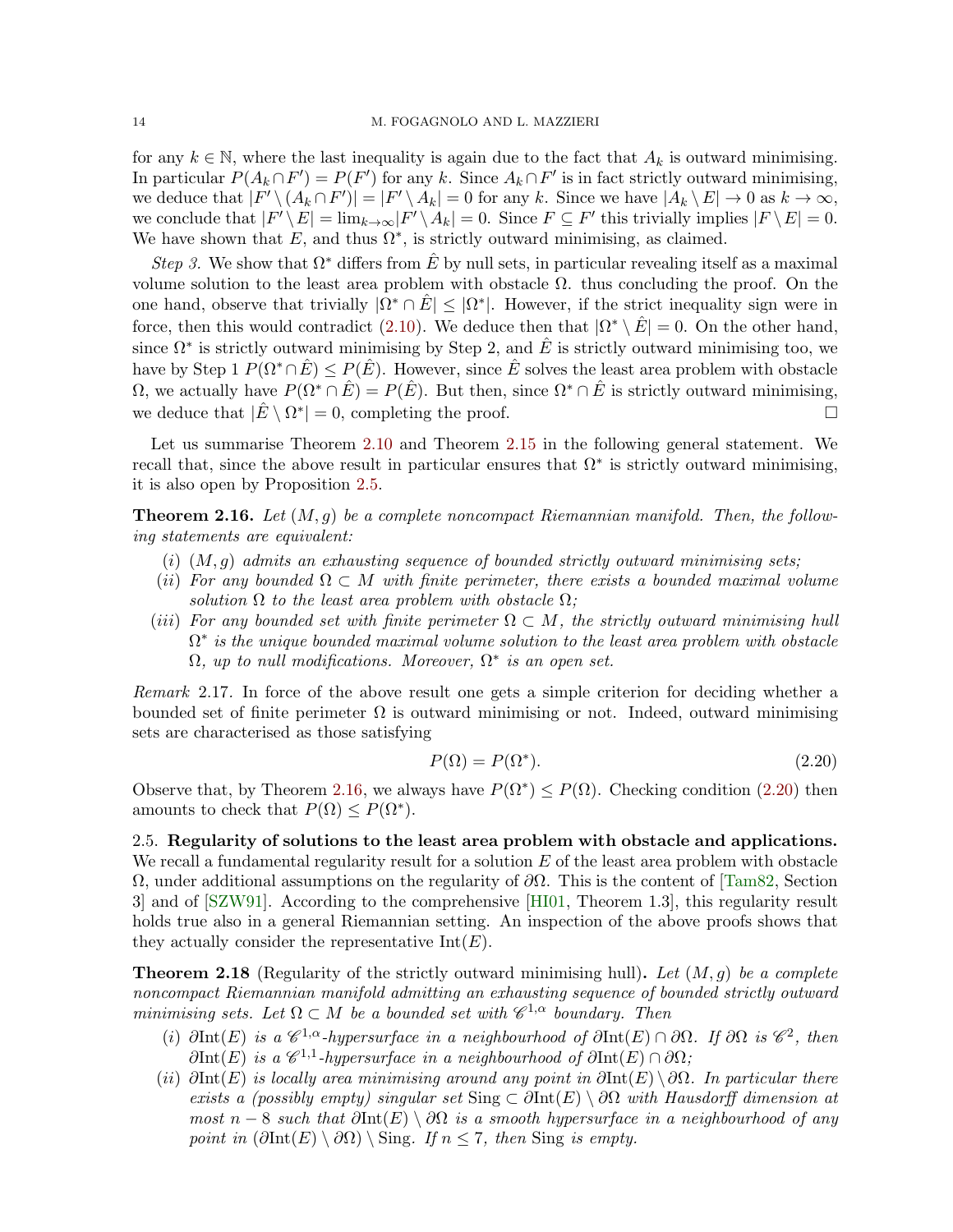for any  $k \in \mathbb{N}$ , where the last inequality is again due to the fact that  $A_k$  is outward minimising. In particular  $P(A_k \cap F') = P(F')$  for any k. Since  $A_k \cap F'$  is in fact strictly outward minimising, we deduce that  $|F' \setminus (A_k \cap F')| = |F' \setminus A_k| = 0$  for any k. Since we have  $|A_k \setminus E| \to 0$  as  $k \to \infty$ , we conclude that  $|F' \setminus E| = \lim_{k \to \infty} |F' \setminus A_k| = 0$ . Since  $F \subseteq F'$  this trivially implies  $|F \setminus E| = 0$ . We have shown that  $E$ , and thus  $\Omega^*$ , is strictly outward minimising, as claimed.

Step 3. We show that  $\Omega^*$  differs from E by null sets, in particular revealing itself as a maximal volume solution to the least area problem with obstacle  $\Omega$ . thus concluding the proof. On the one hand, observe that trivially  $|\Omega^* \cap \hat{E}| \leq |\Omega^*|$ . However, if the strict inequality sign were in force, then this would contradict [\(2.10\)](#page-10-1). We deduce then that  $|\Omega^* \setminus \hat{E}| = 0$ . On the other hand, since  $\Omega^*$  is strictly outward minimising by Step 2, and  $\hat{E}$  is strictly outward minimising too, we have by Step 1  $P(\Omega^*) \leq P(\hat{E})$ . However, since  $\hat{E}$  solves the least area problem with obstacle  $\Omega$ , we actually have  $P(\Omega^* \cap \hat{E}) = P(\hat{E})$ . But then, since  $\Omega^* \cap \hat{E}$  is strictly outward minimising, we deduce that  $|\hat{E} \setminus \Omega^*| = 0$ , completing the proof.

Let us summarise Theorem [2.10](#page-9-2) and Theorem [2.15](#page-11-1) in the following general statement. We recall that, since the above result in particular ensures that  $\Omega^*$  is strictly outward minimising, it is also open by Proposition [2.5.](#page-8-5)

<span id="page-13-0"></span>**Theorem 2.16.** Let  $(M, q)$  be a complete noncompact Riemannian manifold. Then, the following statements are equivalent:

- $(i)$   $(M, g)$  admits an exhausting sequence of bounded strictly outward minimising sets;
- (ii) For any bounded  $\Omega \subset M$  with finite perimeter, there exists a bounded maximal volume solution  $\Omega$  to the least area problem with obstacle  $\Omega$ ;
- (iii) For any bounded set with finite perimeter  $\Omega \subset M$ , the strictly outward minimising hull  $\Omega^*$  is the unique bounded maximal volume solution to the least area problem with obstacle  $\Omega$ , up to null modifications. Moreover,  $\Omega^*$  is an open set.

<span id="page-13-3"></span>Remark 2.17. In force of the above result one gets a simple criterion for deciding whether a bounded set of finite perimeter  $\Omega$  is outward minimising or not. Indeed, outward minimising sets are characterised as those satisfying

<span id="page-13-1"></span>
$$
P(\Omega) = P(\Omega^*). \tag{2.20}
$$

Observe that, by Theorem [2.16,](#page-13-0) we always have  $P(\Omega^*) \leq P(\Omega)$ . Checking condition [\(2.20\)](#page-13-1) then amounts to check that  $P(\Omega) \leq P(\Omega^*).$ 

2.5. Regularity of solutions to the least area problem with obstacle and applications. We recall a fundamental regularity result for a solution  $E$  of the least area problem with obstacle  $Ω$ , under additional assumptions on the regularity of  $\partial Ω$ . This is the content of [\[Tam82,](#page-37-4) Section 3] and of [\[SZW91\]](#page-37-5). According to the comprehensive [\[HI01,](#page-35-0) Theorem 1.3], this regularity result holds true also in a general Riemannian setting. An inspection of the above proofs shows that they actually consider the representative  $Int(E)$ .

<span id="page-13-2"></span>**Theorem 2.18** (Regularity of the strictly outward minimising hull). Let  $(M, g)$  be a complete noncompact Riemannian manifold admitting an exhausting sequence of bounded strictly outward minimising sets. Let  $\Omega \subset M$  be a bounded set with  $\mathscr{C}^{1,\alpha}$  boundary. Then

- (i)  $\partial \text{Int}(E)$  is a  $\mathscr{C}^{1,\alpha}$ -hypersurface in a neighbourhood of  $\partial \text{Int}(E) \cap \partial \Omega$ . If  $\partial \Omega$  is  $\mathscr{C}^2$ , then  $\partial \text{Int}(E)$  is a  $\mathscr{C}^{1,1}$ -hypersurface in a neighbourhood of  $\partial \text{Int}(E) \cap \partial \Omega$ ;
- (ii) ∂Int(E) is locally area minimising around any point in  $\partial$ Int(E) \ $\partial\Omega$ . In particular there exists a (possibly empty) singular set Sing  $\subset \partial \text{Int}(E) \setminus \partial \Omega$  with Hausdorff dimension at most n − 8 such that  $\partial$ Int $(E) \setminus \partial \Omega$  is a smooth hypersurface in a neighbourhood of any point in  $(\partial \text{Int}(E) \setminus \partial \Omega) \setminus \text{Sing}$ . If  $n \leq 7$ , then Sing is empty.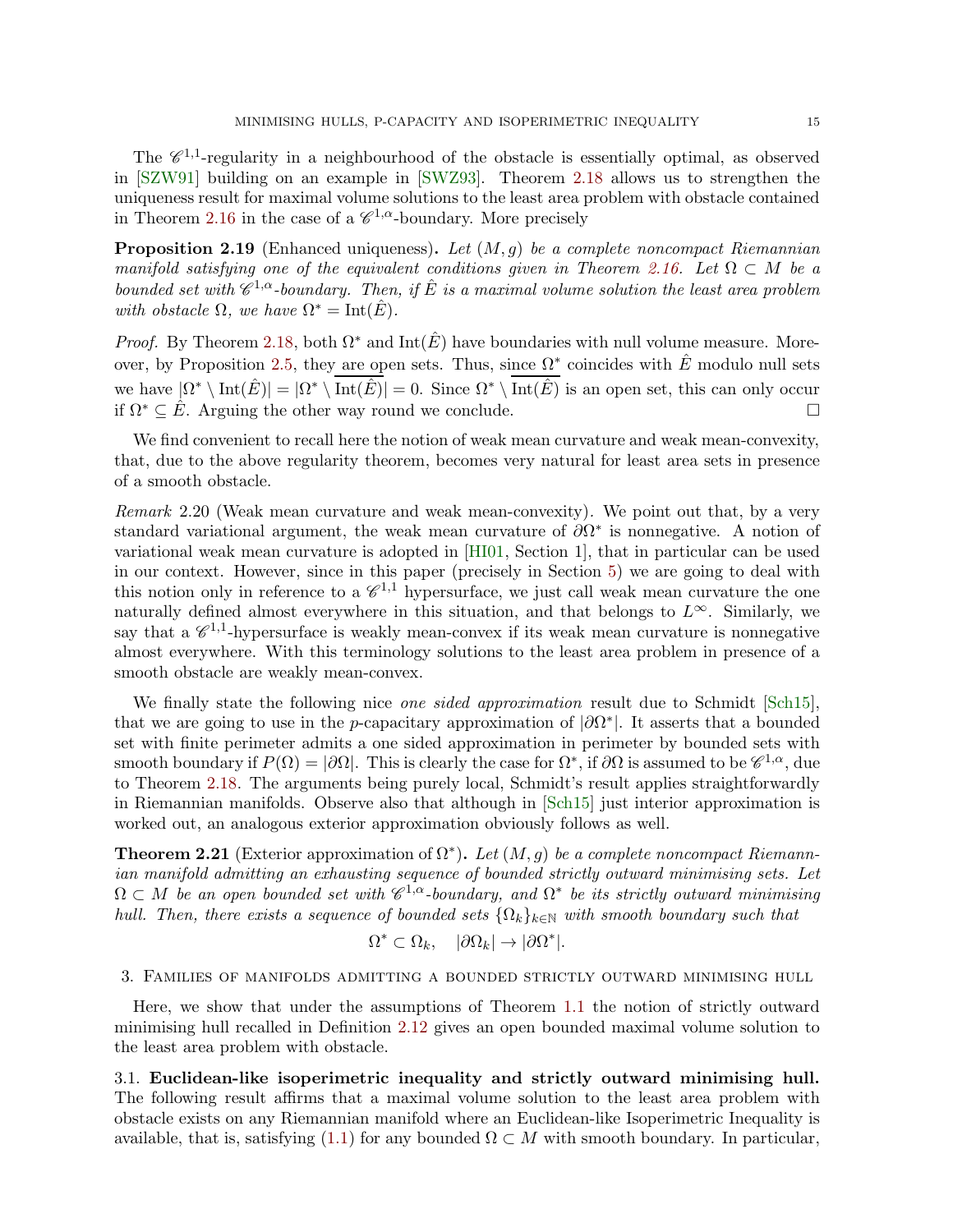The  $\mathscr{C}^{1,1}$ -regularity in a neighbourhood of the obstacle is essentially optimal, as observed in [\[SZW91\]](#page-37-5) building on an example in [\[SWZ93\]](#page-37-2). Theorem [2.18](#page-13-2) allows us to strengthen the uniqueness result for maximal volume solutions to the least area problem with obstacle contained in Theorem [2.16](#page-13-0) in the case of a  $\mathscr{C}^{1,\alpha}$ -boundary. More precisely

<span id="page-14-1"></span>**Proposition 2.19** (Enhanced uniqueness). Let  $(M, g)$  be a complete noncompact Riemannian manifold satisfying one of the equivalent conditions given in Theorem [2.16.](#page-13-0) Let  $\Omega \subset M$  be a bounded set with  $\mathscr{C}^{1,\alpha}$ -boundary. Then, if  $\hat{E}$  is a maximal volume solution the least area problem with obstacle  $\Omega$ , we have  $\Omega^* = \text{Int}(\hat{E})$ .

*Proof.* By Theorem [2.18,](#page-13-2) both  $\Omega^*$  and Int( $\hat{E}$ ) have boundaries with null volume measure. More-over, by Proposition [2.5,](#page-8-5) they are open sets. Thus, since  $\Omega^*$  coincides with  $\hat{E}$  modulo null sets we have  $|\Omega^* \setminus \text{Int}(\hat{E})| = |\Omega^* \setminus \text{Int}(\hat{E})| = 0$ . Since  $\Omega^* \setminus \text{Int}(\hat{E})$  is an open set, this can only occur if  $\Omega^* \subseteq \hat{E}$ . Arguing the other way round we conclude.

We find convenient to recall here the notion of weak mean curvature and weak mean-convexity, that, due to the above regularity theorem, becomes very natural for least area sets in presence of a smooth obstacle.

<span id="page-14-3"></span>Remark 2.20 (Weak mean curvature and weak mean-convexity). We point out that, by a very standard variational argument, the weak mean curvature of  $\partial\Omega^*$  is nonnegative. A notion of variational weak mean curvature is adopted in [\[HI01,](#page-35-0) Section 1], that in particular can be used in our context. However, since in this paper (precisely in Section [5\)](#page-26-1) we are going to deal with this notion only in reference to a  $\mathscr{C}^{1,1}$  hypersurface, we just call weak mean curvature the one naturally defined almost everywhere in this situation, and that belongs to  $L^{\infty}$ . Similarly, we say that a  $\mathscr{C}^{1,1}$ -hypersurface is weakly mean-convex if its weak mean curvature is nonnegative almost everywhere. With this terminology solutions to the least area problem in presence of a smooth obstacle are weakly mean-convex.

We finally state the following nice *one sided approximation* result due to Schmidt [\[Sch15\]](#page-37-6), that we are going to use in the p-capacitary approximation of  $|\partial\Omega^*|$ . It asserts that a bounded set with finite perimeter admits a one sided approximation in perimeter by bounded sets with smooth boundary if  $P(\Omega) = |\partial \Omega|$ . This is clearly the case for  $\Omega^*$ , if  $\partial \Omega$  is assumed to be  $\mathscr{C}^{1,\alpha}$ , due to Theorem [2.18.](#page-13-2) The arguments being purely local, Schmidt's result applies straightforwardly in Riemannian manifolds. Observe also that although in [\[Sch15\]](#page-37-6) just interior approximation is worked out, an analogous exterior approximation obviously follows as well.

<span id="page-14-2"></span>**Theorem 2.21** (Exterior approximation of  $\Omega^*$ ). Let  $(M, g)$  be a complete noncompact Riemannian manifold admitting an exhausting sequence of bounded strictly outward minimising sets. Let  $\Omega \subset M$  be an open bounded set with  $\mathscr{C}^{1,\alpha}$ -boundary, and  $\Omega^*$  be its strictly outward minimising hull. Then, there exists a sequence of bounded sets  $\{\Omega_k\}_{k\in\mathbb{N}}$  with smooth boundary such that

$$
\Omega^* \subset \Omega_k, \quad |\partial \Omega_k| \to |\partial \Omega^*|.
$$

<span id="page-14-0"></span>3. Families of manifolds admitting a bounded strictly outward minimising hull

Here, we show that under the assumptions of Theorem [1.1](#page-2-0) the notion of strictly outward minimising hull recalled in Definition [2.12](#page-11-0) gives an open bounded maximal volume solution to the least area problem with obstacle.

3.1. Euclidean-like isoperimetric inequality and strictly outward minimising hull. The following result affirms that a maximal volume solution to the least area problem with obstacle exists on any Riemannian manifold where an Euclidean-like Isoperimetric Inequality is available, that is, satisfying [\(1.1\)](#page-2-1) for any bounded  $\Omega \subset M$  with smooth boundary. In particular,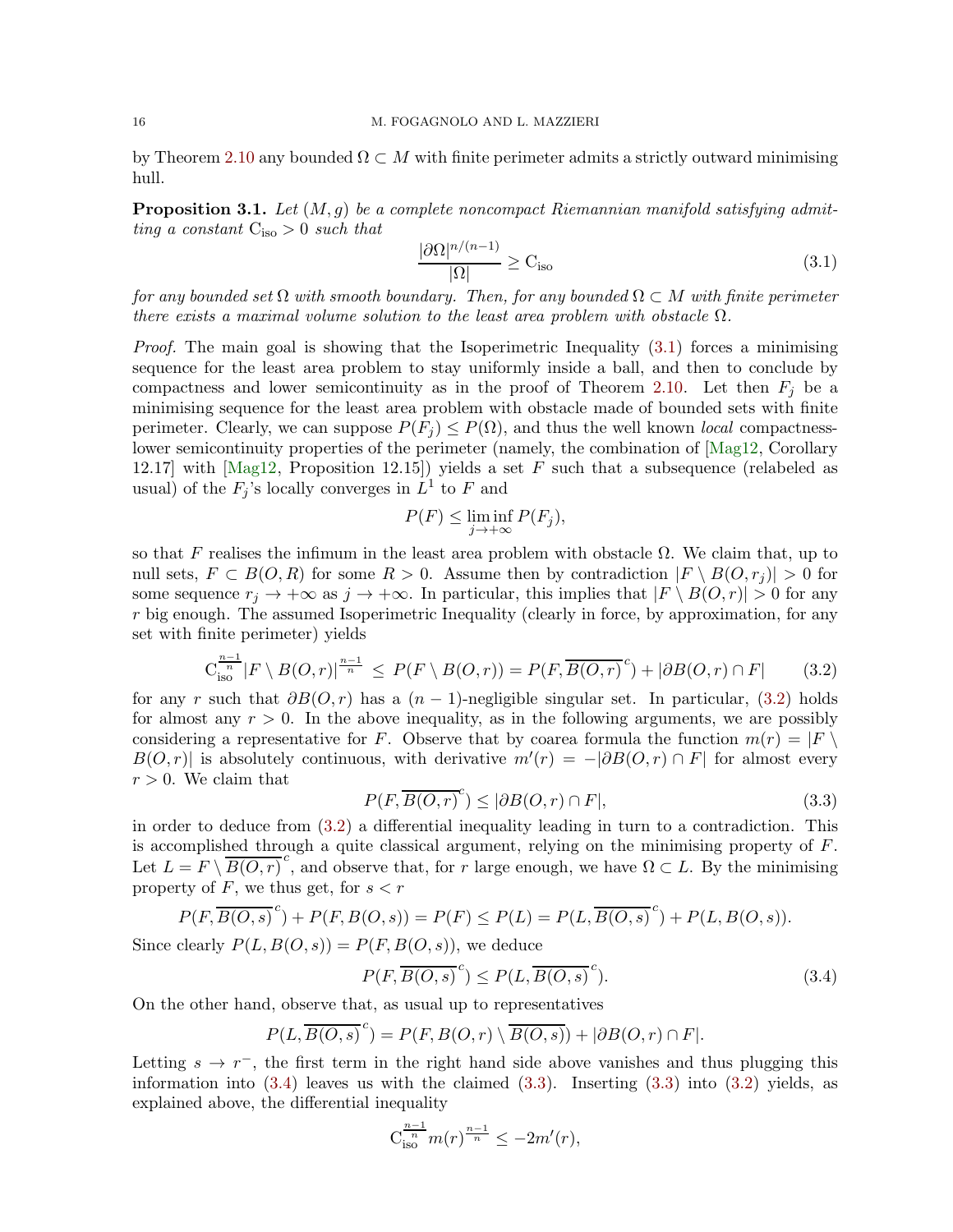by Theorem [2.10](#page-9-2) any bounded  $\Omega \subset M$  with finite perimeter admits a strictly outward minimising hull.

<span id="page-15-4"></span>**Proposition 3.1.** Let  $(M, g)$  be a complete noncompact Riemannian manifold satisfying admitting a constant  $C_{iso} > 0$  such that

<span id="page-15-0"></span>
$$
\frac{|\partial\Omega|^{n/(n-1)}}{|\Omega|} \ge \mathcal{C}_{\text{iso}}\tag{3.1}
$$

for any bounded set  $\Omega$  with smooth boundary. Then, for any bounded  $\Omega \subset M$  with finite perimeter there exists a maximal volume solution to the least area problem with obstacle  $\Omega$ .

*Proof.* The main goal is showing that the Isoperimetric Inequality  $(3.1)$  forces a minimising sequence for the least area problem to stay uniformly inside a ball, and then to conclude by compactness and lower semicontinuity as in the proof of Theorem [2.10.](#page-9-2) Let then  $F_i$  be a minimising sequence for the least area problem with obstacle made of bounded sets with finite perimeter. Clearly, we can suppose  $P(F_i) \leq P(\Omega)$ , and thus the well known *local* compactnesslower semicontinuity properties of the perimeter (namely, the combination of [\[Mag12,](#page-36-9) Corollary 12.17] with [\[Mag12,](#page-36-9) Proposition 12.15]) yields a set F such that a subsequence (relabeled as usual) of the  $F_j$ 's locally converges in  $L^1$  to F and

<span id="page-15-1"></span>
$$
P(F) \le \liminf_{j \to +\infty} P(F_j),
$$

so that F realises the infimum in the least area problem with obstacle  $\Omega$ . We claim that, up to null sets,  $F \subset B(O, R)$  for some  $R > 0$ . Assume then by contradiction  $|F \setminus B(O, r_i)| > 0$  for some sequence  $r_i \to +\infty$  as  $j \to +\infty$ . In particular, this implies that  $|F \setminus B(0,r)| > 0$  for any r big enough. The assumed Isoperimetric Inequality (clearly in force, by approximation, for any set with finite perimeter) yields

$$
C_{\text{iso}}^{\frac{n-1}{n}} |F \setminus B(O, r)|^{\frac{n-1}{n}} \le P(F \setminus B(O, r)) = P(F, \overline{B(O, r)}^c) + |\partial B(O, r) \cap F| \qquad (3.2)
$$

for any r such that  $\partial B(0, r)$  has a  $(n - 1)$ -negligible singular set. In particular, [\(3.2\)](#page-15-1) holds for almost any  $r > 0$ . In the above inequality, as in the following arguments, we are possibly considering a representative for F. Observe that by coarea formula the function  $m(r) = |F|$  $B(O,r)|$  is absolutely continuous, with derivative  $m'(r) = -|\partial B(O,r) \cap F|$  for almost every  $r > 0$ . We claim that

<span id="page-15-3"></span>
$$
P(F, \overline{B(O, r)}^c) \le |\partial B(O, r) \cap F|,
$$
\n(3.3)

in order to deduce from [\(3.2\)](#page-15-1) a differential inequality leading in turn to a contradiction. This is accomplished through a quite classical argument, relying on the minimising property of  $F$ . Let  $L = F \setminus \overline{B(O, r)}^c$ , and observe that, for r large enough, we have  $\Omega \subset L$ . By the minimising property of  $F$ , we thus get, for  $s < r$ 

$$
P(F, \overline{B(O,s)}^c) + P(F, B(O,s)) = P(F) \le P(L) = P(L, \overline{B(O,s)}^c) + P(L, B(O,s)).
$$

Since clearly  $P(L, B(O, s)) = P(F, B(O, s))$ , we deduce

<span id="page-15-2"></span>
$$
P(F, \overline{B(O,s)}^c) \le P(L, \overline{B(O,s)}^c).
$$
\n(3.4)

On the other hand, observe that, as usual up to representatives

$$
P(L,\overline{B(O,s)}^c)=P(F,B(O,r)\setminus\overline{B(O,s)})+|\partial B(O,r)\cap F|.
$$

Letting  $s \to r^{-}$ , the first term in the right hand side above vanishes and thus plugging this information into  $(3.4)$  leaves us with the claimed  $(3.3)$ . Inserting  $(3.3)$  into  $(3.2)$  yields, as explained above, the differential inequality

$$
C_{\text{iso}}^{\frac{n-1}{n}} m(r)^{\frac{n-1}{n}} \leq -2m'(r),
$$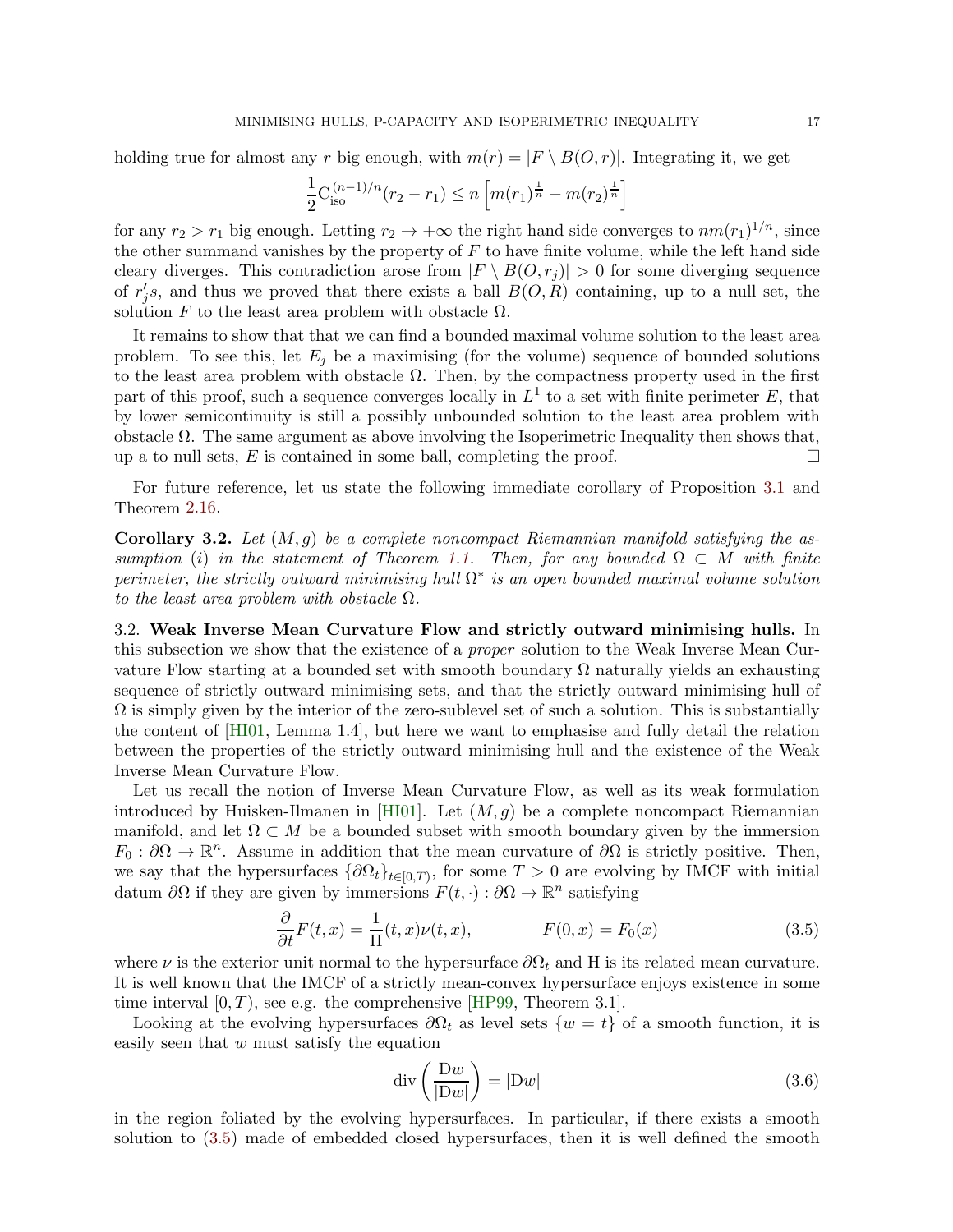holding true for almost any r big enough, with  $m(r) = |F \setminus B(O, r)|$ . Integrating it, we get

$$
\frac{1}{2}C_{\text{iso}}^{(n-1)/n}(r_2 - r_1) \le n \left[ m(r_1)^{\frac{1}{n}} - m(r_2)^{\frac{1}{n}} \right]
$$

for any  $r_2 > r_1$  big enough. Letting  $r_2 \to +\infty$  the right hand side converges to  $nm(r_1)^{1/n}$ , since the other summand vanishes by the property of  $F$  to have finite volume, while the left hand side cleary diverges. This contradiction arose from  $|F \setminus B(0, r_i)| > 0$  for some diverging sequence of  $r'_j$ s, and thus we proved that there exists a ball  $B(O, R)$  containing, up to a null set, the solution F to the least area problem with obstacle  $\Omega$ .

It remains to show that that we can find a bounded maximal volume solution to the least area problem. To see this, let  $E_j$  be a maximising (for the volume) sequence of bounded solutions to the least area problem with obstacle  $\Omega$ . Then, by the compactness property used in the first part of this proof, such a sequence converges locally in  $L^1$  to a set with finite perimeter E, that by lower semicontinuity is still a possibly unbounded solution to the least area problem with obstacle  $Ω$ . The same argument as above involving the Isoperimetric Inequality then shows that, up a to null sets, E is contained in some ball, completing the proof.  $\Box$ 

For future reference, let us state the following immediate corollary of Proposition [3.1](#page-15-4) and Theorem [2.16.](#page-13-0)

<span id="page-16-3"></span>**Corollary 3.2.** Let  $(M, g)$  be a complete noncompact Riemannian manifold satisfying the as-sumption (i) in the statement of Theorem [1.1.](#page-2-0) Then, for any bounded  $\Omega \subset M$  with finite perimeter, the strictly outward minimising hull  $\Omega^*$  is an open bounded maximal volume solution to the least area problem with obstacle  $\Omega$ .

<span id="page-16-0"></span>3.2. Weak Inverse Mean Curvature Flow and strictly outward minimising hulls. In this subsection we show that the existence of a *proper* solution to the Weak Inverse Mean Curvature Flow starting at a bounded set with smooth boundary  $\Omega$  naturally yields an exhausting sequence of strictly outward minimising sets, and that the strictly outward minimising hull of  $\Omega$  is simply given by the interior of the zero-sublevel set of such a solution. This is substantially the content of [\[HI01,](#page-35-0) Lemma 1.4], but here we want to emphasise and fully detail the relation between the properties of the strictly outward minimising hull and the existence of the Weak Inverse Mean Curvature Flow.

Let us recall the notion of Inverse Mean Curvature Flow, as well as its weak formulation introduced by Huisken-Ilmanen in [\[HI01\]](#page-35-0). Let  $(M, g)$  be a complete noncompact Riemannian manifold, and let  $\Omega \subset M$  be a bounded subset with smooth boundary given by the immersion  $F_0: \partial\Omega \to \mathbb{R}^n$ . Assume in addition that the mean curvature of  $\partial\Omega$  is strictly positive. Then, we say that the hypersurfaces  $\{\partial\Omega_t\}_{t\in[0,T)}$ , for some  $T>0$  are evolving by IMCF with initial datum  $\partial\Omega$  if they are given by immersions  $F(t, \cdot): \partial\Omega \to \mathbb{R}^n$  satisfying

$$
\frac{\partial}{\partial t}F(t,x) = \frac{1}{H}(t,x)\nu(t,x), \qquad F(0,x) = F_0(x) \qquad (3.5)
$$

where  $\nu$  is the exterior unit normal to the hypersurface  $\partial\Omega_t$  and H is its related mean curvature. It is well known that the IMCF of a strictly mean-convex hypersurface enjoys existence in some time interval  $[0, T)$ , see e.g. the comprehensive [\[HP99,](#page-36-10) Theorem 3.1].

Looking at the evolving hypersurfaces  $\partial\Omega_t$  as level sets  $\{w = t\}$  of a smooth function, it is easily seen that  $w$  must satisfy the equation

<span id="page-16-2"></span><span id="page-16-1"></span>
$$
\operatorname{div}\left(\frac{\mathrm{D}w}{|\mathrm{D}w|}\right) = |\mathrm{D}w|\tag{3.6}
$$

in the region foliated by the evolving hypersurfaces. In particular, if there exists a smooth solution to [\(3.5\)](#page-16-1) made of embedded closed hypersurfaces, then it is well defined the smooth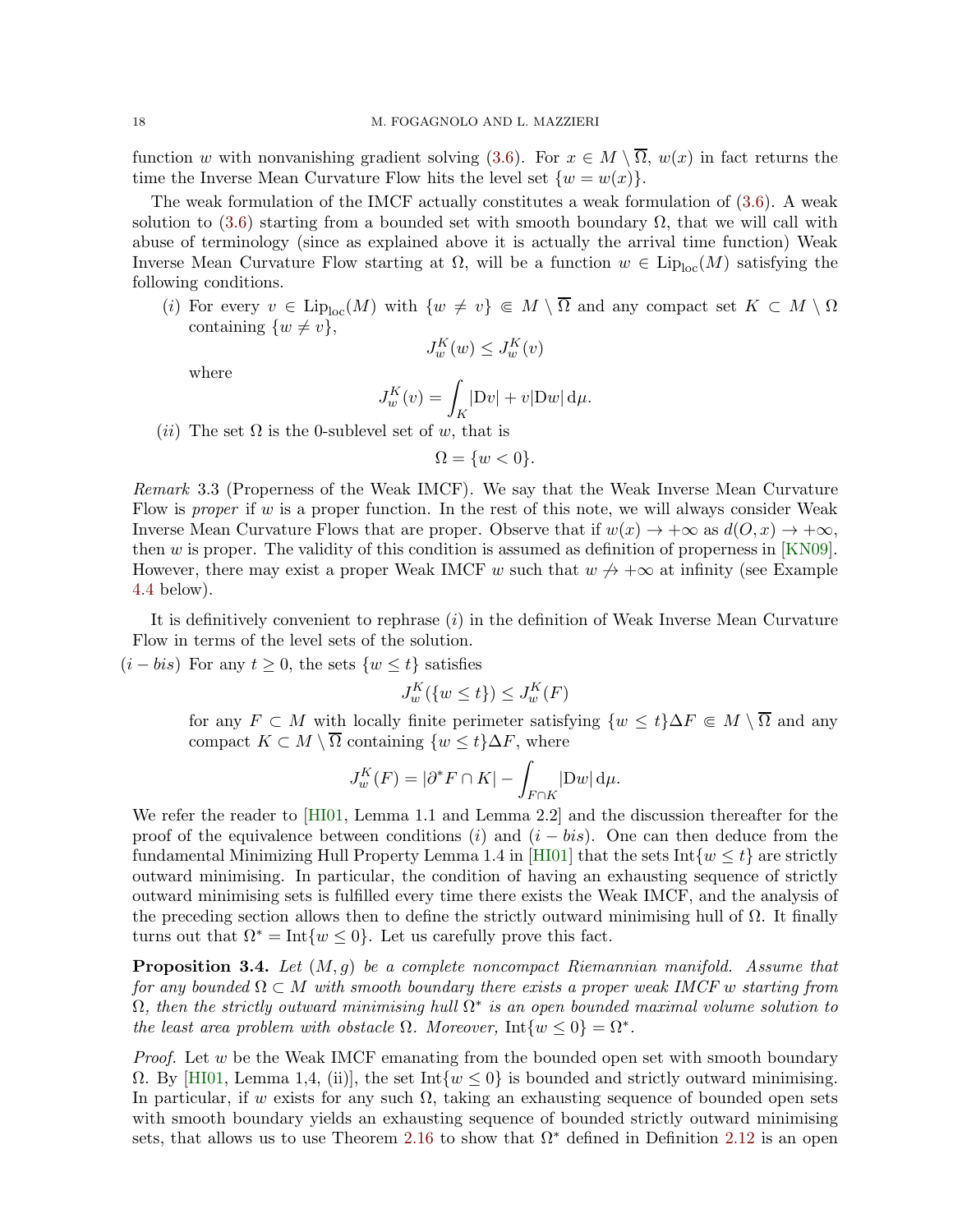function w with nonvanishing gradient solving [\(3.6\)](#page-16-2). For  $x \in M \setminus \overline{\Omega}$ ,  $w(x)$  in fact returns the time the Inverse Mean Curvature Flow hits the level set  $\{w = w(x)\}.$ 

The weak formulation of the IMCF actually constitutes a weak formulation of [\(3.6\)](#page-16-2). A weak solution to  $(3.6)$  starting from a bounded set with smooth boundary  $\Omega$ , that we will call with abuse of terminology (since as explained above it is actually the arrival time function) Weak Inverse Mean Curvature Flow starting at  $\Omega$ , will be a function  $w \in \text{Lip}_{\text{loc}}(M)$  satisfying the following conditions.

(i) For every  $v \in \text{Lip}_{\text{loc}}(M)$  with  $\{w \neq v\} \in M \setminus \overline{\Omega}$  and any compact set  $K \subset M \setminus \Omega$ containing  $\{w \neq v\},\$ 

$$
J_w^K(w) \le J_w^K(v)
$$

where

$$
J_w^K(v) = \int_K |Dv| + v|Dw| \,d\mu.
$$

(*ii*) The set  $\Omega$  is the 0-sublevel set of w, that is

 $\Omega = \{w < 0\}.$ 

<span id="page-17-1"></span>Remark 3.3 (Properness of the Weak IMCF). We say that the Weak Inverse Mean Curvature Flow is *proper* if w is a proper function. In the rest of this note, we will always consider Weak Inverse Mean Curvature Flows that are proper. Observe that if  $w(x) \to +\infty$  as  $d(O, x) \to +\infty$ , then w is proper. The validity of this condition is assumed as definition of properness in [\[KN09\]](#page-36-11). However, there may exist a proper Weak IMCF w such that  $w \nrightarrow +\infty$  at infinity (see Example [4.4](#page-26-0) below).

It is definitively convenient to rephrase  $(i)$  in the definition of Weak Inverse Mean Curvature Flow in terms of the level sets of the solution.

 $(i - bis)$  For any  $t \geq 0$ , the sets  $\{w \leq t\}$  satisfies

$$
J_w^K(\{w \le t\}) \le J_w^K(F)
$$

for any  $F \subset M$  with locally finite perimeter satisfying  $\{w \leq t\} \Delta F \Subset M \setminus \overline{\Omega}$  and any compact  $K \subset M \setminus \overline{\Omega}$  containing  $\{w \leq t\} \Delta F$ , where

$$
J_w^K(F) = |\partial^* F \cap K| - \int_{F \cap K} |\mathrm{D} w| \, \mathrm{d}\mu.
$$

We refer the reader to [\[HI01,](#page-35-0) Lemma 1.1 and Lemma 2.2] and the discussion thereafter for the proof of the equivalence between conditions (i) and  $(i - bis)$ . One can then deduce from the fundamental Minimizing Hull Property Lemma 1.4 in [\[HI01\]](#page-35-0) that the sets Int $\{w \leq t\}$  are strictly outward minimising. In particular, the condition of having an exhausting sequence of strictly outward minimising sets is fulfilled every time there exists the Weak IMCF, and the analysis of the preceding section allows then to define the strictly outward minimising hull of  $\Omega$ . It finally turns out that  $\Omega^* = \text{Int}\{w \leq 0\}$ . Let us carefully prove this fact.

<span id="page-17-0"></span>**Proposition 3.4.** Let  $(M, g)$  be a complete noncompact Riemannian manifold. Assume that for any bounded  $\Omega \subset M$  with smooth boundary there exists a proper weak IMCF w starting from  $\Omega$ , then the strictly outward minimising hull  $\Omega^*$  is an open bounded maximal volume solution to the least area problem with obstacle  $\Omega$ . Moreover, Int $\{w \le 0\} = \Omega^*$ .

*Proof.* Let  $w$  be the Weak IMCF emanating from the bounded open set with smooth boundary  $\Omega$ . By [\[HI01,](#page-35-0) Lemma 1,4, (ii)], the set Int $\{w \leq 0\}$  is bounded and strictly outward minimising. In particular, if w exists for any such  $\Omega$ , taking an exhausting sequence of bounded open sets with smooth boundary yields an exhausting sequence of bounded strictly outward minimising sets, that allows us to use Theorem [2.16](#page-13-0) to show that  $\Omega^*$  defined in Definition [2.12](#page-11-0) is an open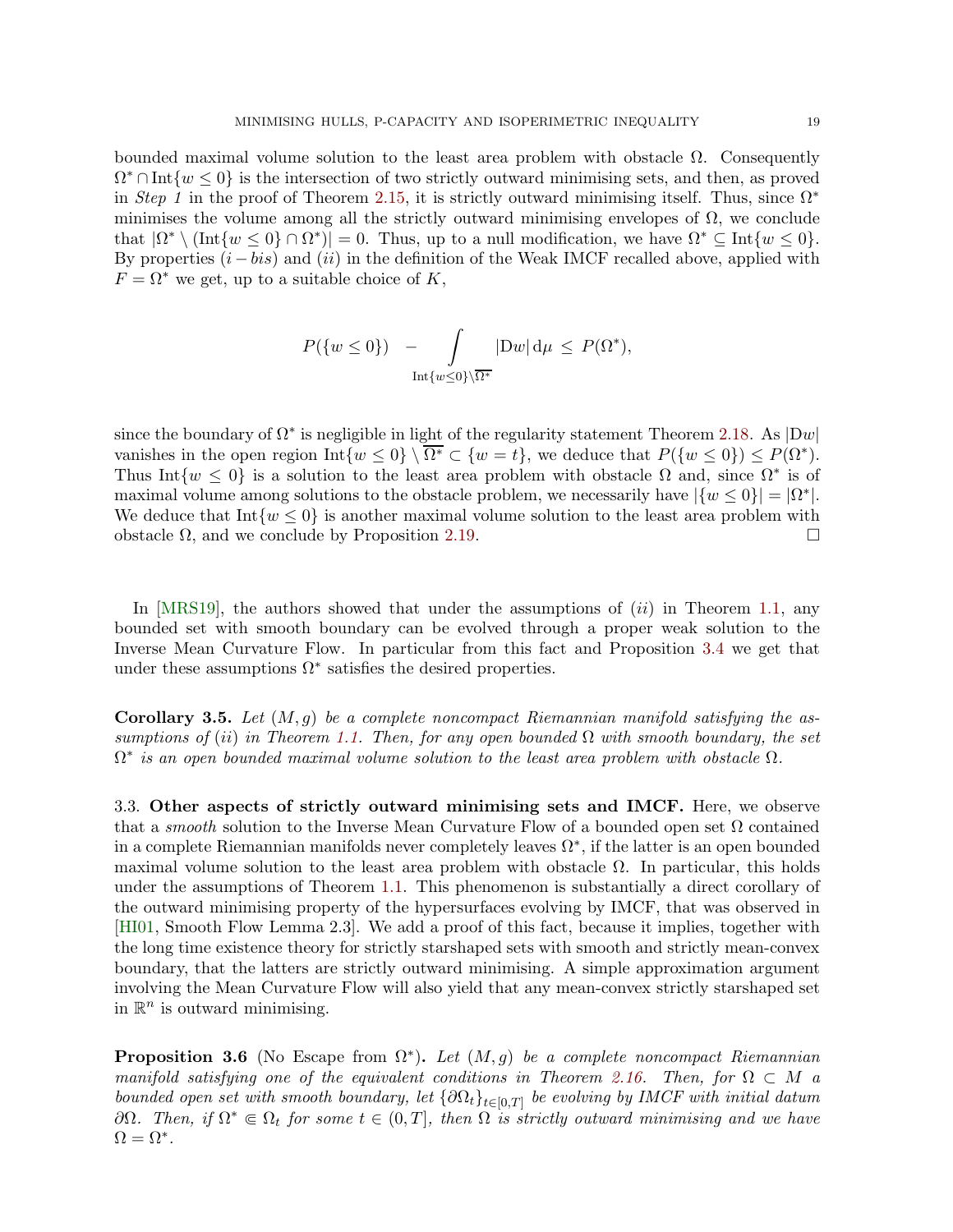bounded maximal volume solution to the least area problem with obstacle  $\Omega$ . Consequently  $\Omega^* \cap \text{Int}\{w \leq 0\}$  is the intersection of two strictly outward minimising sets, and then, as proved in Step 1 in the proof of Theorem [2.15,](#page-11-1) it is strictly outward minimising itself. Thus, since  $\Omega^*$ minimises the volume among all the strictly outward minimising envelopes of  $\Omega$ , we conclude that  $|\Omega^* \setminus (\text{Int}\{w \leq 0\} \cap \Omega^*)| = 0$ . Thus, up to a null modification, we have  $\Omega^* \subseteq \text{Int}\{w \leq 0\}$ . By properties  $(i - bis)$  and  $(ii)$  in the definition of the Weak IMCF recalled above, applied with  $F = \Omega^*$  we get, up to a suitable choice of K,

$$
P({w \le 0}) - \int_{\text{Int}\{w \le 0\}\setminus\overline{\Omega^*}} |Dw| d\mu \le P(\Omega^*),
$$

since the boundary of  $\Omega^*$  is negligible in light of the regularity statement Theorem [2.18.](#page-13-2) As  $|Dw|$ vanishes in the open region  $\text{Int}\{w \leq 0\} \setminus \overline{\Omega^*} \subset \{w = t\}$ , we deduce that  $P(\{w \leq 0\}) \leq P(\Omega^*)$ . Thus Int $\{w \leq 0\}$  is a solution to the least area problem with obstacle  $\Omega$  and, since  $\Omega^*$  is of maximal volume among solutions to the obstacle problem, we necessarily have  $|\{w \le 0\}| = |\Omega^*|$ . We deduce that  $\text{Int}\{w \leq 0\}$  is another maximal volume solution to the least area problem with obstacle Ω, and we conclude by Proposition [2.19.](#page-14-1)  $\Box$ 

In  $[MRS19]$ , the authors showed that under the assumptions of  $(ii)$  in Theorem [1.1,](#page-2-0) any bounded set with smooth boundary can be evolved through a proper weak solution to the Inverse Mean Curvature Flow. In particular from this fact and Proposition [3.4](#page-17-0) we get that under these assumptions  $\Omega^*$  satisfies the desired properties.

<span id="page-18-1"></span>**Corollary 3.5.** Let  $(M, g)$  be a complete noncompact Riemannian manifold satisfying the as-sumptions of (ii) in Theorem [1.1.](#page-2-0) Then, for any open bounded  $\Omega$  with smooth boundary, the set  $\Omega^*$  is an open bounded maximal volume solution to the least area problem with obstacle  $\Omega$ .

3.3. Other aspects of strictly outward minimising sets and IMCF. Here, we observe that a *smooth* solution to the Inverse Mean Curvature Flow of a bounded open set  $\Omega$  contained in a complete Riemannian manifolds never completely leaves  $\Omega^*$ , if the latter is an open bounded maximal volume solution to the least area problem with obstacle  $\Omega$ . In particular, this holds under the assumptions of Theorem [1.1.](#page-2-0) This phenomenon is substantially a direct corollary of the outward minimising property of the hypersurfaces evolving by IMCF, that was observed in [\[HI01,](#page-35-0) Smooth Flow Lemma 2.3]. We add a proof of this fact, because it implies, together with the long time existence theory for strictly starshaped sets with smooth and strictly mean-convex boundary, that the latters are strictly outward minimising. A simple approximation argument involving the Mean Curvature Flow will also yield that any mean-convex strictly starshaped set in  $\mathbb{R}^n$  is outward minimising.

<span id="page-18-0"></span>**Proposition 3.6** (No Escape from  $\Omega^*$ ). Let  $(M, g)$  be a complete noncompact Riemannian manifold satisfying one of the equivalent conditions in Theorem [2.16.](#page-13-0) Then, for  $\Omega \subset M$  a bounded open set with smooth boundary, let  $\{\partial\Omega_t\}_{t\in[0,T]}$  be evolving by IMCF with initial datum  $\partial Ω$ . Then, if  $Ω^* ⊆ Ω$ <sub>t</sub> for some  $t ∈ (0, T]$ , then  $Ω$  is strictly outward minimising and we have  $\Omega = \Omega^*$ .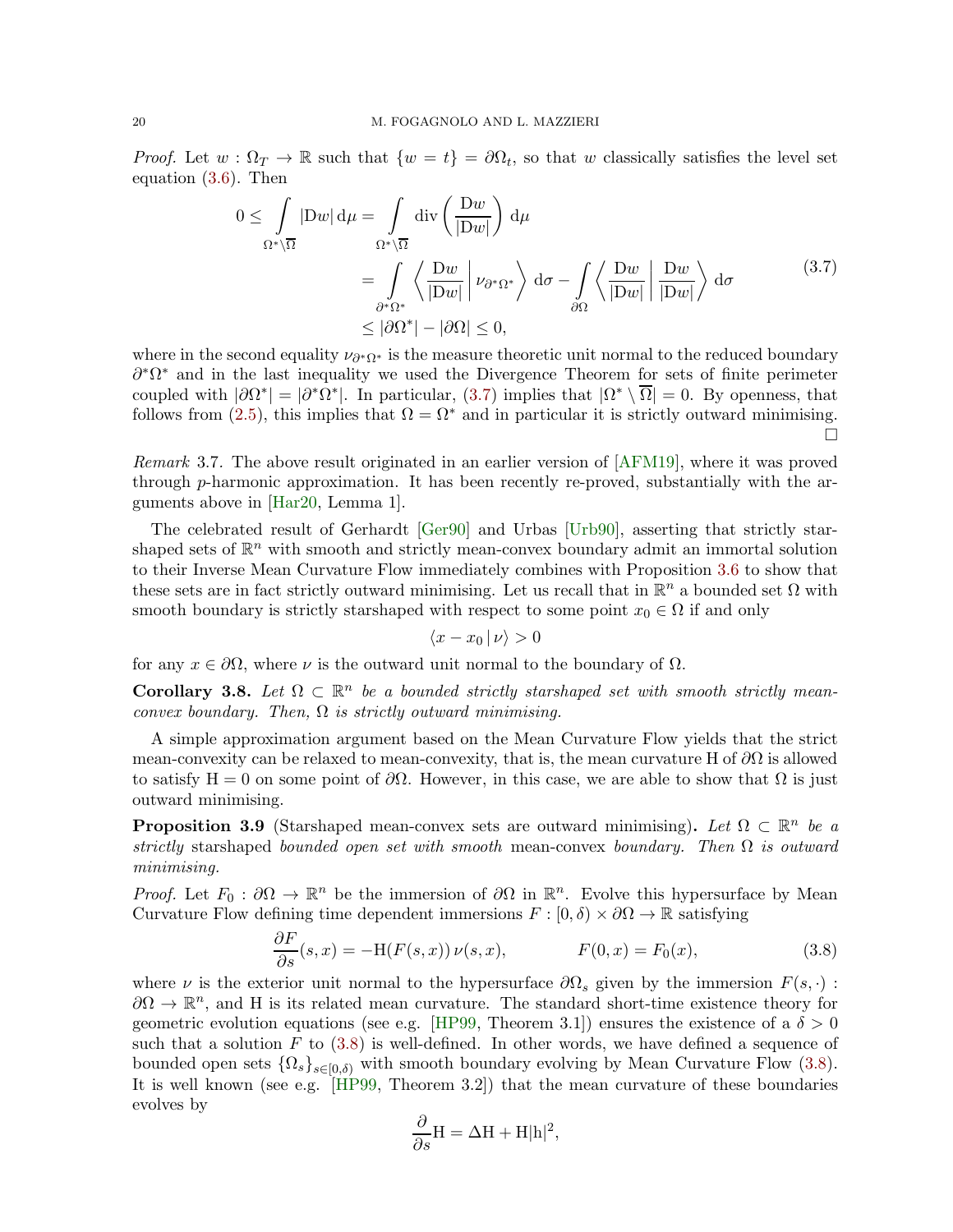*Proof.* Let  $w : \Omega_T \to \mathbb{R}$  such that  $\{w = t\} = \partial \Omega_t$ , so that w classically satisfies the level set equation [\(3.6\)](#page-16-2). Then

$$
0 \leq \int_{\Omega^*\setminus\overline{\Omega}} |Dw| d\mu = \int_{\Omega^*\setminus\overline{\Omega}} \operatorname{div}\left(\frac{Dw}{|Dw|}\right) d\mu
$$
  
= 
$$
\int_{\partial^*\Omega^*} \left\langle \frac{Dw}{|Dw|} \middle| \nu_{\partial^*\Omega^*} \right\rangle d\sigma - \int_{\partial\Omega} \left\langle \frac{Dw}{|Dw|} \middle| \frac{Dw}{|Dw|} \right\rangle d\sigma
$$
(3.7)  

$$
\leq |\partial\Omega^*| - |\partial\Omega| \leq 0,
$$

where in the second equality  $\nu_{\partial^*\Omega^*}$  is the measure theoretic unit normal to the reduced boundary  $\partial^* \Omega^*$  and in the last inequality we used the Divergence Theorem for sets of finite perimeter coupled with  $|\partial\Omega^*|=|\partial^*\Omega^*|$ . In particular, [\(3.7\)](#page-19-0) implies that  $|\Omega^*\setminus\overline{\Omega}|=0$ . By openness, that follows from [\(2.5\)](#page-8-5), this implies that  $\Omega = \Omega^*$  and in particular it is strictly outward minimising.  $\Box$ 

Remark 3.7. The above result originated in an earlier version of [\[AFM19\]](#page-34-1), where it was proved through p-harmonic approximation. It has been recently re-proved, substantially with the arguments above in [\[Har20,](#page-35-12) Lemma 1].

The celebrated result of Gerhardt [\[Ger90\]](#page-35-13) and Urbas [\[Urb90\]](#page-37-7), asserting that strictly starshaped sets of  $\mathbb{R}^n$  with smooth and strictly mean-convex boundary admit an immortal solution to their Inverse Mean Curvature Flow immediately combines with Proposition [3.6](#page-18-0) to show that these sets are in fact strictly outward minimising. Let us recall that in  $\mathbb{R}^n$  a bounded set  $\Omega$  with smooth boundary is strictly starshaped with respect to some point  $x_0 \in \Omega$  if and only

<span id="page-19-0"></span>
$$
\langle x - x_0 | \nu \rangle > 0
$$

for any  $x \in \partial\Omega$ , where  $\nu$  is the outward unit normal to the boundary of  $\Omega$ .

<span id="page-19-2"></span>Corollary 3.8. Let  $\Omega \subset \mathbb{R}^n$  be a bounded strictly starshaped set with smooth strictly meanconvex boundary. Then,  $\Omega$  is strictly outward minimising.

A simple approximation argument based on the Mean Curvature Flow yields that the strict mean-convexity can be relaxed to mean-convexity, that is, the mean curvature H of  $\partial\Omega$  is allowed to satisfy H = 0 on some point of  $\partial\Omega$ . However, in this case, we are able to show that  $\Omega$  is just outward minimising.

<span id="page-19-3"></span>**Proposition 3.9** (Starshaped mean-convex sets are outward minimising). Let  $\Omega \subset \mathbb{R}^n$  be a strictly starshaped bounded open set with smooth mean-convex boundary. Then  $\Omega$  is outward minimising.

*Proof.* Let  $F_0: \partial\Omega \to \mathbb{R}^n$  be the immersion of  $\partial\Omega$  in  $\mathbb{R}^n$ . Evolve this hypersurface by Mean Curvature Flow defining time dependent immersions  $F : [0, \delta) \times \partial \Omega \to \mathbb{R}$  satisfying

$$
\frac{\partial F}{\partial s}(s,x) = -\mathcal{H}(F(s,x))\,\nu(s,x), \qquad F(0,x) = F_0(x), \qquad (3.8)
$$

where  $\nu$  is the exterior unit normal to the hypersurface  $\partial\Omega_s$  given by the immersion  $F(s, \cdot)$ :  $\partial\Omega \to \mathbb{R}^n$ , and H is its related mean curvature. The standard short-time existence theory for geometric evolution equations (see e.g. [\[HP99,](#page-36-10) Theorem 3.1]) ensures the existence of a  $\delta > 0$ such that a solution  $F$  to  $(3.8)$  is well-defined. In other words, we have defined a sequence of bounded open sets  $\{\Omega_s\}_{s\in[0,\delta)}$  with smooth boundary evolving by Mean Curvature Flow [\(3.8\)](#page-19-1). It is well known (see e.g. [\[HP99,](#page-36-10) Theorem 3.2]) that the mean curvature of these boundaries evolves by

<span id="page-19-1"></span>
$$
\frac{\partial}{\partial s} \mathbf{H} = \Delta \mathbf{H} + \mathbf{H} |\mathbf{h}|^2,
$$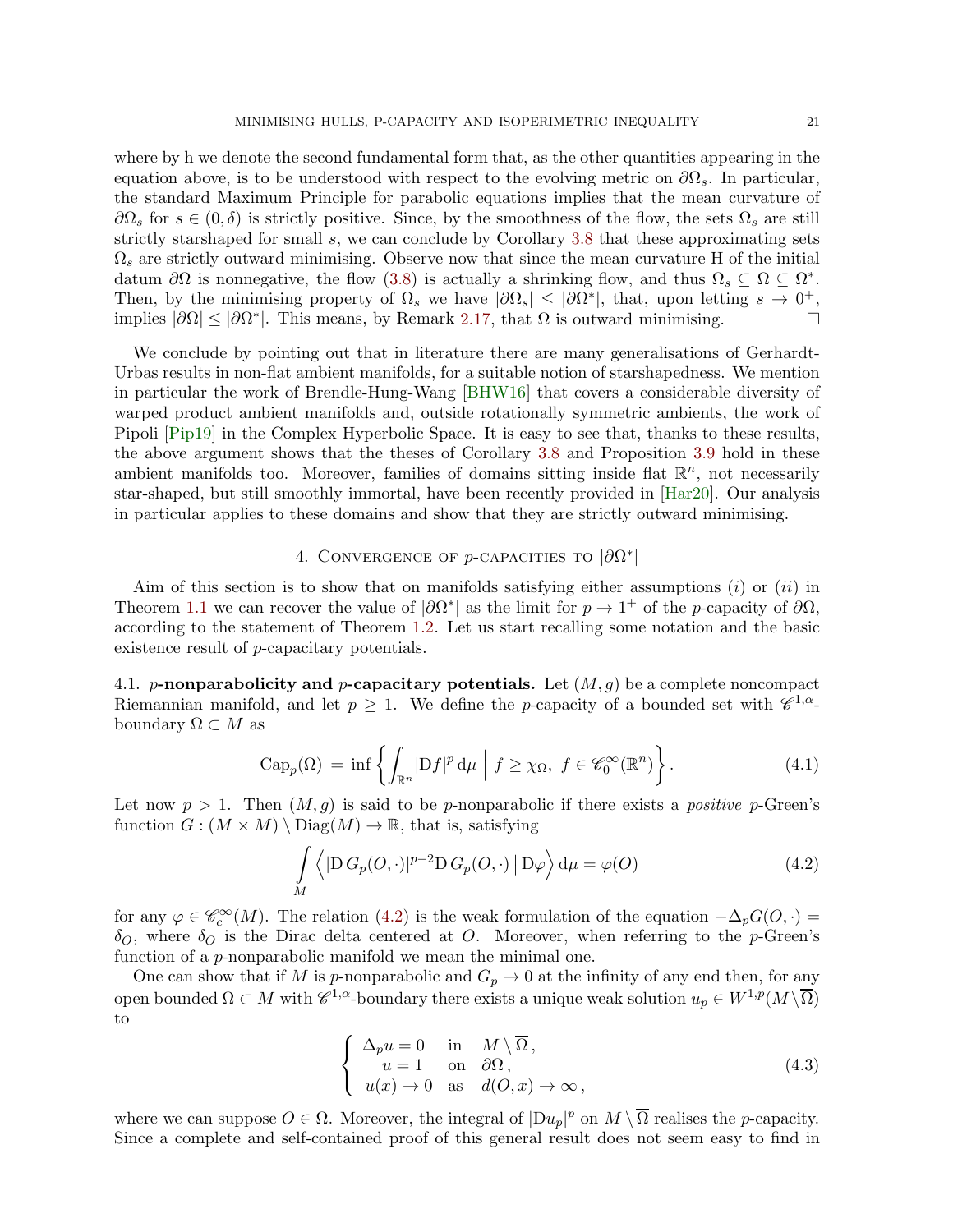where by h we denote the second fundamental form that, as the other quantities appearing in the equation above, is to be understood with respect to the evolving metric on  $\partial\Omega_s$ . In particular, the standard Maximum Principle for parabolic equations implies that the mean curvature of  $\partial\Omega_s$  for  $s\in(0,\delta)$  is strictly positive. Since, by the smoothness of the flow, the sets  $\Omega_s$  are still strictly starshaped for small s, we can conclude by Corollary [3.8](#page-19-2) that these approximating sets  $\Omega_s$  are strictly outward minimising. Observe now that since the mean curvature H of the initial datum  $\partial\Omega$  is nonnegative, the flow [\(3.8\)](#page-19-1) is actually a shrinking flow, and thus  $\Omega_s \subseteq \Omega \subseteq \Omega^*$ . Then, by the minimising property of  $\Omega_s$  we have  $|\partial\Omega_s|\leq|\partial\Omega^*|$ , that, upon letting  $s\to 0^+$ , implies  $|\partial\Omega| \leq |\partial\Omega^*|$ . This means, by Remark [2.17,](#page-13-3) that  $\Omega$  is outward minimising.

We conclude by pointing out that in literature there are many generalisations of Gerhardt-Urbas results in non-flat ambient manifolds, for a suitable notion of starshapedness. We mention in particular the work of Brendle-Hung-Wang [\[BHW16\]](#page-34-8) that covers a considerable diversity of warped product ambient manifolds and, outside rotationally symmetric ambients, the work of Pipoli [\[Pip19\]](#page-36-12) in the Complex Hyperbolic Space. It is easy to see that, thanks to these results, the above argument shows that the theses of Corollary [3.8](#page-19-2) and Proposition [3.9](#page-19-3) hold in these ambient manifolds too. Moreover, families of domains sitting inside flat  $\mathbb{R}^n$ , not necessarily star-shaped, but still smoothly immortal, have been recently provided in [\[Har20\]](#page-35-12). Our analysis in particular applies to these domains and show that they are strictly outward minimising.

# 4. CONVERGENCE OF  $p$ -CAPACITIES TO  $|\partial\Omega^*|$

<span id="page-20-0"></span>Aim of this section is to show that on manifolds satisfying either assumptions  $(i)$  or  $(ii)$  in Theorem [1.1](#page-2-0) we can recover the value of  $|\partial\Omega^*|$  as the limit for  $p \to 1^+$  of the p-capacity of  $\partial\Omega$ , according to the statement of Theorem [1.2.](#page-4-3) Let us start recalling some notation and the basic existence result of p-capacitary potentials.

4.1. p-nonparabolicity and p-capacitary potentials. Let  $(M, g)$  be a complete noncompact Riemannian manifold, and let  $p \geq 1$ . We define the *p*-capacity of a bounded set with  $\mathscr{C}^{1,\alpha}$ boundary  $\Omega \subset M$  as

$$
\operatorname{Cap}_p(\Omega) = \inf \left\{ \int_{\mathbb{R}^n} |Df|^p \, \mathrm{d}\mu \mid f \ge \chi_{\Omega}, \ f \in \mathscr{C}_0^{\infty}(\mathbb{R}^n) \right\}. \tag{4.1}
$$

Let now  $p > 1$ . Then  $(M, q)$  is said to be p-nonparabolic if there exists a positive p-Green's function  $G : (M \times M) \setminus \text{Diag}(M) \to \mathbb{R}$ , that is, satisfying

<span id="page-20-3"></span>
$$
\int_{M} \left\langle |D G_{p}(O, \cdot)|^{p-2} D G_{p}(O, \cdot) | D \varphi \right\rangle d\mu = \varphi(O)
$$
\n(4.2)

for any  $\varphi \in \mathscr{C}_c^{\infty}(M)$ . The relation [\(4.2\)](#page-20-1) is the weak formulation of the equation  $-\Delta_p G(O, \cdot) =$  $\delta_Q$ , where  $\delta_Q$  is the Dirac delta centered at O. Moreover, when referring to the p-Green's function of a *p*-nonparabolic manifold we mean the minimal one.

One can show that if M is p-nonparabolic and  $G_p \to 0$  at the infinity of any end then, for any open bounded  $\Omega \subset M$  with  $\mathscr{C}^{1,\alpha}$ -boundary there exists a unique weak solution  $u_p \in W^{1,p}(M \setminus \overline{\Omega})$ to

<span id="page-20-2"></span><span id="page-20-1"></span>
$$
\begin{cases}\n\Delta_p u = 0 & \text{in} \quad M \setminus \overline{\Omega}, \\
u = 1 & \text{on} \quad \partial \Omega, \\
u(x) \to 0 & \text{as} \quad d(O, x) \to \infty,\n\end{cases}
$$
\n(4.3)

where we can suppose  $O \in \Omega$ . Moreover, the integral of  $|Du_p|^p$  on  $M \setminus \overline{\Omega}$  realises the *p*-capacity. Since a complete and self-contained proof of this general result does not seem easy to find in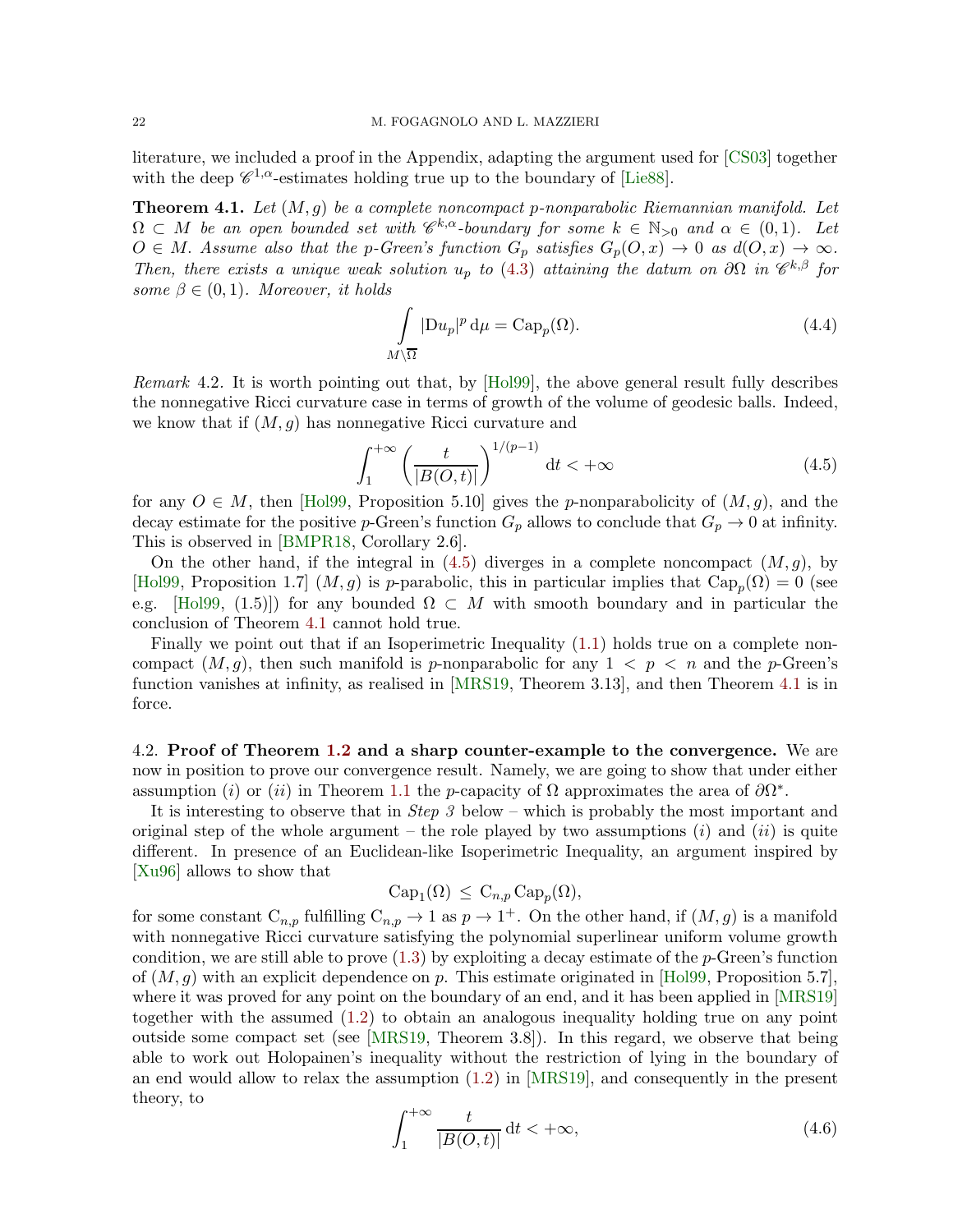literature, we included a proof in the Appendix, adapting the argument used for [\[CS03\]](#page-35-14) together with the deep  $\mathscr{C}^{1,\alpha}$ -estimates holding true up to the boundary of [\[Lie88\]](#page-36-13).

<span id="page-21-1"></span>**Theorem 4.1.** Let  $(M, g)$  be a complete noncompact p-nonparabolic Riemannian manifold. Let  $\Omega \subset M$  be an open bounded set with  $\mathscr{C}^{k,\alpha}$ -boundary for some  $k \in \mathbb{N}_{>0}$  and  $\alpha \in (0,1)$ . Let  $O \in M$ . Assume also that the p-Green's function  $G_p$  satisfies  $G_p(O, x) \to 0$  as  $d(O, x) \to \infty$ . Then, there exists a unique weak solution  $u_p$  to [\(4.3\)](#page-20-2) attaining the datum on  $\partial\Omega$  in  $\mathscr{C}^{k,\beta}$  for some  $\beta \in (0,1)$ . Moreover, it holds

<span id="page-21-4"></span><span id="page-21-0"></span>
$$
\int_{M\setminus\overline{\Omega}}|\mathrm{D} u_p|^p \,\mathrm{d}\mu = \mathrm{Cap}_p(\Omega). \tag{4.4}
$$

<span id="page-21-3"></span>Remark 4.2. It is worth pointing out that, by [\[Hol99\]](#page-35-15), the above general result fully describes the nonnegative Ricci curvature case in terms of growth of the volume of geodesic balls. Indeed, we know that if  $(M, q)$  has nonnegative Ricci curvature and

$$
\int_{1}^{+\infty} \left(\frac{t}{|B(O,t)|}\right)^{1/(p-1)} \, \mathrm{d}t < +\infty \tag{4.5}
$$

for any  $O \in M$ , then [\[Hol99,](#page-35-15) Proposition 5.10] gives the p-nonparabolicity of  $(M, g)$ , and the decay estimate for the positive p-Green's function  $G_p$  allows to conclude that  $G_p \to 0$  at infinity. This is observed in [\[BMPR18,](#page-34-9) Corollary 2.6].

On the other hand, if the integral in  $(4.5)$  diverges in a complete noncompact  $(M, g)$ , by [\[Hol99,](#page-35-15) Proposition 1.7]  $(M, g)$  is p-parabolic, this in particular implies that  $\text{Cap}_p(\Omega) = 0$  (see e.g. [\[Hol99,](#page-35-15) (1.5)]) for any bounded  $\Omega \subset M$  with smooth boundary and in particular the conclusion of Theorem [4.1](#page-21-1) cannot hold true.

Finally we point out that if an Isoperimetric Inequality [\(1.1\)](#page-2-1) holds true on a complete noncompact  $(M, g)$ , then such manifold is p-nonparabolic for any  $1 < p < n$  and the p-Green's function vanishes at infinity, as realised in [\[MRS19,](#page-36-6) Theorem 3.13], and then Theorem [4.1](#page-21-1) is in force.

4.2. Proof of Theorem [1.2](#page-4-3) and a sharp counter-example to the convergence. We are now in position to prove our convergence result. Namely, we are going to show that under either assumption (i) or (ii) in Theorem [1.1](#page-2-0) the p-capacity of  $\Omega$  approximates the area of  $\partial\Omega^*$ .

It is interesting to observe that in Step 3 below – which is probably the most important and original step of the whole argument – the role played by two assumptions  $(i)$  and  $(ii)$  is quite different. In presence of an Euclidean-like Isoperimetric Inequality, an argument inspired by [\[Xu96\]](#page-37-8) allows to show that

$$
Cap_1(\Omega) \leq C_{n,p} Cap_p(\Omega),
$$

for some constant  $C_{n,p}$  fulfilling  $C_{n,p} \to 1$  as  $p \to 1^+$ . On the other hand, if  $(M, g)$  is a manifold with nonnegative Ricci curvature satisfying the polynomial superlinear uniform volume growth condition, we are still able to prove  $(1.3)$  by exploiting a decay estimate of the p-Green's function of  $(M, q)$  with an explicit dependence on p. This estimate originated in [\[Hol99,](#page-35-15) Proposition 5.7], where it was proved for any point on the boundary of an end, and it has been applied in [\[MRS19\]](#page-36-6) together with the assumed [\(1.2\)](#page-2-2) to obtain an analogous inequality holding true on any point outside some compact set (see [\[MRS19,](#page-36-6) Theorem 3.8]). In this regard, we observe that being able to work out Holopainen's inequality without the restriction of lying in the boundary of an end would allow to relax the assumption [\(1.2\)](#page-2-2) in [\[MRS19\]](#page-36-6), and consequently in the present theory, to

<span id="page-21-2"></span>
$$
\int_{1}^{+\infty} \frac{t}{|B(O,t)|} \, \mathrm{d}t < +\infty,\tag{4.6}
$$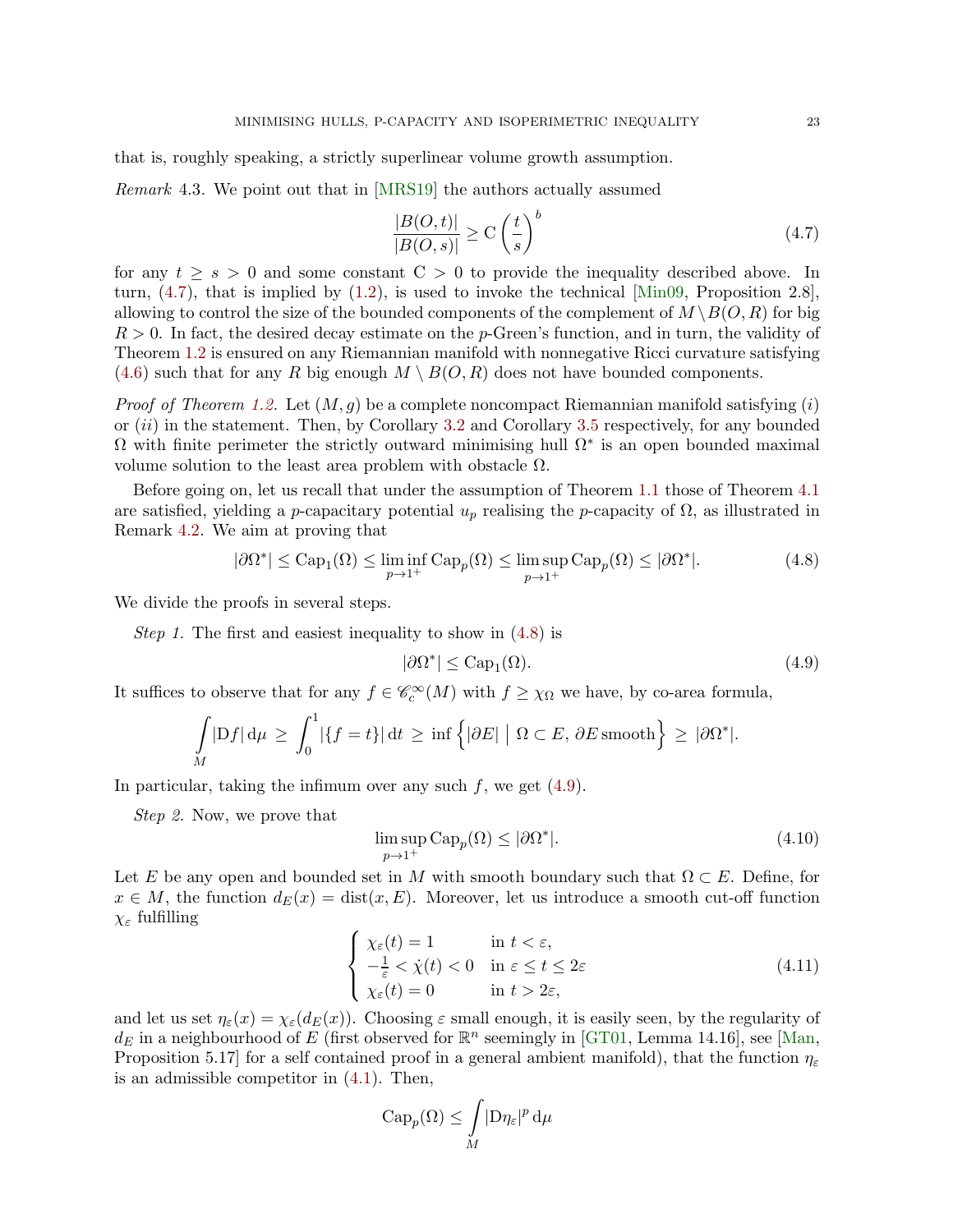that is, roughly speaking, a strictly superlinear volume growth assumption.

Remark 4.3. We point out that in [\[MRS19\]](#page-36-6) the authors actually assumed

<span id="page-22-0"></span>
$$
\frac{|B(O,t)|}{|B(O,s)|} \ge C\left(\frac{t}{s}\right)^b \tag{4.7}
$$

for any  $t \geq s > 0$  and some constant  $C > 0$  to provide the inequality described above. In turn,  $(4.7)$ , that is implied by  $(1.2)$ , is used to invoke the technical [\[Min09,](#page-36-14) Proposition 2.8], allowing to control the size of the bounded components of the complement of  $M \setminus B(0, R)$  for big  $R > 0$ . In fact, the desired decay estimate on the p-Green's function, and in turn, the validity of Theorem [1.2](#page-4-3) is ensured on any Riemannian manifold with nonnegative Ricci curvature satisfying  $(4.6)$  such that for any R big enough  $M \setminus B(O, R)$  does not have bounded components.

*Proof of Theorem [1.2.](#page-4-3)* Let  $(M, q)$  be a complete noncompact Riemannian manifold satisfying (i) or  $(ii)$  in the statement. Then, by Corollary [3.2](#page-16-3) and Corollary [3.5](#page-18-1) respectively, for any bounded  $\Omega$  with finite perimeter the strictly outward minimising hull  $\Omega^*$  is an open bounded maximal volume solution to the least area problem with obstacle  $Ω$ .

Before going on, let us recall that under the assumption of Theorem [1.1](#page-2-0) those of Theorem [4.1](#page-21-1) are satisfied, yielding a p-capacitary potential  $u_p$  realising the p-capacity of  $\Omega$ , as illustrated in Remark [4.2.](#page-21-3) We aim at proving that

$$
|\partial\Omega^*| \le \text{Cap}_1(\Omega) \le \liminf_{p \to 1^+} \text{Cap}_p(\Omega) \le \limsup_{p \to 1^+} \text{Cap}_p(\Omega) \le |\partial\Omega^*|.
$$
 (4.8)

We divide the proofs in several steps.

Step 1. The first and easiest inequality to show in  $(4.8)$  is

<span id="page-22-2"></span><span id="page-22-1"></span>
$$
|\partial \Omega^*| \le \text{Cap}_1(\Omega). \tag{4.9}
$$

It suffices to observe that for any  $f \in \mathcal{C}_c^{\infty}(M)$  with  $f \geq \chi_{\Omega}$  we have, by co-area formula,

$$
\int\limits_M |Df| d\mu \ge \int_0^1 |\{f = t\}| dt \ge \inf \{ |\partial E| \mid \Omega \subset E, \partial E \text{ smooth} \} \ge |\partial \Omega^*|.
$$

In particular, taking the infimum over any such  $f$ , we get  $(4.9)$ .

Step 2. Now, we prove that

<span id="page-22-4"></span>
$$
\limsup_{p \to 1^+} \text{Cap}_p(\Omega) \le |\partial \Omega^*|.
$$
\n(4.10)

Let E be any open and bounded set in M with smooth boundary such that  $\Omega \subset E$ . Define, for  $x \in M$ , the function  $d_E(x) = \text{dist}(x, E)$ . Moreover, let us introduce a smooth cut-off function χ<sup>ε</sup> fulfilling

$$
\begin{cases}\n\chi_{\varepsilon}(t) = 1 & \text{in } t < \varepsilon, \\
-\frac{1}{\varepsilon} < \dot{\chi}(t) < 0 & \text{in } \varepsilon \le t \le 2\varepsilon \\
\chi_{\varepsilon}(t) = 0 & \text{in } t > 2\varepsilon,\n\end{cases}
$$
\n(4.11)

and let us set  $\eta_{\varepsilon}(x) = \chi_{\varepsilon}(d_E(x))$ . Choosing  $\varepsilon$  small enough, it is easily seen, by the regularity of  $d_E$  in a neighbourhood of E (first observed for  $\mathbb{R}^n$  seemingly in [\[GT01,](#page-35-16) Lemma 14.16], see [\[Man,](#page-36-15) Proposition 5.17] for a self contained proof in a general ambient manifold), that the function  $\eta_{\varepsilon}$ is an admissible competitor in [\(4.1\)](#page-20-3). Then,

<span id="page-22-3"></span>
$$
\mathrm{Cap}_p(\Omega) \le \int\limits_M | \mathrm{D} \eta_\varepsilon |^p \, \mathrm{d} \mu
$$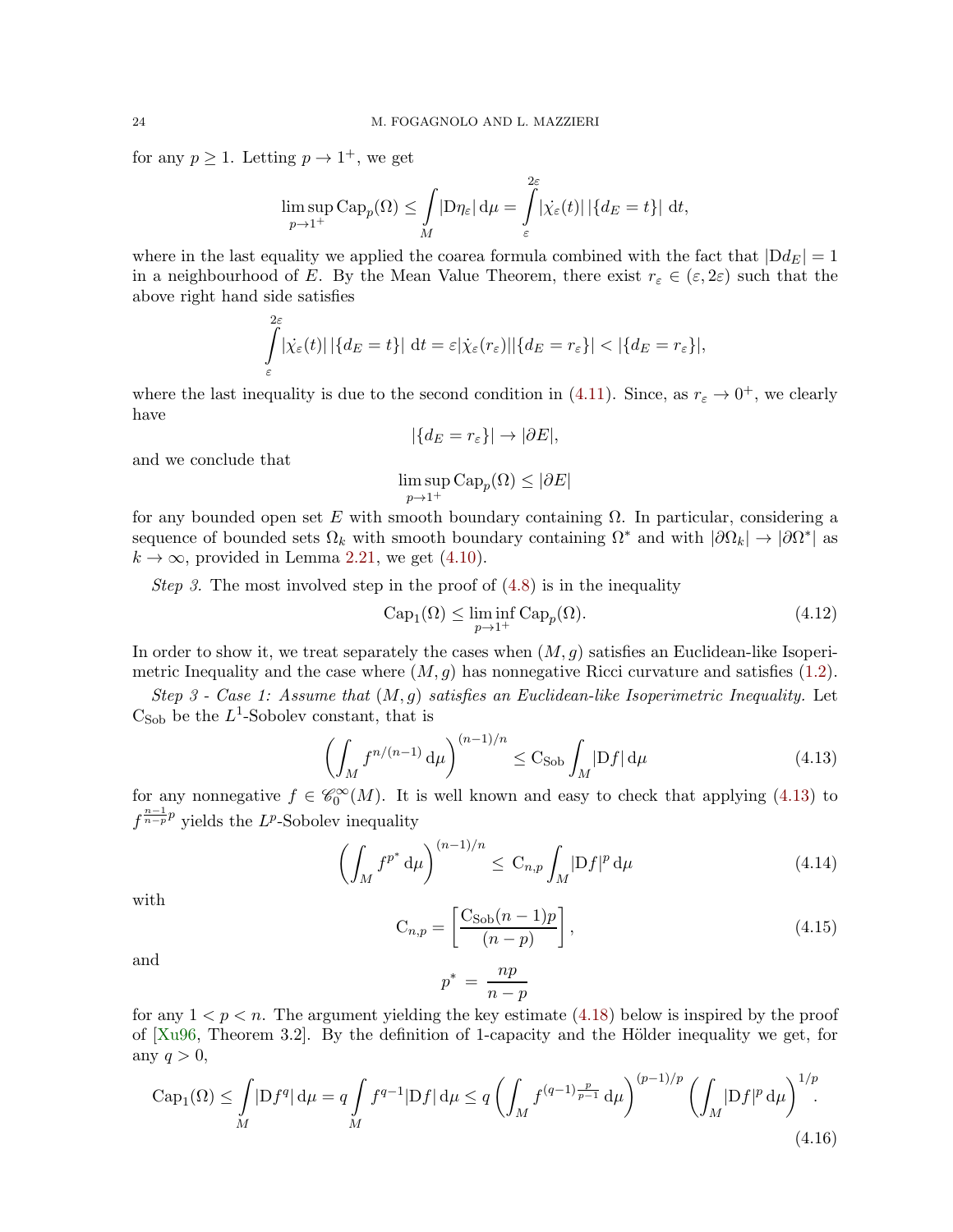for any  $p \geq 1$ . Letting  $p \to 1^+$ , we get

$$
\limsup_{p \to 1^+} \text{Cap}_p(\Omega) \le \int_M |D\eta_{\varepsilon}| \, \mathrm{d}\mu = \int_{\varepsilon}^{\infty} |\dot{\chi_{\varepsilon}}(t)| \, |\{d_E = t\}| \, \mathrm{d}t,
$$

 $\Omega$ <sub>2</sub>

where in the last equality we applied the coarea formula combined with the fact that  $|Dd_E| = 1$ in a neighbourhood of E. By the Mean Value Theorem, there exist  $r_{\varepsilon} \in (\varepsilon, 2\varepsilon)$  such that the above right hand side satisfies

$$
\int_{\varepsilon}^{2\varepsilon} |\dot{\chi}_{\varepsilon}(t)| |\{d_E = t\}| dt = \varepsilon |\dot{\chi}_{\varepsilon}(r_{\varepsilon})| |\{d_E = r_{\varepsilon}\}| < |\{d_E = r_{\varepsilon}\}|,
$$

where the last inequality is due to the second condition in [\(4.11\)](#page-22-3). Since, as  $r_{\varepsilon} \to 0^+$ , we clearly have

$$
|\{d_E = r_\varepsilon\}| \to |\partial E|,
$$

and we conclude that

$$
\limsup_{p\to 1^+} \operatorname{Cap}_p(\Omega)\leq |\partial E|
$$

for any bounded open set E with smooth boundary containing  $\Omega$ . In particular, considering a sequence of bounded sets  $\Omega_k$  with smooth boundary containing  $\Omega^*$  and with  $|\partial\Omega_k|\to|\partial\Omega^*|$  as  $k \to \infty$ , provided in Lemma [2.21,](#page-14-2) we get [\(4.10\)](#page-22-4).

Step 3. The most involved step in the proof of  $(4.8)$  is in the inequality

<span id="page-23-3"></span>
$$
Cap_1(\Omega) \le \liminf_{p \to 1^+} Cap_p(\Omega).
$$
\n(4.12)

In order to show it, we treat separately the cases when  $(M, q)$  satisfies an Euclidean-like Isoperimetric Inequality and the case where  $(M, g)$  has nonnegative Ricci curvature and satisfies [\(1.2\)](#page-2-2).

Step 3 - Case 1: Assume that  $(M, g)$  satisfies an Euclidean-like Isoperimetric Inequality. Let  $C<sub>Sob</sub>$  be the  $L^1$ -Sobolev constant, that is

$$
\left(\int_M f^{n/(n-1)} \, \mathrm{d}\mu\right)^{(n-1)/n} \le \mathcal{C}_{\mathrm{Sob}} \int_M |\mathrm{D}f| \, \mathrm{d}\mu \tag{4.13}
$$

for any nonnegative  $f \in \mathscr{C}_0^{\infty}(M)$ . It is well known and easy to check that applying [\(4.13\)](#page-23-0) to  $f^{\frac{n-1}{n-p}p}$  yields the L<sup>p</sup>-Sobolev inequality

$$
\left(\int_M f^{p^*} \, \mathrm{d}\mu\right)^{(n-1)/n} \le \, \mathrm{C}_{n,p} \int_M |Df|^p \, \mathrm{d}\mu \tag{4.14}
$$

with

$$
C_{n,p} = \left[\frac{C_{\text{Sob}}(n-1)p}{(n-p)}\right],\tag{4.15}
$$

and

<span id="page-23-4"></span><span id="page-23-2"></span><span id="page-23-1"></span><span id="page-23-0"></span>
$$
p^* = \frac{np}{n-p}
$$

for any  $1 < p < n$ . The argument yielding the key estimate [\(4.18\)](#page-24-0) below is inspired by the proof of  $[Xu96,$  Theorem 3.2. By the definition of 1-capacity and the Hölder inequality we get, for any  $q > 0$ ,

$$
\text{Cap}_1(\Omega) \le \int_M |Df^q| \, \mathrm{d}\mu = q \int_M f^{q-1} |Df| \, \mathrm{d}\mu \le q \left( \int_M f^{(q-1)\frac{p}{p-1}} \, \mathrm{d}\mu \right)^{(p-1)/p} \left( \int_M |Df|^p \, \mathrm{d}\mu \right)^{1/p}.
$$
\n(4.16)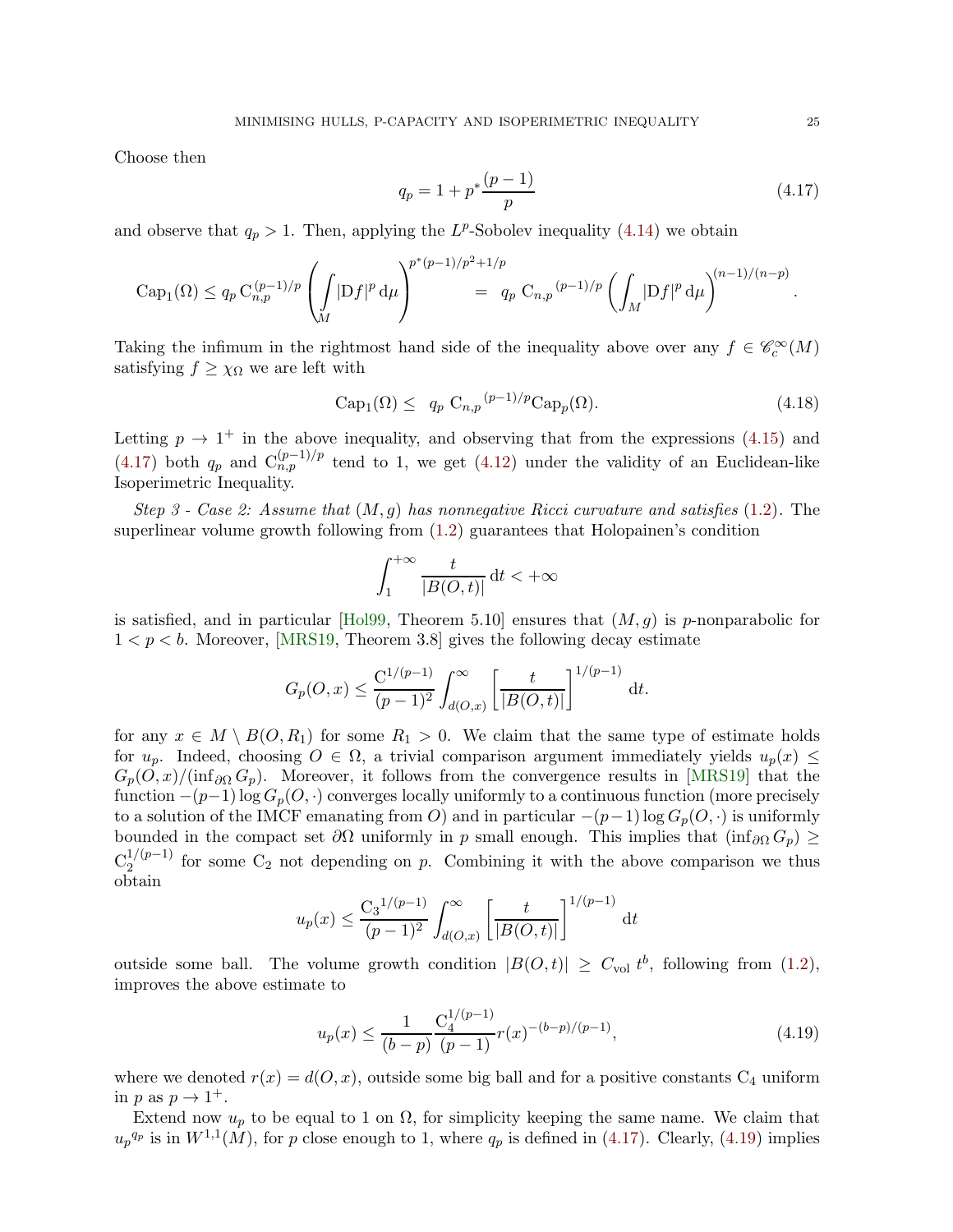Choose then

$$
q_p = 1 + p^* \frac{(p-1)}{p} \tag{4.17}
$$

and observe that  $q_p > 1$ . Then, applying the L<sup>p</sup>-Sobolev inequality [\(4.14\)](#page-23-1) we obtain

$$
\mathrm{Cap}_1(\Omega) \le q_p \, \mathrm{C}_{n,p}^{(p-1)/p} \left( \int_M |Df|^p \, \mathrm{d}\mu \right)^{p^*(p-1)/p^2 + 1/p} = q_p \, \mathrm{C}_{n,p} \, (p-1)/p \left( \int_M |Df|^p \, \mathrm{d}\mu \right)^{(n-1)/(n-p)}
$$

Taking the infimum in the rightmost hand side of the inequality above over any  $f \in \mathscr{C}_c^{\infty}(M)$ satisfying  $f \geq \chi_{\Omega}$  we are left with

$$
Cap1(\Omega) \le q_p C_{n,p}^{(p-1)/p} Capp(\Omega).
$$
\n(4.18)

Letting  $p \to 1^+$  in the above inequality, and observing that from the expressions [\(4.15\)](#page-23-2) and [\(4.17\)](#page-24-1) both  $q_p$  and  $C_{n,p}^{(p-1)/p}$  tend to 1, we get [\(4.12\)](#page-23-3) under the validity of an Euclidean-like Isoperimetric Inequality.

Step 3 - Case 2: Assume that  $(M, g)$  has nonnegative Ricci curvature and satisfies [\(1.2\)](#page-2-2). The superlinear volume growth following from [\(1.2\)](#page-2-2) guarantees that Holopainen's condition

$$
\int_1^{+\infty}\frac{t}{|B(O,t)|}\,\mathrm{d}t<+\infty
$$

is satisfied, and in particular [\[Hol99,](#page-35-15) Theorem 5.10] ensures that  $(M, g)$  is p-nonparabolic for  $1 < p < b$ . Moreover, [\[MRS19,](#page-36-6) Theorem 3.8] gives the following decay estimate

$$
G_p(O, x) \le \frac{C^{1/(p-1)}}{(p-1)^2} \int_{d(O, x)}^{\infty} \left[ \frac{t}{|B(O, t)|} \right]^{1/(p-1)} dt.
$$

for any  $x \in M \setminus B(O, R_1)$  for some  $R_1 > 0$ . We claim that the same type of estimate holds for  $u_p$ . Indeed, choosing  $O \in \Omega$ , a trivial comparison argument immediately yields  $u_p(x) \leq$  $G_p(O, x)/(\inf_{\partial \Omega} G_p)$ . Moreover, it follows from the convergence results in [\[MRS19\]](#page-36-6) that the function  $-(p-1) \log G_p(O, \cdot)$  converges locally uniformly to a continuous function (more precisely to a solution of the IMCF emanating from O) and in particular  $-(p-1) \log G_p(O, \cdot)$  is uniformly bounded in the compact set  $\partial\Omega$  uniformly in p small enough. This implies that  $(\inf_{\partial\Omega}G_p) \ge$  $C_2^{1/(p-1)}$  $2^{1/(p-1)}$  for some  $C_2$  not depending on p. Combining it with the above comparison we thus obtain

$$
u_p(x) \le \frac{C_3^{1/(p-1)}}{(p-1)^2} \int_{d(O,x)}^{\infty} \left[ \frac{t}{|B(O,t)|} \right]^{1/(p-1)} dt
$$

outside some ball. The volume growth condition  $|B(O, t)| \geq C_{vol} t^b$ , following from [\(1.2\)](#page-2-2), improves the above estimate to

<span id="page-24-2"></span>
$$
u_p(x) \le \frac{1}{(b-p)} \frac{C_4^{1/(p-1)}}{(p-1)} r(x)^{-(b-p)/(p-1)},
$$
\n(4.19)

where we denoted  $r(x) = d(0, x)$ , outside some big ball and for a positive constants  $C_4$  uniform in p as  $p \to 1^+$ .

Extend now  $u_p$  to be equal to 1 on  $\Omega$ , for simplicity keeping the same name. We claim that  $u_p^{q_p}$  is in  $W^{1,1}(M)$ , for p close enough to 1, where  $q_p$  is defined in [\(4.17\)](#page-24-1). Clearly, [\(4.19\)](#page-24-2) implies

<span id="page-24-1"></span><span id="page-24-0"></span>.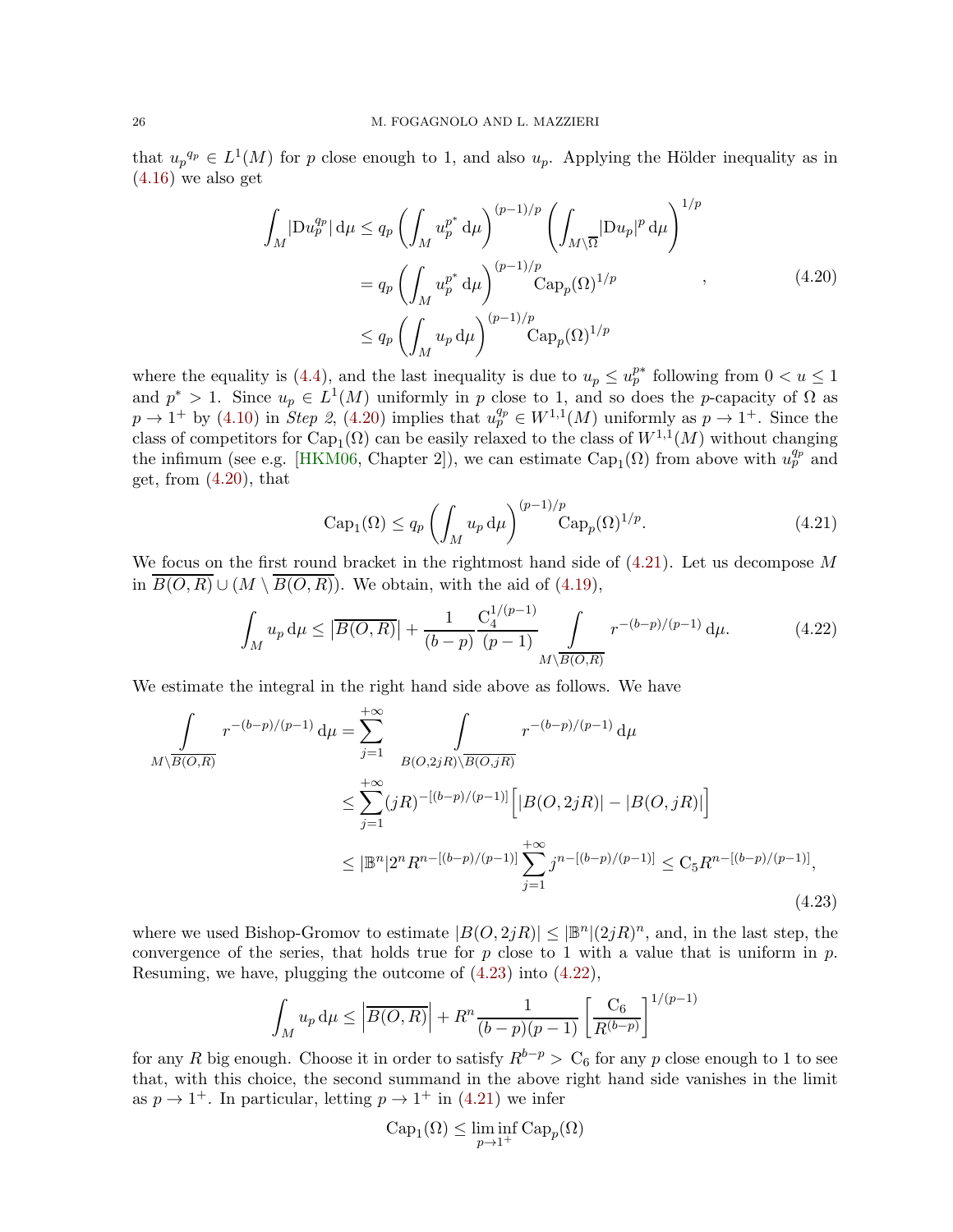that  $u_p^{q_p} \in L^1(M)$  for p close enough to 1, and also  $u_p$ . Applying the Hölder inequality as in  $(4.16)$  we also get

$$
\int_{M} |\mathcal{D}u_{p}^{q_{p}}| d\mu \leq q_{p} \left( \int_{M} u_{p}^{p^{*}} d\mu \right)^{(p-1)/p} \left( \int_{M\setminus\overline{\Omega}} |\mathcal{D}u_{p}|^{p} d\mu \right)^{1/p}
$$
\n
$$
= q_{p} \left( \int_{M} u_{p}^{p^{*}} d\mu \right)^{(p-1)/p} \operatorname{Cap}_{p}(\Omega)^{1/p} , \qquad (4.20)
$$
\n
$$
\leq q_{p} \left( \int_{M} u_{p} d\mu \right)^{(p-1)/p} \operatorname{Cap}_{p}(\Omega)^{1/p}
$$

where the equality is [\(4.4\)](#page-21-4), and the last inequality is due to  $u_p \n\t\leq u_p^{p*}$  following from  $0 < u \leq 1$ and  $p^* > 1$ . Since  $u_p \in L^1(M)$  uniformly in p close to 1, and so does the p-capacity of  $\Omega$  as  $p \to 1^+$  by [\(4.10\)](#page-22-4) in Step 2, [\(4.20\)](#page-25-0) implies that  $u_p^{q_p} \in W^{1,1}(M)$  uniformly as  $p \to 1^+$ . Since the class of competitors for  $\text{Cap}_1(\Omega)$  can be easily relaxed to the class of  $W^{1,1}(M)$  without changing the infimum (see e.g. [\[HKM06,](#page-35-17) Chapter 2]), we can estimate  $Cap_1(\Omega)$  from above with  $u_p^{q_p}$  and get, from  $(4.20)$ , that

<span id="page-25-3"></span><span id="page-25-1"></span><span id="page-25-0"></span>
$$
Cap_1(\Omega) \le q_p \left( \int_M u_p \, d\mu \right)^{(p-1)/p} Cap_p(\Omega)^{1/p}.
$$
 (4.21)

We focus on the first round bracket in the rightmost hand side of  $(4.21)$ . Let us decompose M in  $\overline{B(O,R)} \cup (M \setminus \overline{B(O,R)})$ . We obtain, with the aid of [\(4.19\)](#page-24-2),

$$
\int_{M} u_{p} d\mu \leq \left| \overline{B(O,R)} \right| + \frac{1}{(b-p)} \frac{C_{4}^{1/(p-1)}}{(p-1)} \int_{M \setminus \overline{B(O,R)}} r^{-(b-p)/(p-1)} d\mu. \tag{4.22}
$$

We estimate the integral in the right hand side above as follows. We have

$$
\int_{M\setminus\overline{B(O,R)}} r^{-(b-p)/(p-1)} d\mu = \sum_{j=1}^{+\infty} \int_{B(O,2jR)\setminus\overline{B(O,jR)}} r^{-(b-p)/(p-1)} d\mu
$$
\n
$$
\leq \sum_{j=1}^{+\infty} (jR)^{-[(b-p)/(p-1)]} \Big[ |B(O,2jR)| - |B(O,jR)| \Big]
$$
\n
$$
\leq |\mathbb{B}^n| 2^n R^{n - [(b-p)/(p-1)]} \sum_{j=1}^{+\infty} j^{n - [(b-p)/(p-1)]} \leq C_5 R^{n - [(b-p)/(p-1)]},
$$
\n(4.23)

where we used Bishop-Gromov to estimate  $|B(O, 2jR)| \leq |\mathbb{B}^n|(2jR)^n$ , and, in the last step, the convergence of the series, that holds true for p close to 1 with a value that is uniform in p. Resuming, we have, plugging the outcome of [\(4.23\)](#page-25-2) into [\(4.22\)](#page-25-3),

$$
\int_M u_p d\mu \le \left| \overline{B(O,R)} \right| + R^n \frac{1}{(b-p)(p-1)} \left[ \frac{C_6}{R^{(b-p)}} \right]^{1/(p-1)}
$$

for any R big enough. Choose it in order to satisfy  $R^{b-p} > C_6$  for any p close enough to 1 to see that, with this choice, the second summand in the above right hand side vanishes in the limit as  $p \to 1^+$ . In particular, letting  $p \to 1^+$  in [\(4.21\)](#page-25-1) we infer

<span id="page-25-2"></span>
$$
Cap_1(\Omega) \le \liminf_{p \to 1^+} Cap_p(\Omega)
$$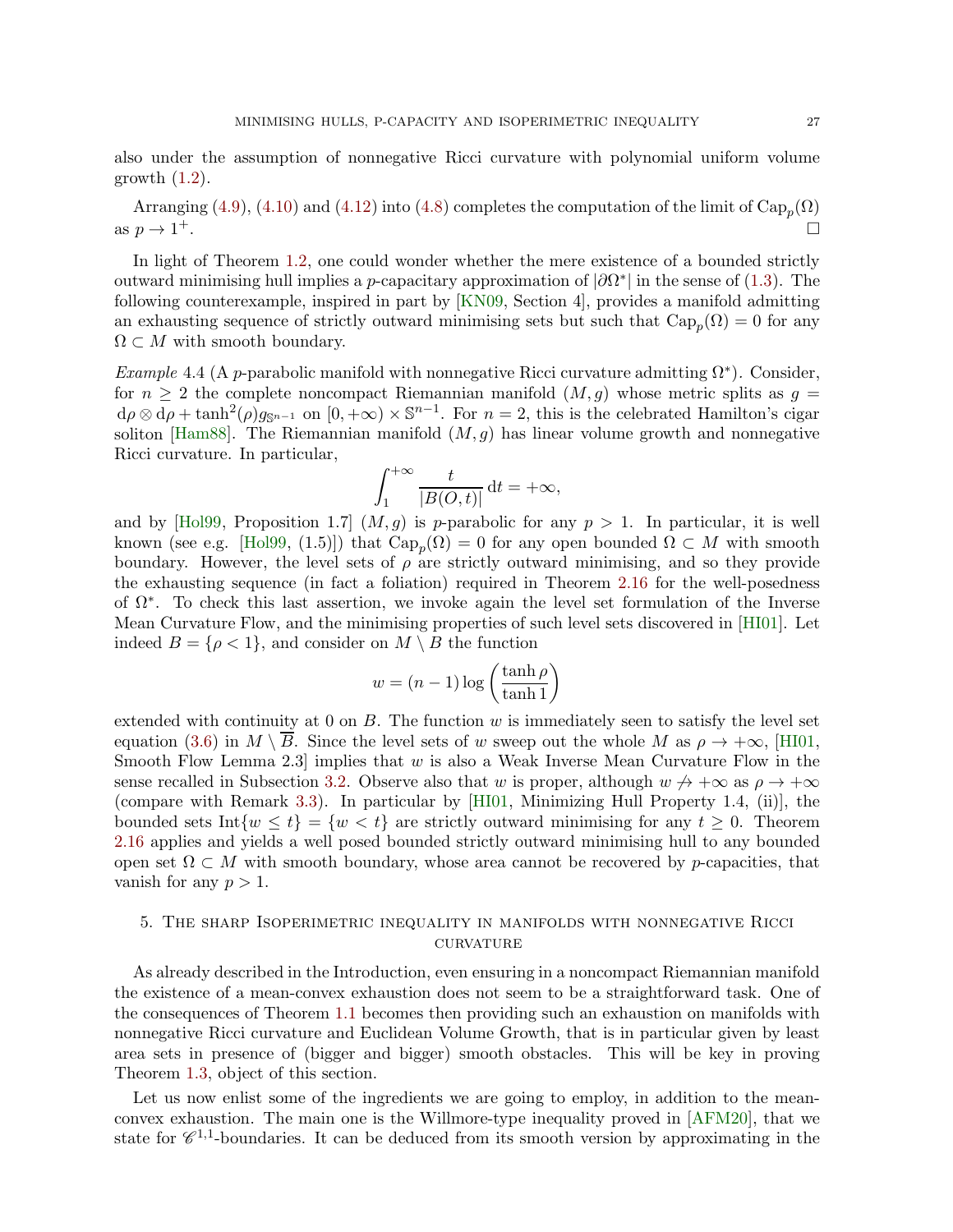also under the assumption of nonnegative Ricci curvature with polynomial uniform volume growth  $(1.2)$ .

Arranging [\(4.9\)](#page-22-2), [\(4.10\)](#page-22-4) and [\(4.12\)](#page-23-3) into [\(4.8\)](#page-22-1) completes the computation of the limit of  $\mathrm{Cap}_p(\Omega)$ as  $p \to 1^+$ . <sup>+</sup>.

In light of Theorem [1.2,](#page-4-3) one could wonder whether the mere existence of a bounded strictly outward minimising hull implies a *p*-capacitary approximation of  $|\partial\Omega^*|$  in the sense of [\(1.3\)](#page-4-4). The following counterexample, inspired in part by [\[KN09,](#page-36-11) Section 4], provides a manifold admitting an exhausting sequence of strictly outward minimising sets but such that  $\text{Cap}_p(\Omega) = 0$  for any  $\Omega \subset M$  with smooth boundary.

<span id="page-26-0"></span>Example 4.4 (A p-parabolic manifold with nonnegative Ricci curvature admitting  $\Omega^*$ ). Consider, for  $n \geq 2$  the complete noncompact Riemannian manifold  $(M, g)$  whose metric splits as  $g =$  $d\rho \otimes d\rho + \tanh^2(\rho)g_{\mathbb{S}^{n-1}}$  on  $[0, +\infty) \times \mathbb{S}^{n-1}$ . For  $n = 2$ , this is the celebrated Hamilton's cigar soliton [\[Ham88\]](#page-35-9). The Riemannian manifold  $(M, g)$  has linear volume growth and nonnegative Ricci curvature. In particular,

$$
\int_{1}^{+\infty} \frac{t}{|B(O,t)|} \, \mathrm{d}t = +\infty,
$$

and by [\[Hol99,](#page-35-15) Proposition 1.7]  $(M, q)$  is p-parabolic for any  $p > 1$ . In particular, it is well known (see e.g. [\[Hol99,](#page-35-15) (1.5)]) that  $\text{Cap}_p(\Omega) = 0$  for any open bounded  $\Omega \subset M$  with smooth boundary. However, the level sets of  $\rho$  are strictly outward minimising, and so they provide the exhausting sequence (in fact a foliation) required in Theorem [2.16](#page-13-0) for the well-posedness of  $\Omega^*$ . To check this last assertion, we invoke again the level set formulation of the Inverse Mean Curvature Flow, and the minimising properties of such level sets discovered in [\[HI01\]](#page-35-0). Let indeed  $B = \{ \rho < 1 \}$ , and consider on  $M \setminus B$  the function

$$
w = (n-1)\log\left(\frac{\tanh\rho}{\tanh 1}\right)
$$

extended with continuity at  $0$  on  $B$ . The function  $w$  is immediately seen to satisfy the level set equation [\(3.6\)](#page-16-2) in  $M \setminus \overline{B}$ . Since the level sets of w sweep out the whole M as  $\rho \to +\infty$ , [\[HI01,](#page-35-0) Smooth Flow Lemma 2.3 implies that  $w$  is also a Weak Inverse Mean Curvature Flow in the sense recalled in Subsection [3.2.](#page-16-0) Observe also that w is proper, although  $w \nrightarrow +\infty$  as  $\rho \rightarrow +\infty$ (compare with Remark [3.3\)](#page-17-1). In particular by [\[HI01,](#page-35-0) Minimizing Hull Property 1.4, (ii)], the bounded sets Int $\{w \leq t\} = \{w < t\}$  are strictly outward minimising for any  $t \geq 0$ . Theorem [2.16](#page-13-0) applies and yields a well posed bounded strictly outward minimising hull to any bounded open set  $\Omega \subset M$  with smooth boundary, whose area cannot be recovered by p-capacities, that vanish for any  $p > 1$ .

# <span id="page-26-1"></span>5. The sharp Isoperimetric inequality in manifolds with nonnegative Ricci **CURVATURE**

As already described in the Introduction, even ensuring in a noncompact Riemannian manifold the existence of a mean-convex exhaustion does not seem to be a straightforward task. One of the consequences of Theorem [1.1](#page-2-0) becomes then providing such an exhaustion on manifolds with nonnegative Ricci curvature and Euclidean Volume Growth, that is in particular given by least area sets in presence of (bigger and bigger) smooth obstacles. This will be key in proving Theorem [1.3,](#page-4-0) object of this section.

Let us now enlist some of the ingredients we are going to employ, in addition to the meanconvex exhaustion. The main one is the Willmore-type inequality proved in [\[AFM20\]](#page-34-2), that we state for  $\mathscr{C}^{1,1}$ -boundaries. It can be deduced from its smooth version by approximating in the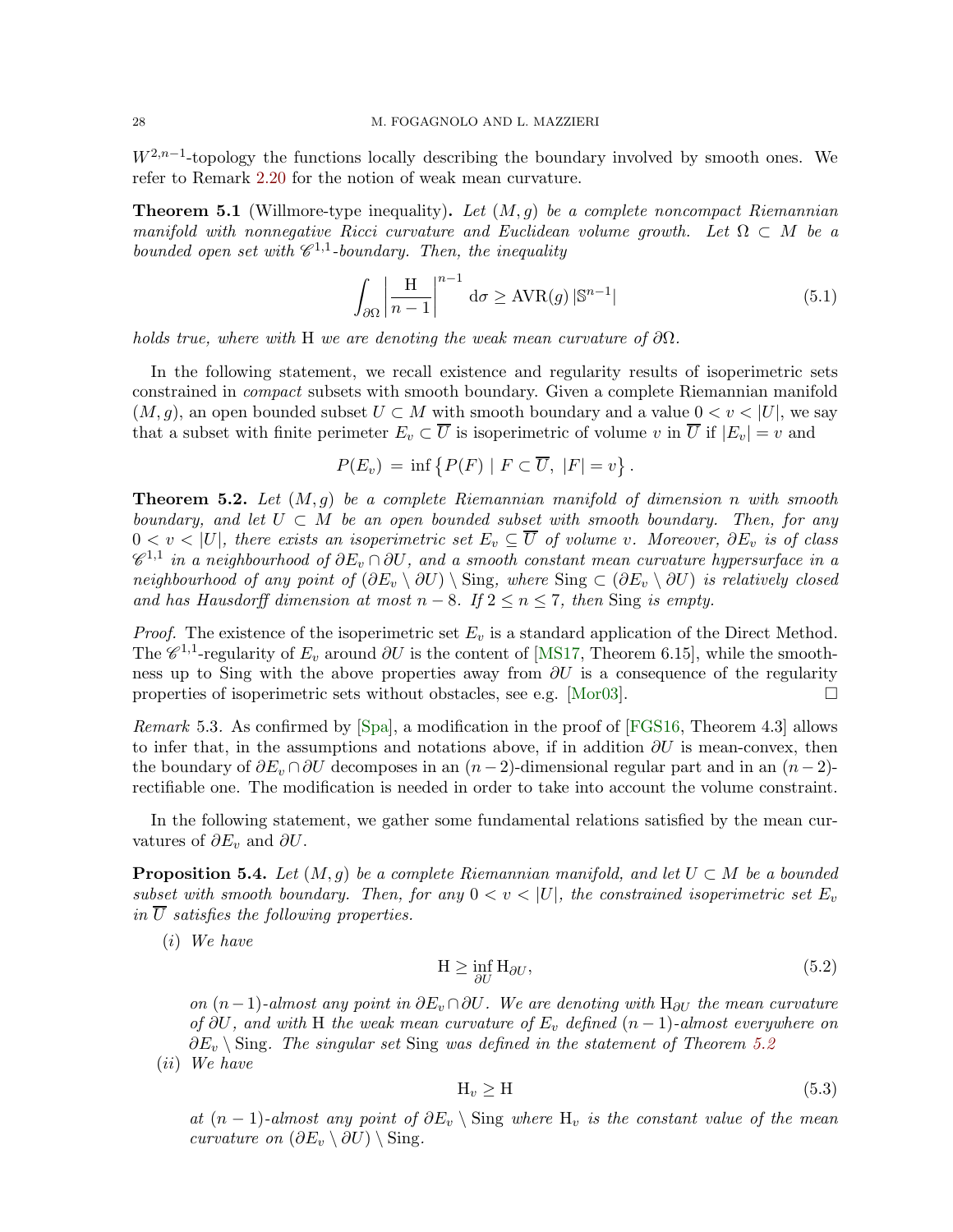$W^{2,n-1}$ -topology the functions locally describing the boundary involved by smooth ones. We refer to Remark [2.20](#page-14-3) for the notion of weak mean curvature.

<span id="page-27-1"></span>**Theorem 5.1** (Willmore-type inequality). Let  $(M, g)$  be a complete noncompact Riemannian manifold with nonnegative Ricci curvature and Euclidean volume growth. Let  $\Omega \subset M$  be a bounded open set with  $\mathscr{C}^{1,1}$ -boundary. Then, the inequality

$$
\int_{\partial\Omega} \left| \frac{H}{n-1} \right|^{n-1} d\sigma \geq \text{AVR}(g) \, |\mathbb{S}^{n-1}| \tag{5.1}
$$

holds true, where with H we are denoting the weak mean curvature of  $\partial\Omega$ .

In the following statement, we recall existence and regularity results of isoperimetric sets constrained in compact subsets with smooth boundary. Given a complete Riemannian manifold  $(M, q)$ , an open bounded subset  $U \subset M$  with smooth boundary and a value  $0 < v < |U|$ , we say that a subset with finite perimeter  $E_v \subset \overline{U}$  is isoperimetric of volume v in  $\overline{U}$  if  $|E_v| = v$  and

$$
P(E_v) = \inf \{ P(F) | F \subset \overline{U}, |F| = v \}.
$$

<span id="page-27-0"></span>**Theorem 5.2.** Let  $(M, q)$  be a complete Riemannian manifold of dimension n with smooth boundary, and let  $U \subset M$  be an open bounded subset with smooth boundary. Then, for any  $0 < v < |U|$ , there exists an isoperimetric set  $E_v \subseteq \overline{U}$  of volume v. Moreover,  $\partial E_v$  is of class  $\mathscr{C}^{1,1}$  in a neighbourhood of  $\partial E_v \cap \partial U$ , and a smooth constant mean curvature hypersurface in a neighbourhood of any point of  $(\partial E_v \setminus \partial U) \setminus \text{Sing}$ , where  $\text{Sing} \subset (\partial E_v \setminus \partial U)$  is relatively closed and has Hausdorff dimension at most  $n-8$ . If  $2 \le n \le 7$ , then Sing is empty.

*Proof.* The existence of the isoperimetric set  $E_v$  is a standard application of the Direct Method. The  $\mathscr{C}^{1,1}$ -regularity of  $E_v$  around  $\partial U$  is the content of [\[MS17,](#page-36-7) Theorem 6.15], while the smoothness up to Sing with the above properties away from  $\partial U$  is a consequence of the regularity properties of isoperimetric sets without obstacles, see e.g. [\[Mor03\]](#page-36-16).  $\Box$ 

Remark 5.3. As confirmed by [\[Spa\]](#page-37-9), a modification in the proof of [\[FGS16,](#page-35-10) Theorem 4.3] allows to infer that, in the assumptions and notations above, if in addition  $\partial U$  is mean-convex, then the boundary of  $\partial E_v \cap \partial U$  decomposes in an  $(n-2)$ -dimensional regular part and in an  $(n-2)$ rectifiable one. The modification is needed in order to take into account the volume constraint.

In the following statement, we gather some fundamental relations satisfied by the mean curvatures of  $\partial E_v$  and  $\partial U$ .

<span id="page-27-2"></span>**Proposition 5.4.** Let  $(M, q)$  be a complete Riemannian manifold, and let  $U \subset M$  be a bounded subset with smooth boundary. Then, for any  $0 < v < |U|$ , the constrained isoperimetric set  $E_v$ in  $\overline{U}$  satisfies the following properties.

(i) We have

$$
H \ge \inf_{\partial U} H_{\partial U},\tag{5.2}
$$

on  $(n-1)$ -almost any point in  $\partial E_v \cap \partial U$ . We are denoting with  $H_{\partial U}$  the mean curvature of  $\partial U$ , and with H the weak mean curvature of  $E_v$  defined  $(n-1)$ -almost everywhere on  $\partial E_v \setminus$  Sing. The singular set Sing was defined in the statement of Theorem [5.2](#page-27-0)

(ii) We have

$$
H_v \ge H \tag{5.3}
$$

at  $(n-1)$ -almost any point of  $\partial E_v \setminus \text{Sing}$  where  $H_v$  is the constant value of the mean curvature on  $(\partial E_v \setminus \partial U) \setminus$  Sing.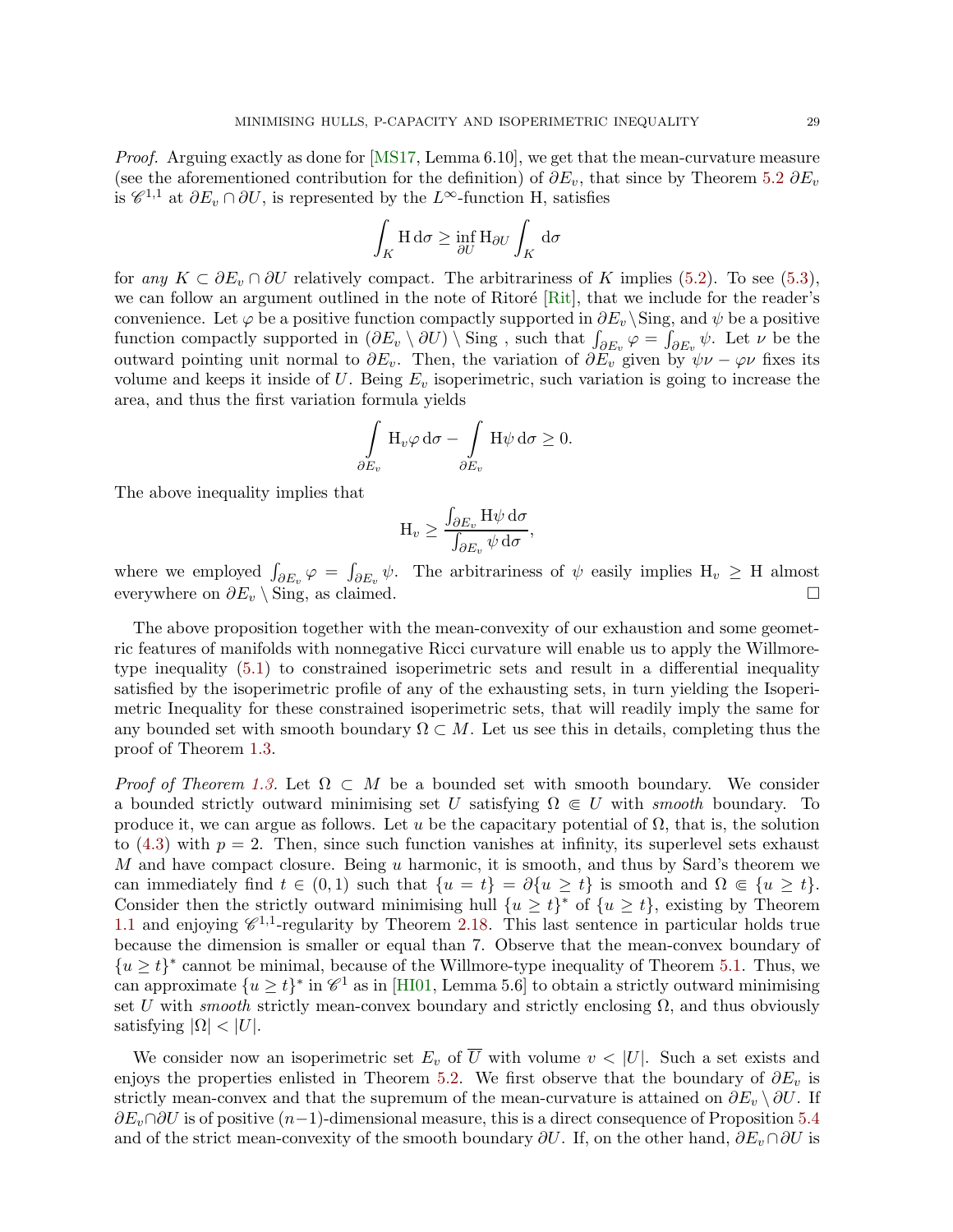Proof. Arguing exactly as done for [\[MS17,](#page-36-7) Lemma 6.10], we get that the mean-curvature measure (see the aforementioned contribution for the definition) of  $\partial E_v$ , that since by Theorem [5.2](#page-27-0)  $\partial E_v$ is  $\mathscr{C}^{1,1}$  at  $\partial E_v \cap \partial U$ , is represented by the L<sup>∞</sup>-function H, satisfies

$$
\int_K \mathcal{H} \, \mathrm{d}\sigma \ge \inf_{\partial U} \mathcal{H}_{\partial U} \int_K \, \mathrm{d}\sigma
$$

for any  $K \subset \partial E_v \cap \partial U$  relatively compact. The arbitrariness of K implies [\(5.2\)](#page-33-0). To see [\(5.3\)](#page-34-10), we can follow an argument outlined in the note of Ritoré [\[Rit\]](#page-37-10), that we include for the reader's convenience. Let  $\varphi$  be a positive function compactly supported in  $\partial E_v \backslash \text{Sing}$ , and  $\psi$  be a positive function compactly supported in  $(\partial E_v \setminus \partial U) \setminus \text{Sing}$ , such that  $\int_{\partial E_v} \varphi = \int_{\partial E_v} \psi$ . Let  $\nu$  be the outward pointing unit normal to  $\partial E_v$ . Then, the variation of  $\partial \tilde{E_v}$  given by  $\psi \nu - \varphi \nu$  fixes its volume and keeps it inside of U. Being  $E<sub>v</sub>$  isoperimetric, such variation is going to increase the area, and thus the first variation formula yields

$$
\int\limits_{\partial E_v} \mathrm{H}_v \varphi \, \mathrm{d}\sigma - \int\limits_{\partial E_v} \mathrm{H} \psi \, \mathrm{d}\sigma \geq 0.
$$

The above inequality implies that

$$
\mathrm{H}_{v} \geq \frac{\int_{\partial E_{v}} \mathrm{H}\psi \,\mathrm{d}\sigma}{\int_{\partial E_{v}} \psi \,\mathrm{d}\sigma},
$$

where we employed  $\int_{\partial E_v} \varphi = \int_{\partial E_v} \psi$ . The arbitrariness of  $\psi$  easily implies  $H_v \geq H$  almost everywhere on  $\partial E_v \setminus \text{Sing}$ , as claimed.

The above proposition together with the mean-convexity of our exhaustion and some geometric features of manifolds with nonnegative Ricci curvature will enable us to apply the Willmoretype inequality [\(5.1\)](#page-33-1) to constrained isoperimetric sets and result in a differential inequality satisfied by the isoperimetric profile of any of the exhausting sets, in turn yielding the Isoperimetric Inequality for these constrained isoperimetric sets, that will readily imply the same for any bounded set with smooth boundary  $\Omega \subset M$ . Let us see this in details, completing thus the proof of Theorem [1.3.](#page-4-0)

*Proof of Theorem [1.3.](#page-4-0)* Let  $\Omega \subset M$  be a bounded set with smooth boundary. We consider a bounded strictly outward minimising set U satisfying  $\Omega \in U$  with smooth boundary. To produce it, we can argue as follows. Let u be the capacitary potential of  $\Omega$ , that is, the solution to  $(4.3)$  with  $p = 2$ . Then, since such function vanishes at infinity, its superlevel sets exhaust M and have compact closure. Being  $u$  harmonic, it is smooth, and thus by Sard's theorem we can immediately find  $t \in (0,1)$  such that  $\{u = t\} = \partial\{u \ge t\}$  is smooth and  $\Omega \in \{u \ge t\}.$ Consider then the strictly outward minimising hull  $\{u \geq t\}^*$  of  $\{u \geq t\}$ , existing by Theorem [1.1](#page-2-0) and enjoying  $\mathscr{C}^{1,1}$ -regularity by Theorem [2.18.](#page-13-2) This last sentence in particular holds true because the dimension is smaller or equal than 7. Observe that the mean-convex boundary of  ${u \ge t}^*$  cannot be minimal, because of the Willmore-type inequality of Theorem [5.1.](#page-27-1) Thus, we can approximate  $\{u \geq t\}^*$  in  $\mathscr{C}^1$  as in [\[HI01,](#page-35-0) Lemma 5.6] to obtain a strictly outward minimising set U with *smooth* strictly mean-convex boundary and strictly enclosing  $\Omega$ , and thus obviously satisfying  $|\Omega| < |U|$ .

We consider now an isoperimetric set  $E_v$  of  $\overline{U}$  with volume  $v < |U|$ . Such a set exists and enjoys the properties enlisted in Theorem [5.2.](#page-27-0) We first observe that the boundary of  $\partial E_v$  is strictly mean-convex and that the supremum of the mean-curvature is attained on  $\partial E_v \setminus \partial U$ . If  $\partial E_v \cap \partial U$  is of positive  $(n-1)$ -dimensional measure, this is a direct consequence of Proposition [5.4](#page-27-2) and of the strict mean-convexity of the smooth boundary  $\partial U$ . If, on the other hand,  $\partial E_v \cap \partial U$  is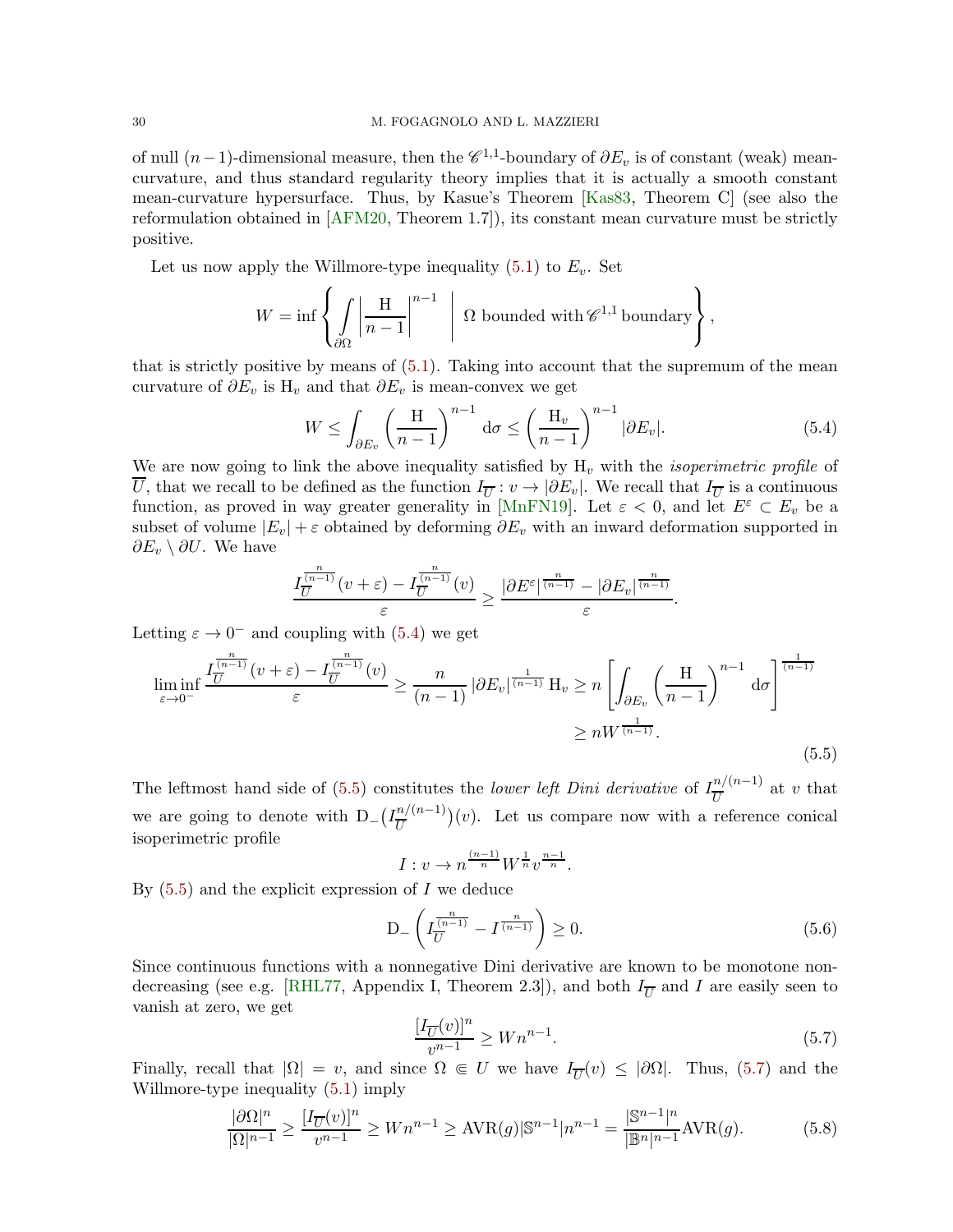of null  $(n-1)$ -dimensional measure, then the  $\mathscr{C}^{1,1}$ -boundary of  $\partial E_v$  is of constant (weak) meancurvature, and thus standard regularity theory implies that it is actually a smooth constant mean-curvature hypersurface. Thus, by Kasue's Theorem [\[Kas83,](#page-36-17) Theorem C] (see also the reformulation obtained in [\[AFM20,](#page-34-2) Theorem 1.7]), its constant mean curvature must be strictly positive.

Let us now apply the Willmore-type inequality  $(5.1)$  to  $E_v$ . Set

$$
W = \inf \left\{ \int_{\partial \Omega} \left| \frac{H}{n-1} \right|^{n-1} \; \middle| \; \Omega \text{ bounded with } \mathscr{C}^{1,1} \text{ boundary} \right\},\
$$

that is strictly positive by means of [\(5.1\)](#page-33-1). Taking into account that the supremum of the mean curvature of  $\partial E_v$  is H<sub>v</sub> and that  $\partial E_v$  is mean-convex we get

$$
W \le \int_{\partial E_v} \left(\frac{\mathrm{H}}{n-1}\right)^{n-1} \mathrm{d}\sigma \le \left(\frac{\mathrm{H}_v}{n-1}\right)^{n-1} |\partial E_v|. \tag{5.4}
$$

We are now going to link the above inequality satisfied by  $H<sub>v</sub>$  with the *isoperimetric profile* of U, that we recall to be defined as the function  $I_{\overline{U}}: v \to |\partial E_v|$ . We recall that  $I_{\overline{U}}$  is a continuous function, as proved in way greater generality in [\[MnFN19\]](#page-36-18). Let  $\varepsilon < 0$ , and let  $E^{\varepsilon} \subset E_v$  be a subset of volume  $|E_v| + \varepsilon$  obtained by deforming  $\partial E_v$  with an inward deformation supported in  $\partial E_v \setminus \partial U$ . We have

$$
\frac{I_{\overline{U}}^{\frac{n}{(n-1)}}(v+\varepsilon)-I_{\overline{U}}^{\frac{n}{(n-1)}}(v)}{\varepsilon}\geq \frac{|\partial E^{\varepsilon}|^{\frac{n}{(n-1)}}-|\partial E_v|^{\frac{n}{(n-1)}}}{\varepsilon}.
$$

Letting  $\varepsilon \to 0^-$  and coupling with [\(5.4\)](#page-32-0) we get

$$
\liminf_{\varepsilon \to 0^{-}} \frac{I_{\overline{U}}^{\frac{n}{(n-1)}}(v+\varepsilon) - I_{\overline{U}}^{\frac{n}{(n-1)}}(v)}{\varepsilon} \ge \frac{n}{(n-1)} |\partial E_v|^{\frac{1}{(n-1)}} \operatorname{H}_v \ge n \left[ \int_{\partial E_v} \left( \frac{\operatorname{H}}{n-1} \right)^{n-1} d\sigma \right]^{\frac{1}{(n-1)}} \ge nW^{\frac{1}{(n-1)}}.
$$
\n(5.5)

The leftmost hand side of [\(5.5\)](#page-32-1) constitutes the *lower left Dini derivative* of  $I_{\overline{U}}^{n/(n-1)}$  $\frac{u}{U}$ <sup>*u*</sup>/ $\frac{u}{U}$ </sup> at *v* that we are going to denote with  $D_-\left(I_{\overline{II}}^{n/(n-1)}\right)$  $\frac{n}{U}(n-1)(v)$ . Let us compare now with a reference conical isoperimetric profile

$$
I: v \to n^{\frac{(n-1)}{n}} W^{\frac{1}{n}} v^{\frac{n-1}{n}}.
$$

By  $(5.5)$  and the explicit expression of I we deduce

$$
D_{-}\left(I_{\overline{U}}^{\frac{n}{(n-1)}} - I^{\frac{n}{(n-1)}}\right) \ge 0. \tag{5.6}
$$

Since continuous functions with a nonnegative Dini derivative are known to be monotone non-decreasing (see e.g. [\[RHL77,](#page-37-11) Appendix I, Theorem 2.3]), and both  $I_{\overline{U}}$  and I are easily seen to vanish at zero, we get

<span id="page-29-1"></span><span id="page-29-0"></span>
$$
\frac{[I_{\overline{U}}(v)]^n}{v^{n-1}} \geq Wn^{n-1}.\tag{5.7}
$$

Finally, recall that  $|\Omega| = v$ , and since  $\Omega \in U$  we have  $I_{\overline{U}}(v) \leq |\partial \Omega|$ . Thus, [\(5.7\)](#page-29-0) and the Willmore-type inequality [\(5.1\)](#page-33-1) imply

$$
\frac{|\partial\Omega|^n}{|\Omega|^{n-1}} \ge \frac{[I_{\overline{U}}(v)]^n}{v^{n-1}} \ge Wn^{n-1} \ge \text{AVR}(g)|\mathbb{S}^{n-1}|n^{n-1} = \frac{|\mathbb{S}^{n-1}|^n}{|\mathbb{B}^n|^{n-1}} \text{AVR}(g). \tag{5.8}
$$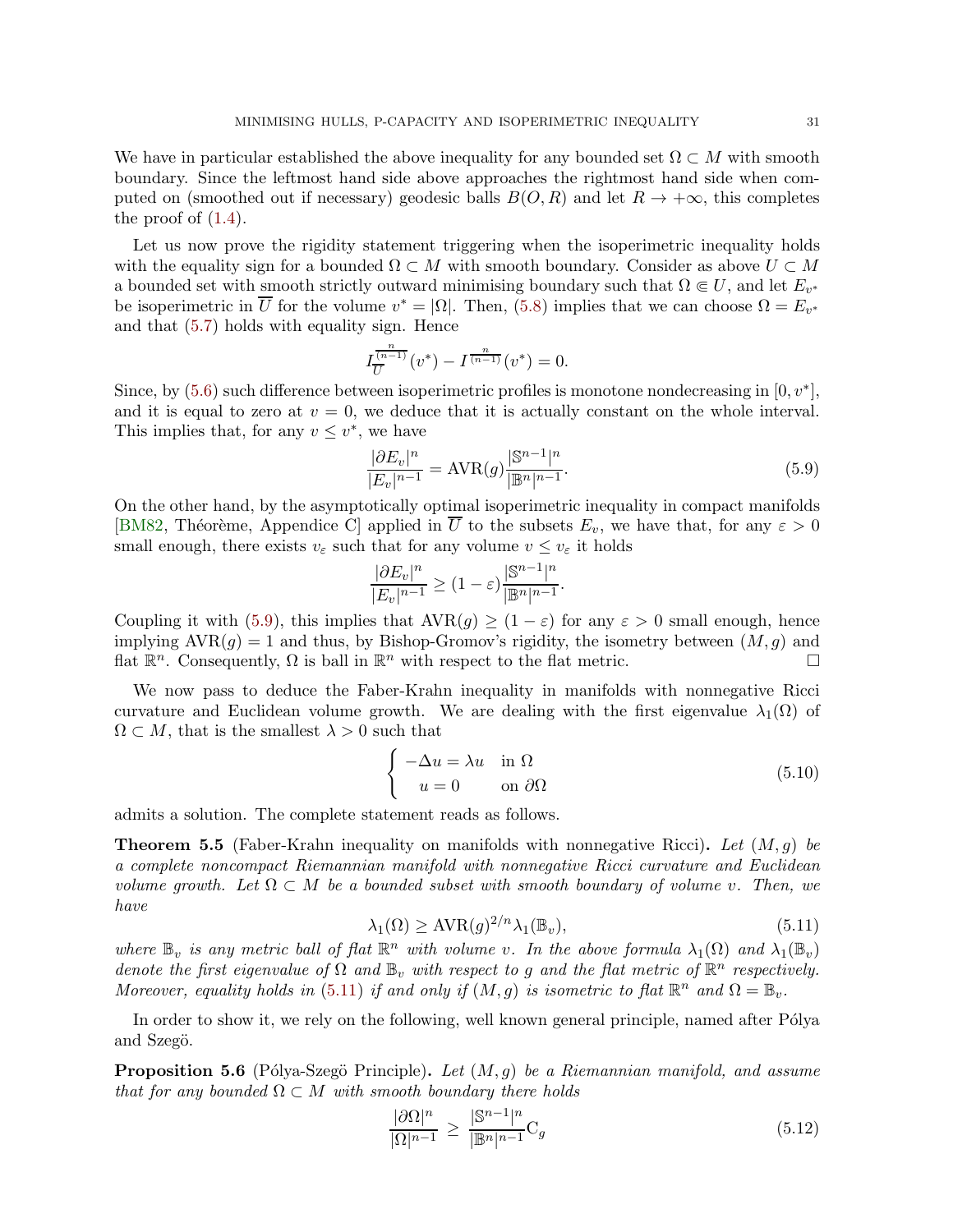We have in particular established the above inequality for any bounded set  $\Omega \subset M$  with smooth boundary. Since the leftmost hand side above approaches the rightmost hand side when computed on (smoothed out if necessary) geodesic balls  $B(O, R)$  and let  $R \to +\infty$ , this completes the proof of  $(1.4)$ .

Let us now prove the rigidity statement triggering when the isoperimetric inequality holds with the equality sign for a bounded  $\Omega \subset M$  with smooth boundary. Consider as above  $U \subset M$ a bounded set with smooth strictly outward minimising boundary such that  $\Omega \in U$ , and let  $E_{v^*}$ be isoperimetric in  $\overline{U}$  for the volume  $v^* = |\Omega|$ . Then, [\(5.8\)](#page-29-1) implies that we can choose  $\Omega = E_{v^*}$ and that [\(5.7\)](#page-29-0) holds with equality sign. Hence

$$
I_{\overline{U}}^{\frac{n}{(n-1)}}(v^*) - I^{\frac{n}{(n-1)}}(v^*) = 0.
$$

Since, by  $(5.6)$  such difference between isoperimetric profiles is monotone nondecreasing in  $[0, v^*]$ , and it is equal to zero at  $v = 0$ , we deduce that it is actually constant on the whole interval. This implies that, for any  $v \leq v^*$ , we have

<span id="page-30-1"></span>
$$
\frac{|\partial E_v|^n}{|E_v|^{n-1}} = \text{AVR}(g) \frac{|\mathbb{S}^{n-1}|^n}{|\mathbb{B}^n|^{n-1}}.
$$
\n(5.9)

On the other hand, by the asymptotically optimal isoperimetric inequality in compact manifolds [\[BM82,](#page-34-5) Théorème, Appendice C] applied in  $\overline{U}$  to the subsets  $E_v$ , we have that, for any  $\varepsilon > 0$ small enough, there exists  $v_{\varepsilon}$  such that for any volume  $v \leq v_{\varepsilon}$  it holds

$$
\frac{|\partial E_v|^n}{|E_v|^{n-1}}\geq (1-\varepsilon)\frac{|\mathbb{S}^{n-1}|^n}{|\mathbb{B}^n|^{n-1}}.
$$

Coupling it with [\(5.9\)](#page-30-1), this implies that  $AVR(g) \geq (1 - \varepsilon)$  for any  $\varepsilon > 0$  small enough, hence implying  $AVR(g) = 1$  and thus, by Bishop-Gromov's rigidity, the isometry between  $(M, g)$  and flat  $\mathbb{R}^n$ . Consequently,  $\Omega$  is ball in  $\mathbb{R}^n$  with respect to the flat metric.

We now pass to deduce the Faber-Krahn inequality in manifolds with nonnegative Ricci curvature and Euclidean volume growth. We are dealing with the first eigenvalue  $\lambda_1(\Omega)$  of  $\Omega \subset M$ , that is the smallest  $\lambda > 0$  such that

<span id="page-30-4"></span>
$$
\begin{cases}\n-\Delta u = \lambda u & \text{in } \Omega \\
u = 0 & \text{on } \partial\Omega\n\end{cases}
$$
\n(5.10)

admits a solution. The complete statement reads as follows.

<span id="page-30-0"></span>**Theorem 5.5** (Faber-Krahn inequality on manifolds with nonnegative Ricci). Let  $(M, q)$  be a complete noncompact Riemannian manifold with nonnegative Ricci curvature and Euclidean volume growth. Let  $\Omega \subset M$  be a bounded subset with smooth boundary of volume v. Then, we have

<span id="page-30-2"></span>
$$
\lambda_1(\Omega) \ge \text{AVR}(g)^{2/n} \lambda_1(\mathbb{B}_v),\tag{5.11}
$$

where  $\mathbb{B}_v$  is any metric ball of flat  $\mathbb{R}^n$  with volume v. In the above formula  $\lambda_1(\Omega)$  and  $\lambda_1(\mathbb{B}_v)$ denote the first eigenvalue of  $\Omega$  and  $\mathbb{B}_v$  with respect to g and the flat metric of  $\mathbb{R}^n$  respectively. Moreover, equality holds in [\(5.11\)](#page-30-2) if and only if  $(M, g)$  is isometric to flat  $\mathbb{R}^n$  and  $\Omega = \mathbb{B}_v$ .

In order to show it, we rely on the following, well known general principle, named after Pólya and Szegö.

<span id="page-30-5"></span>**Proposition 5.6** (Pólya-Szegö Principle). Let  $(M, q)$  be a Riemannian manifold, and assume that for any bounded  $\Omega \subset M$  with smooth boundary there holds

<span id="page-30-3"></span>
$$
\frac{|\partial\Omega|^n}{|\Omega|^{n-1}} \ge \frac{|\mathbb{S}^{n-1}|^n}{|\mathbb{B}^n|^{n-1}} \mathcal{C}_g
$$
\n(5.12)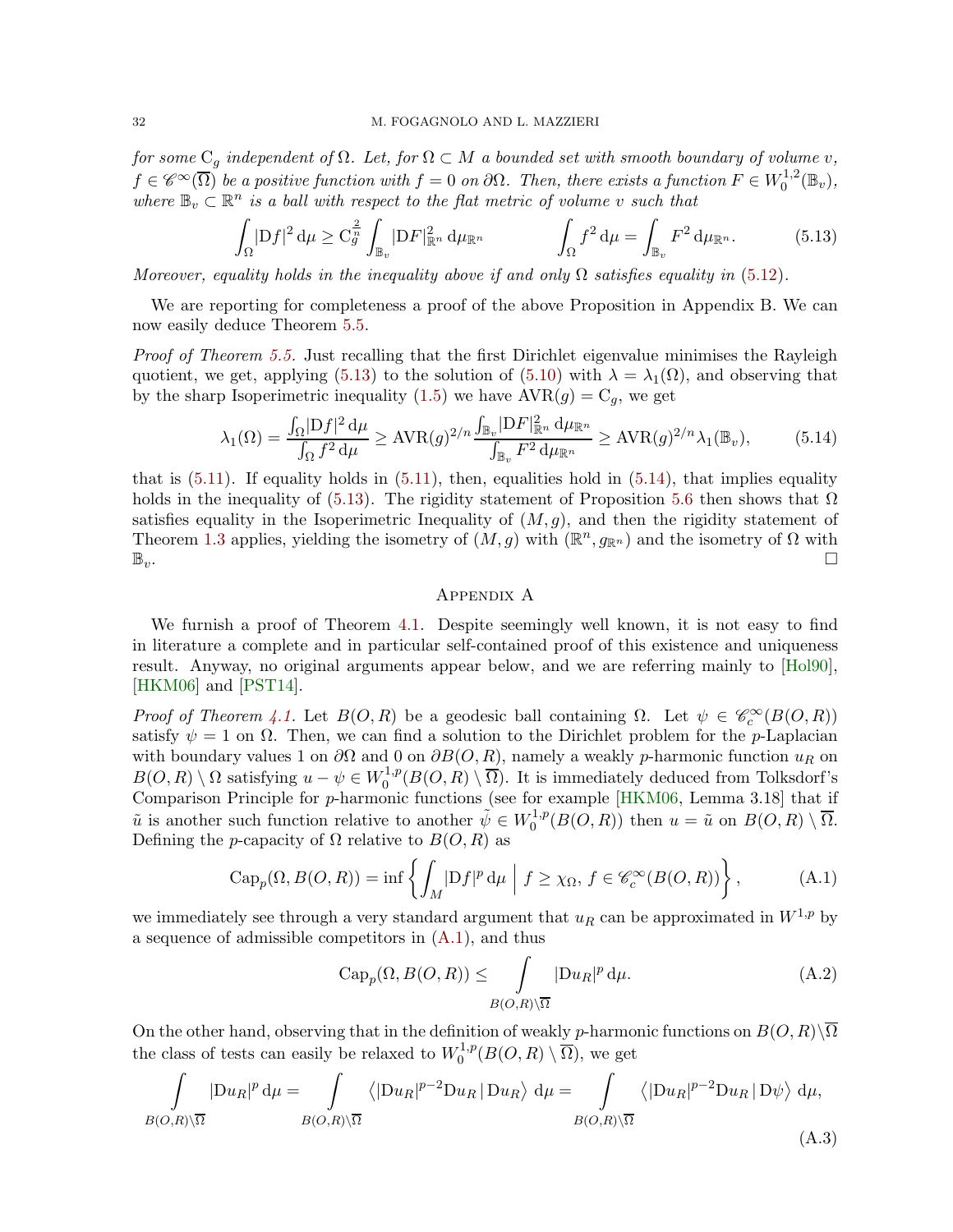for some  $C_q$  independent of  $\Omega$ . Let, for  $\Omega \subset M$  a bounded set with smooth boundary of volume v,  $f \in \mathscr{C}^{\infty}(\overline{\Omega})$  be a positive function with  $f = 0$  on  $\partial\Omega$ . Then, there exists a function  $F \in W_0^{1,2}$  $t_0^{1,2}(\mathbb{B}_v),$ where  $\mathbb{B}_v \subset \mathbb{R}^n$  is a ball with respect to the flat metric of volume v such that

$$
\int_{\Omega} |\mathcal{D}f|^2 \, \mathrm{d}\mu \geq C_g^{\frac{2}{n}} \int_{\mathbb{B}_v} |\mathcal{D}F|_{\mathbb{R}^n}^2 \, \mathrm{d}\mu_{\mathbb{R}^n} \qquad \qquad \int_{\Omega} f^2 \, \mathrm{d}\mu = \int_{\mathbb{B}_v} F^2 \, \mathrm{d}\mu_{\mathbb{R}^n}.\tag{5.13}
$$

Moreover, equality holds in the inequality above if and only  $\Omega$  satisfies equality in [\(5.12\)](#page-30-3).

We are reporting for completeness a proof of the above Proposition in Appendix B. We can now easily deduce Theorem [5.5.](#page-30-0)

Proof of Theorem [5.5.](#page-30-0) Just recalling that the first Dirichlet eigenvalue minimises the Rayleigh quotient, we get, applying [\(5.13\)](#page-31-0) to the solution of [\(5.10\)](#page-30-4) with  $\lambda = \lambda_1(\Omega)$ , and observing that by the sharp Isoperimetric inequality [\(1.5\)](#page-4-1) we have  $AVR(g) = C_g$ , we get

$$
\lambda_1(\Omega) = \frac{\int_{\Omega} |\mathrm{D}f|^2 \,\mathrm{d}\mu}{\int_{\Omega} f^2 \,\mathrm{d}\mu} \ge \mathrm{AVR}(g)^{2/n} \frac{\int_{\mathbb{B}_v} |\mathrm{D}F|_{\mathbb{R}^n}^2 \,\mathrm{d}\mu_{\mathbb{R}^n}}{\int_{\mathbb{B}_v} F^2 \,\mathrm{d}\mu_{\mathbb{R}^n}} \ge \mathrm{AVR}(g)^{2/n} \lambda_1(\mathbb{B}_v),\tag{5.14}
$$

that is  $(5.11)$ . If equality holds in  $(5.11)$ , then, equalities hold in  $(5.14)$ , that implies equality holds in the inequality of [\(5.13\)](#page-31-0). The rigidity statement of Proposition [5.6](#page-30-5) then shows that  $\Omega$ satisfies equality in the Isoperimetric Inequality of  $(M, g)$ , and then the rigidity statement of Theorem [1.3](#page-4-0) applies, yielding the isometry of  $(M, g)$  with  $(\mathbb{R}^n, g_{\mathbb{R}^n})$  and the isometry of  $\Omega$  with  $\mathbb{B}_v$ .

## <span id="page-31-1"></span><span id="page-31-0"></span>Appendix A

We furnish a proof of Theorem [4.1.](#page-21-1) Despite seemingly well known, it is not easy to find in literature a complete and in particular self-contained proof of this existence and uniqueness result. Anyway, no original arguments appear below, and we are referring mainly to [\[Hol90\]](#page-35-18), [\[HKM06\]](#page-35-17) and [\[PST14\]](#page-36-3).

Proof of Theorem [4.1.](#page-21-1) Let  $B(O, R)$  be a geodesic ball containing  $\Omega$ . Let  $\psi \in \mathcal{C}_c^{\infty}(B(O, R))$ satisfy  $\psi = 1$  on  $\Omega$ . Then, we can find a solution to the Dirichlet problem for the *p*-Laplacian with boundary values 1 on  $\partial\Omega$  and 0 on  $\partial B(O, R)$ , namely a weakly p-harmonic function  $u_R$  on  $B(O, R) \setminus \Omega$  satisfying  $u - \psi \in W_0^{1,p}$  $0^{1,p}(B(O,R)\setminus\Omega)$ . It is immediately deduced from Tolksdorf's Comparison Principle for p-harmonic functions (see for example [\[HKM06,](#page-35-17) Lemma 3.18] that if  $\tilde{u}$  is another such function relative to another  $\tilde{\psi} \in W_0^{1,p}$  $\tilde{u}_0^{1,p}(B(O,R))$  then  $u = \tilde{u}$  on  $B(O,R) \setminus \Omega$ . Defining the *p*-capacity of  $\Omega$  relative to  $B(O, R)$  as

$$
\operatorname{Cap}_p(\Omega, B(O, R)) = \inf \left\{ \int_M |Df|^p \, \mathrm{d}\mu \mid f \ge \chi_{\Omega}, \, f \in \mathscr{C}_c^{\infty}(B(O, R)) \right\},\tag{A.1}
$$

we immediately see through a very standard argument that  $u_R$  can be approximated in  $W^{1,p}$  by a sequence of admissible competitors in [\(A.1\)](#page-33-1), and thus

$$
\operatorname{Cap}_p(\Omega, B(O, R)) \le \int\limits_{B(O, R)\setminus\overline{\Omega}} |\operatorname{D}u_R|^p \, \mathrm{d}\mu. \tag{A.2}
$$

On the other hand, observing that in the definition of weakly p-harmonic functions on  $B(O, R)\setminus\overline{\Omega}$ the class of tests can easily be relaxed to  $W_0^{1,p}$  $C^{1,p}_0(B(O,R)\setminus\Omega)$ , we get

$$
\int_{B(O,R)\setminus\overline{\Omega}}|Du_R|^p\,d\mu = \int_{B(O,R)\setminus\overline{\Omega}}\left\langle |Du_R|^{p-2}Du_R|Du_R\right\rangle\,d\mu = \int_{B(O,R)\setminus\overline{\Omega}}\left\langle |Du_R|^{p-2}Du_R|D\psi\right\rangle\,d\mu,
$$
\n(A.3)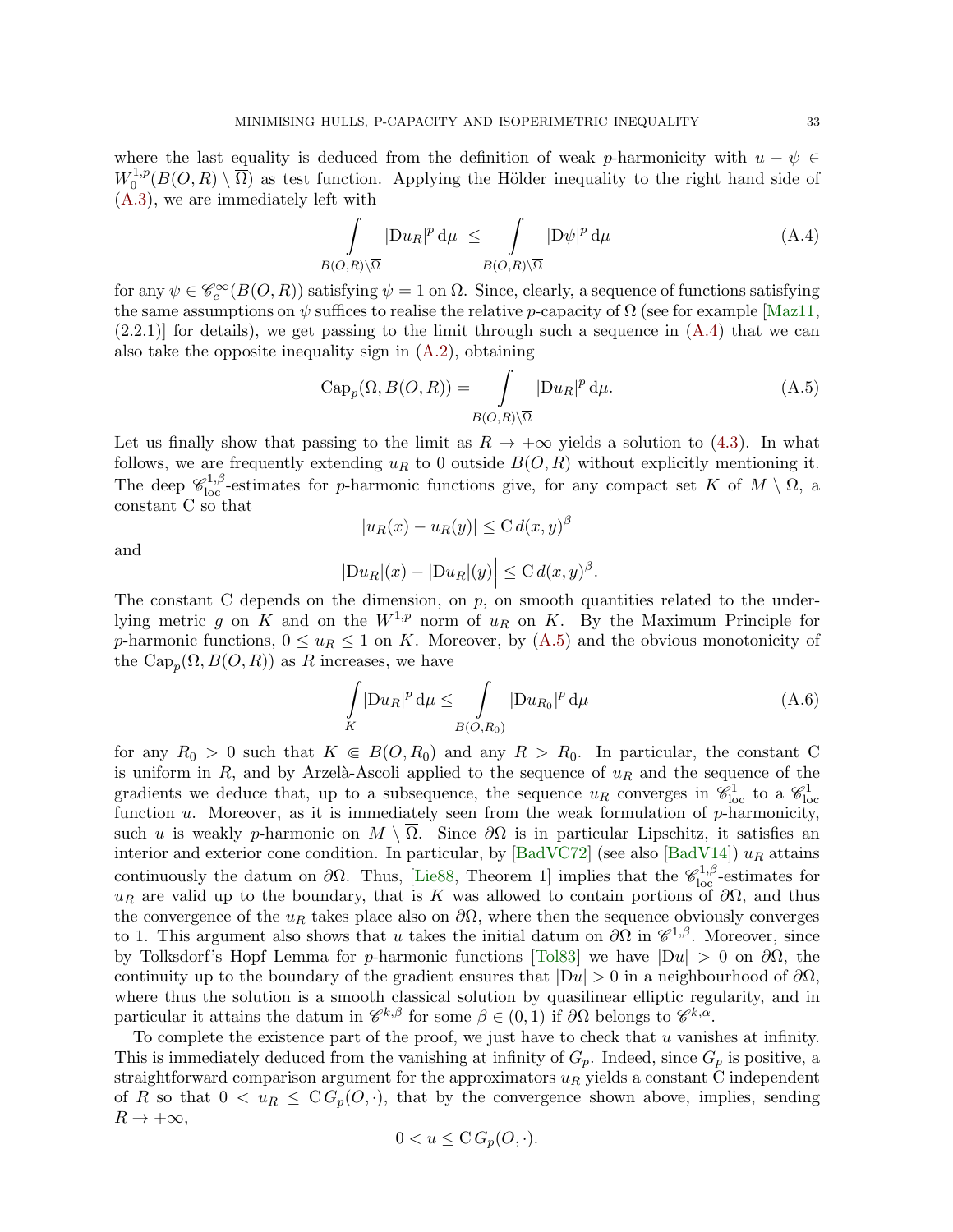where the last equality is deduced from the definition of weak p-harmonicity with  $u - \psi \in$  $W_0^{1,p}$  $0^{1,p}(B(O,R) \setminus \Omega)$  as test function. Applying the Hölder inequality to the right hand side of [\(A.3\)](#page-34-10), we are immediately left with

<span id="page-32-0"></span>
$$
\int_{B(O,R)\setminus\overline{\Omega}} |{\rm D}u_R|^p \,d\mu \le \int_{B(O,R)\setminus\overline{\Omega}} |{\rm D}\psi|^p \,d\mu \tag{A.4}
$$

for any  $\psi \in \mathscr{C}_c^\infty(B(O,R))$  satisfying  $\psi = 1$  on  $\Omega$ . Since, clearly, a sequence of functions satisfying the same assumptions on  $\psi$  suffices to realise the relative p-capacity of  $\Omega$  (see for example [\[Maz11,](#page-36-19)  $(2.2.1)$  for details), we get passing to the limit through such a sequence in  $(A.4)$  that we can also take the opposite inequality sign in  $(A.2)$ , obtaining

$$
Cap_p(\Omega, B(O, R)) = \int_{B(O, R)\setminus\overline{\Omega}} |Du_R|^p d\mu.
$$
 (A.5)

Let us finally show that passing to the limit as  $R \to +\infty$  yields a solution to [\(4.3\)](#page-20-2). In what follows, we are frequently extending  $u_R$  to 0 outside  $B(O, R)$  without explicitly mentioning it. The deep  $\mathscr{C}^{1,\beta}_{loc}$ -estimates for p-harmonic functions give, for any compact set K of  $M \setminus \Omega$ , a constant C so that

and

<span id="page-32-1"></span>
$$
|u_R(x) - u_R(y)| \leq C d(x, y)^\beta
$$

$$
\left| |\mathrm{D} u_R|(x) - |\mathrm{D} u_R|(y) \right| \leq \mathrm{C} \, d(x,y)^{\beta}.
$$

The constant C depends on the dimension, on p, on smooth quantities related to the underlying metric g on K and on the  $W^{1,p}$  norm of  $u_R$  on K. By the Maximum Principle for p-harmonic functions,  $0 \leq u_R \leq 1$  on K. Moreover, by  $(A.5)$  and the obvious monotonicity of the  $\operatorname{Cap}_p(\Omega, B(O, R))$  as R increases, we have

<span id="page-32-2"></span>
$$
\int\limits_K |\mathcal{D}u_R|^p \, \mathrm{d}\mu \le \int\limits_{B(O,R_0)} |\mathcal{D}u_{R_0}|^p \, \mathrm{d}\mu \tag{A.6}
$$

for any  $R_0 > 0$  such that  $K \in B(0, R_0)$  and any  $R > R_0$ . In particular, the constant C is uniform in R, and by Arzelà-Ascoli applied to the sequence of  $u_R$  and the sequence of the gradients we deduce that, up to a subsequence, the sequence  $u_R$  converges in  $\mathscr{C}^1_{\text{loc}}$  to a  $\mathscr{C}^1_{\text{loc}}$ function  $u$ . Moreover, as it is immediately seen from the weak formulation of  $p$ -harmonicity, such u is weakly p-harmonic on  $M \setminus \overline{\Omega}$ . Since  $\partial\Omega$  is in particular Lipschitz, it satisfies an interior and exterior cone condition. In particular, by [\[BadVC72\]](#page-34-11) (see also [\[BadV14\]](#page-34-12))  $u_R$  attains continuously the datum on  $\partial\Omega$ . Thus, [\[Lie88,](#page-36-13) Theorem 1] implies that the  $\mathscr{C}_{loc}^{1,\beta}$ -estimates for  $u_R$  are valid up to the boundary, that is K was allowed to contain portions of  $\partial\Omega$ , and thus the convergence of the  $u_R$  takes place also on  $\partial\Omega$ , where then the sequence obviously converges to 1. This argument also shows that u takes the initial datum on  $\partial\Omega$  in  $\mathscr{C}^{1,\beta}$ . Moreover, since by Tolksdorf's Hopf Lemma for p-harmonic functions [\[Tol83\]](#page-37-12) we have  $|Du| > 0$  on  $\partial\Omega$ , the continuity up to the boundary of the gradient ensures that  $|Du| > 0$  in a neighbourhood of  $\partial\Omega$ , where thus the solution is a smooth classical solution by quasilinear elliptic regularity, and in particular it attains the datum in  $\mathscr{C}^{k,\beta}$  for some  $\beta \in (0,1)$  if  $\partial\Omega$  belongs to  $\mathscr{C}^{k,\alpha}$ .

To complete the existence part of the proof, we just have to check that  $u$  vanishes at infinity. This is immediately deduced from the vanishing at infinity of  $G_p$ . Indeed, since  $G_p$  is positive, a straightforward comparison argument for the approximators  $u_R$  yields a constant C independent of R so that  $0 < u_R \leq C G_p(O, \cdot)$ , that by the convergence shown above, implies, sending  $R \to +\infty$ ,

$$
0 < u \leq \mathcal{C} \, G_p(O, \cdot).
$$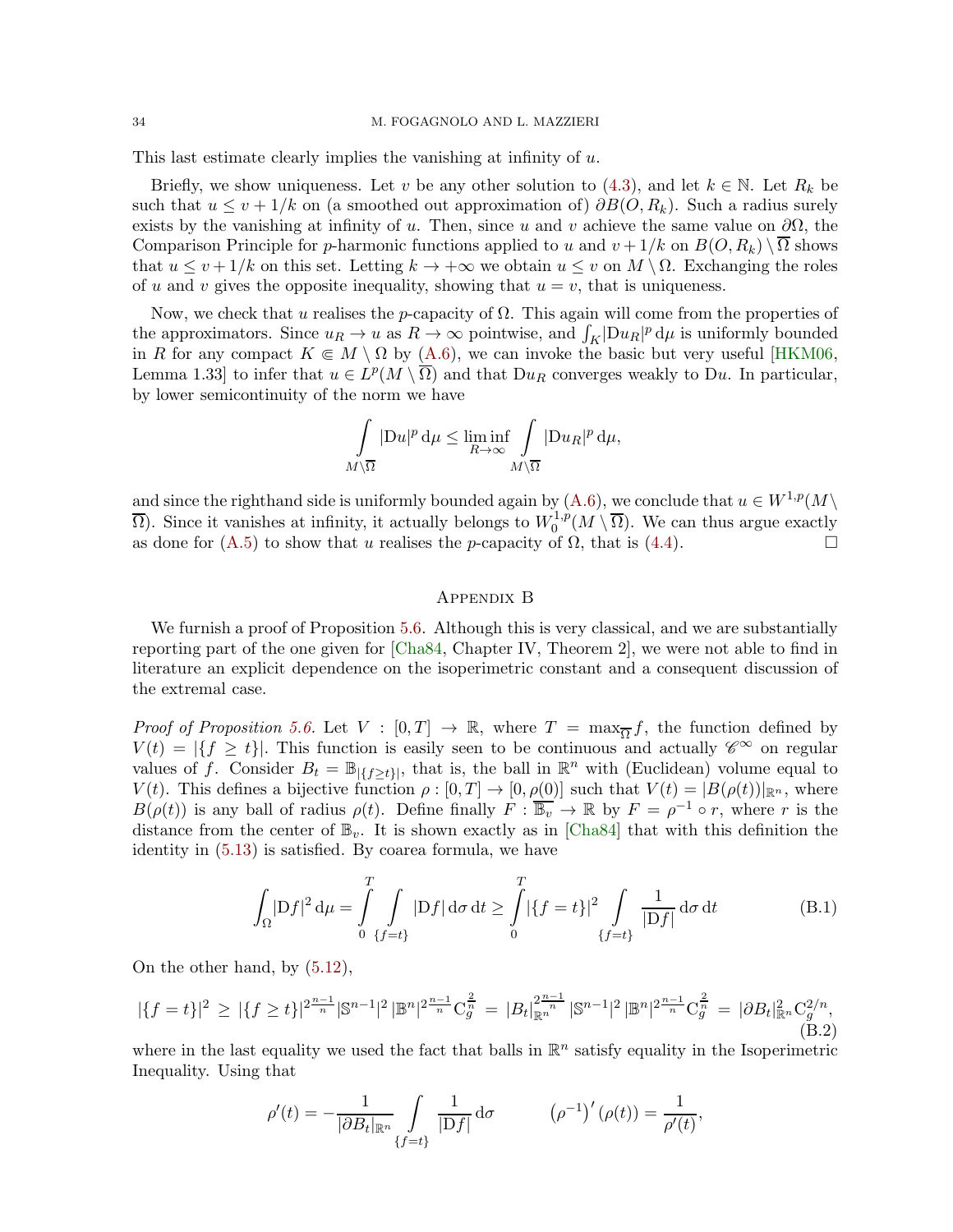34 M. FOGAGNOLO AND L. MAZZIERI

This last estimate clearly implies the vanishing at infinity of u.

Briefly, we show uniqueness. Let v be any other solution to [\(4.3\)](#page-20-2), and let  $k \in \mathbb{N}$ . Let  $R_k$  be such that  $u \leq v + 1/k$  on (a smoothed out approximation of)  $\partial B(O, R_k)$ . Such a radius surely exists by the vanishing at infinity of u. Then, since u and v achieve the same value on  $\partial\Omega$ , the Comparison Principle for p-harmonic functions applied to u and  $v + 1/k$  on  $B(O, R_k) \setminus \overline{\Omega}$  shows that  $u \le v + 1/k$  on this set. Letting  $k \to +\infty$  we obtain  $u \le v$  on  $M \setminus \Omega$ . Exchanging the roles of u and v gives the opposite inequality, showing that  $u = v$ , that is uniqueness.

Now, we check that u realises the p-capacity of  $\Omega$ . This again will come from the properties of the approximators. Since  $u_R \to u$  as  $R \to \infty$  pointwise, and  $\int_K |Du_R|^p d\mu$  is uniformly bounded in R for any compact  $K \in M \setminus \Omega$  by [\(A.6\)](#page-32-2), we can invoke the basic but very useful [\[HKM06,](#page-35-17) Lemma 1.33] to infer that  $u \in L^p(M \setminus \overline{\Omega})$  and that  $Du_R$  converges weakly to Du. In particular, by lower semicontinuity of the norm we have

$$
\int_{M\setminus\overline{\Omega}}|\mathrm{D} u|^p\,\mathrm{d}\mu\leq \liminf_{R\to\infty}\int_{M\setminus\overline{\Omega}}|\mathrm{D} u_R|^p\,\mathrm{d}\mu,
$$

and since the righthand side is uniformly bounded again by [\(A.6\)](#page-32-2), we conclude that  $u \in W^{1,p}(M)$  $\overline{\Omega}$ ). Since it vanishes at infinity, it actually belongs to  $W_0^{1,p}$  $0^{1,p}(M \setminus \Omega)$ . We can thus argue exactly as done for [\(A.5\)](#page-32-1) to show that u realises the p-capacity of  $\Omega$ , that is [\(4.4\)](#page-21-4).

## <span id="page-33-1"></span>Appendix B

We furnish a proof of Proposition [5.6.](#page-30-5) Although this is very classical, and we are substantially reporting part of the one given for [\[Cha84,](#page-35-19) Chapter IV, Theorem 2], we were not able to find in literature an explicit dependence on the isoperimetric constant and a consequent discussion of the extremal case.

*Proof of Proposition [5.6.](#page-30-5)* Let  $V : [0, T] \to \mathbb{R}$ , where  $T = \max_{\overline{\Omega}} f$ , the function defined by  $V(t) = |\{f \ge t\}|$ . This function is easily seen to be continuous and actually  $\mathscr{C}^{\infty}$  on regular values of f. Consider  $B_t = \mathbb{B}_{|\{f \ge t\}|}$ , that is, the ball in  $\mathbb{R}^n$  with (Euclidean) volume equal to  $V(t)$ . This defines a bijective function  $\rho : [0, T] \to [0, \rho(0)]$  such that  $V(t) = |B(\rho(t))|_{\mathbb{R}^n}$ , where  $B(\rho(t))$  is any ball of radius  $\rho(t)$ . Define finally  $F : \overline{\mathbb{B}_v} \to \mathbb{R}$  by  $F = \rho^{-1} \circ r$ , where r is the distance from the center of  $\mathbb{B}_v$ . It is shown exactly as in [\[Cha84\]](#page-35-19) that with this definition the identity in [\(5.13\)](#page-31-0) is satisfied. By coarea formula, we have

$$
\int_{\Omega} |Df|^2 d\mu = \int_{0}^{T} \int_{\{f=t\}} |Df| d\sigma dt \ge \int_{0}^{T} |\{f=t\}|^2 \int_{\{f=t\}} \frac{1}{|Df|} d\sigma dt
$$
 (B.1)

On the other hand, by [\(5.12\)](#page-30-3),

$$
|\{f=t\}|^2 \ge |\{f \ge t\}|^{2\frac{n-1}{n}} |{\mathbb S}^{n-1}|^2 \, |\mathbb{B}^n|^{2\frac{n-1}{n}} C_g^{\frac{2}{n}} = |B_t|_{\mathbb{R}^n}^{2\frac{n-1}{n}} |{\mathbb S}^{n-1}|^2 \, |\mathbb{B}^n|^{2\frac{n-1}{n}} C_g^{\frac{2}{n}} = |\partial B_t|_{\mathbb{R}^n}^2 C_g^{2/n},
$$
\n(B.2)

where in the last equality we used the fact that balls in  $\mathbb{R}^n$  satisfy equality in the Isoperimetric Inequality. Using that

<span id="page-33-0"></span>
$$
\rho'(t) = -\frac{1}{|\partial B_t|_{\mathbb{R}^n}} \int\limits_{\{f=t\}} \frac{1}{|Df|} d\sigma \qquad (\rho^{-1})'(\rho(t)) = \frac{1}{\rho'(t)},
$$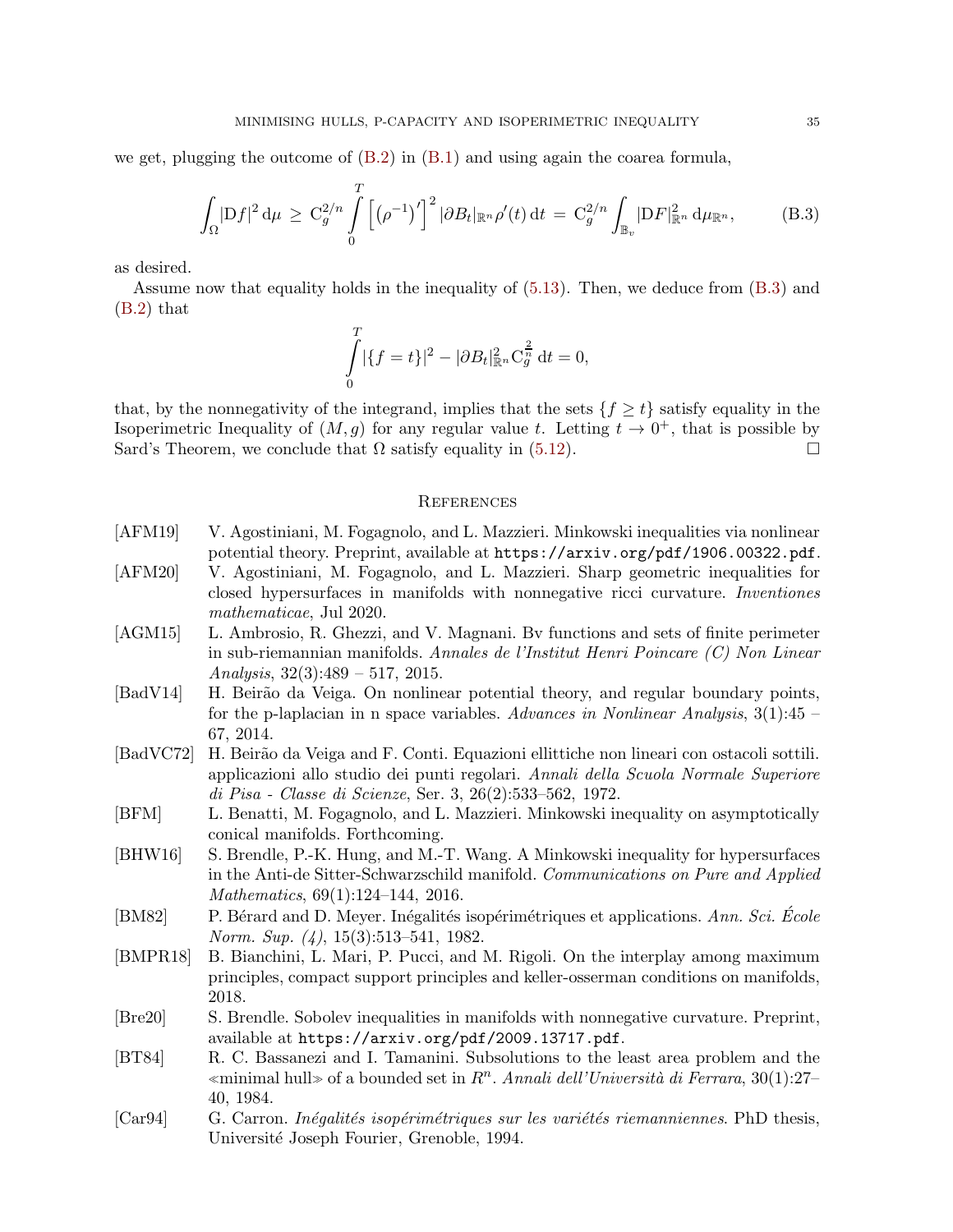we get, plugging the outcome of  $(B.2)$  in  $(B.1)$  and using again the coarea formula,

$$
\int_{\Omega} |Df|^2 d\mu \geq C_g^{2/n} \int_0^T \left[ (\rho^{-1})' \right]^2 |\partial B_t|_{\mathbb{R}^n} \rho'(t) dt = C_g^{2/n} \int_{\mathbb{B}_v} |DF|_{\mathbb{R}^n}^2 d\mu_{\mathbb{R}^n},
$$
(B.3)

as desired.

Assume now that equality holds in the inequality of [\(5.13\)](#page-31-0). Then, we deduce from [\(B.3\)](#page-34-10) and [\(B.2\)](#page-33-0) that

<span id="page-34-10"></span>
$$
\int_{0}^{T} |\{f=t\}|^{2} - |\partial B_{t}|_{\mathbb{R}^{n}}^{2} \mathbf{C}_{g}^{\frac{2}{n}} dt = 0,
$$

that, by the nonnegativity of the integrand, implies that the sets  $\{f \ge t\}$  satisfy equality in the Isoperimetric Inequality of  $(M, g)$  for any regular value t. Letting  $t \to 0^+$ , that is possible by Sard's Theorem, we conclude that  $\Omega$  satisfy equality in [\(5.12\)](#page-30-3).

## **REFERENCES**

- <span id="page-34-1"></span>[AFM19] V. Agostiniani, M. Fogagnolo, and L. Mazzieri. Minkowski inequalities via nonlinear potential theory. Preprint, available at https://arxiv.org/pdf/1906.00322.pdf.
- <span id="page-34-2"></span>[AFM20] V. Agostiniani, M. Fogagnolo, and L. Mazzieri. Sharp geometric inequalities for closed hypersurfaces in manifolds with nonnegative ricci curvature. Inventiones mathematicae, Jul 2020.
- <span id="page-34-7"></span>[AGM15] L. Ambrosio, R. Ghezzi, and V. Magnani. Bv functions and sets of finite perimeter in sub-riemannian manifolds. Annales de l'Institut Henri Poincare (C) Non Linear Analysis,  $32(3):489 - 517$ ,  $2015$ .
- <span id="page-34-12"></span>[BadV14] H. Beirão da Veiga. On nonlinear potential theory, and regular boundary points, for the p-laplacian in n space variables. Advances in Nonlinear Analysis,  $3(1):45$ 67, 2014.
- <span id="page-34-11"></span>[BadVC72] H. Beir˜ao da Veiga and F. Conti. Equazioni ellittiche non lineari con ostacoli sottili. applicazioni allo studio dei punti regolari. Annali della Scuola Normale Superiore di Pisa - Classe di Scienze, Ser. 3, 26(2):533–562, 1972.
- <span id="page-34-4"></span>[BFM] L. Benatti, M. Fogagnolo, and L. Mazzieri. Minkowski inequality on asymptotically conical manifolds. Forthcoming.
- <span id="page-34-8"></span>[BHW16] S. Brendle, P.-K. Hung, and M.-T. Wang. A Minkowski inequality for hypersurfaces in the Anti-de Sitter-Schwarzschild manifold. Communications on Pure and Applied Mathematics, 69(1):124–144, 2016.
- <span id="page-34-5"></span>[BM82] P. Bérard and D. Meyer. Inégalités isopérimétriques et applications. Ann. Sci. École Norm. Sup. (4), 15(3):513–541, 1982.
- <span id="page-34-9"></span>[BMPR18] B. Bianchini, L. Mari, P. Pucci, and M. Rigoli. On the interplay among maximum principles, compact support principles and keller-osserman conditions on manifolds, 2018.
- <span id="page-34-6"></span>[Bre20] S. Brendle. Sobolev inequalities in manifolds with nonnegative curvature. Preprint, available at https://arxiv.org/pdf/2009.13717.pdf.
- <span id="page-34-0"></span>[BT84] R. C. Bassanezi and I. Tamanini. Subsolutions to the least area problem and the «minimal hull» of a bounded set in  $R<sup>n</sup>$ . Annali dell'Università di Ferrara, 30(1):27– 40, 1984.
- <span id="page-34-3"></span>[Car94] G. Carron. *Inégalités isopérimétriques sur les variétés riemanniennes*. PhD thesis, Universit´e Joseph Fourier, Grenoble, 1994.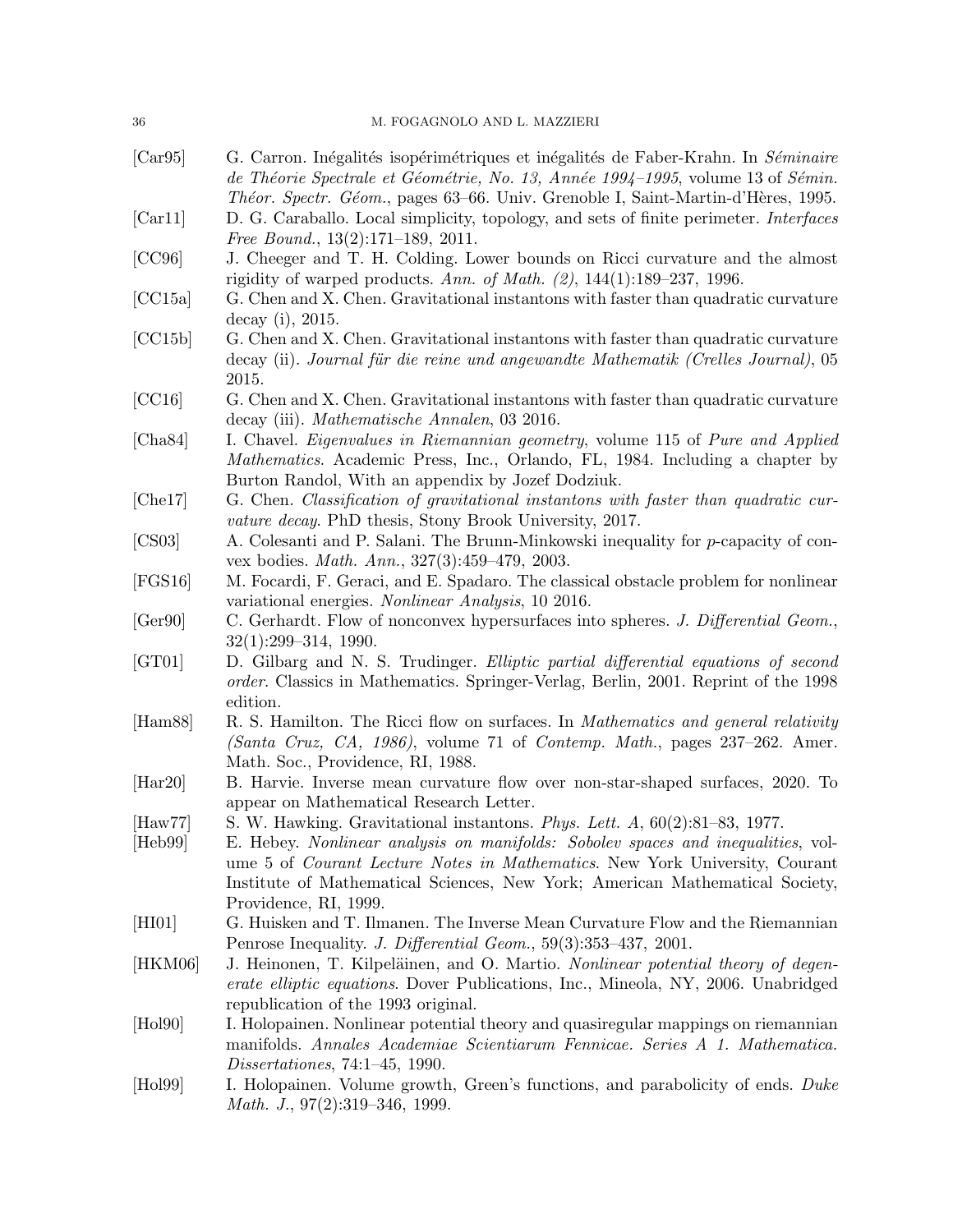<span id="page-35-19"></span><span id="page-35-18"></span><span id="page-35-17"></span><span id="page-35-16"></span><span id="page-35-15"></span><span id="page-35-14"></span><span id="page-35-13"></span><span id="page-35-12"></span><span id="page-35-11"></span><span id="page-35-10"></span><span id="page-35-9"></span><span id="page-35-8"></span><span id="page-35-7"></span><span id="page-35-6"></span><span id="page-35-5"></span><span id="page-35-4"></span><span id="page-35-3"></span><span id="page-35-2"></span><span id="page-35-1"></span><span id="page-35-0"></span>

| 36                          | M. FOGAGNOLO AND L. MAZZIERI                                                                                                                                                                                                                                                                                                                                         |
|-----------------------------|----------------------------------------------------------------------------------------------------------------------------------------------------------------------------------------------------------------------------------------------------------------------------------------------------------------------------------------------------------------------|
| [Car95]                     | G. Carron. Inégalités isopérimétriques et inégalités de Faber-Krahn. In Séminaire<br>de Théorie Spectrale et Géométrie, No. 13, Année 1994-1995, volume 13 of Sémin.<br>Théor. Spectr. Géom., pages 63–66. Univ. Grenoble I, Saint-Martin-d'Hères, 1995.                                                                                                             |
| [Car11]                     | D. G. Caraballo. Local simplicity, topology, and sets of finite perimeter. Interfaces<br>Free Bound., $13(2):171-189$ , $2011$ .                                                                                                                                                                                                                                     |
| [CC96]                      | J. Cheeger and T. H. Colding. Lower bounds on Ricci curvature and the almost<br>rigidity of warped products. Ann. of Math. $(2)$ , 144(1):189-237, 1996.                                                                                                                                                                                                             |
| [CC15a]                     | G. Chen and X. Chen. Gravitational instantons with faster than quadratic curvature<br>decay (i), $2015$ .                                                                                                                                                                                                                                                            |
| [CC15b]                     | G. Chen and X. Chen. Gravitational instantons with faster than quadratic curvature<br>decay (ii). Journal für die reine und angewandte Mathematik (Crelles Journal), 05<br>2015.                                                                                                                                                                                     |
| [CC16]                      | G. Chen and X. Chen. Gravitational instantons with faster than quadratic curvature<br>decay (iii). Mathematische Annalen, 03 2016.                                                                                                                                                                                                                                   |
| [Cha84]                     | I. Chavel. Eigenvalues in Riemannian geometry, volume 115 of Pure and Applied<br><i>Mathematics.</i> Academic Press, Inc., Orlando, FL, 1984. Including a chapter by<br>Burton Randol, With an appendix by Jozef Dodziuk.                                                                                                                                            |
| [Che17]                     | G. Chen. Classification of gravitational instantons with faster than quadratic cur-<br><i>vature decay.</i> PhD thesis, Stony Brook University, 2017.                                                                                                                                                                                                                |
| [CS03]                      | A. Colesanti and P. Salani. The Brunn-Minkowski inequality for p-capacity of con-<br>vex bodies. Math. Ann., 327(3):459-479, 2003.                                                                                                                                                                                                                                   |
| [FGS16]                     | M. Focardi, F. Geraci, and E. Spadaro. The classical obstacle problem for nonlinear<br>variational energies. Nonlinear Analysis, 10 2016.                                                                                                                                                                                                                            |
| [Ger90]                     | C. Gerhardt. Flow of nonconvex hypersurfaces into spheres. J. Differential Geom.,<br>$32(1):299-314, 1990.$                                                                                                                                                                                                                                                          |
| [GT01]                      | D. Gilbarg and N. S. Trudinger. Elliptic partial differential equations of second<br>order. Classics in Mathematics. Springer-Verlag, Berlin, 2001. Reprint of the 1998<br>edition.                                                                                                                                                                                  |
| [Ham88]                     | R. S. Hamilton. The Ricci flow on surfaces. In <i>Mathematics and general relativity</i><br>(Santa Cruz, CA, 1986), volume 71 of Contemp. Math., pages 237–262. Amer.<br>Math. Soc., Providence, RI, 1988.                                                                                                                                                           |
| [Har20]                     | B. Harvie. Inverse mean curvature flow over non-star-shaped surfaces, 2020. To<br>appear on Mathematical Research Letter.                                                                                                                                                                                                                                            |
| $[\text{Haw77}]$<br>[Heb99] | S. W. Hawking. Gravitational instantons. Phys. Lett. $A$ , $60(2):81-83$ , 1977.<br>E. Hebey. Nonlinear analysis on manifolds: Sobolev spaces and inequalities, vol-<br>ume 5 of <i>Courant Lecture Notes in Mathematics</i> . New York University, Courant<br>Institute of Mathematical Sciences, New York; American Mathematical Society,<br>Providence, RI, 1999. |
| [HIO1]                      | G. Huisken and T. Ilmanen. The Inverse Mean Curvature Flow and the Riemannian<br>Penrose Inequality. J. Differential Geom., 59(3):353-437, 2001.                                                                                                                                                                                                                     |
| [HKM06]                     | J. Heinonen, T. Kilpeläinen, and O. Martio. Nonlinear potential theory of degen-<br><i>erate elliptic equations.</i> Dover Publications, Inc., Mineola, NY, 2006. Unabridged<br>republication of the 1993 original.                                                                                                                                                  |
| $[\text{Hol}90]$            | I. Holopainen. Nonlinear potential theory and quasiregular mappings on riemannian<br>manifolds. Annales Academiae Scientiarum Fennicae. Series A 1. Mathematica.<br>Dissertations, 74:1–45, 1990.                                                                                                                                                                    |
| $[\text{Hol}99]$            | I. Holopainen. Volume growth, Green's functions, and parabolicity of ends. Duke<br><i>Math. J.</i> , $97(2):319-346$ , 1999.                                                                                                                                                                                                                                         |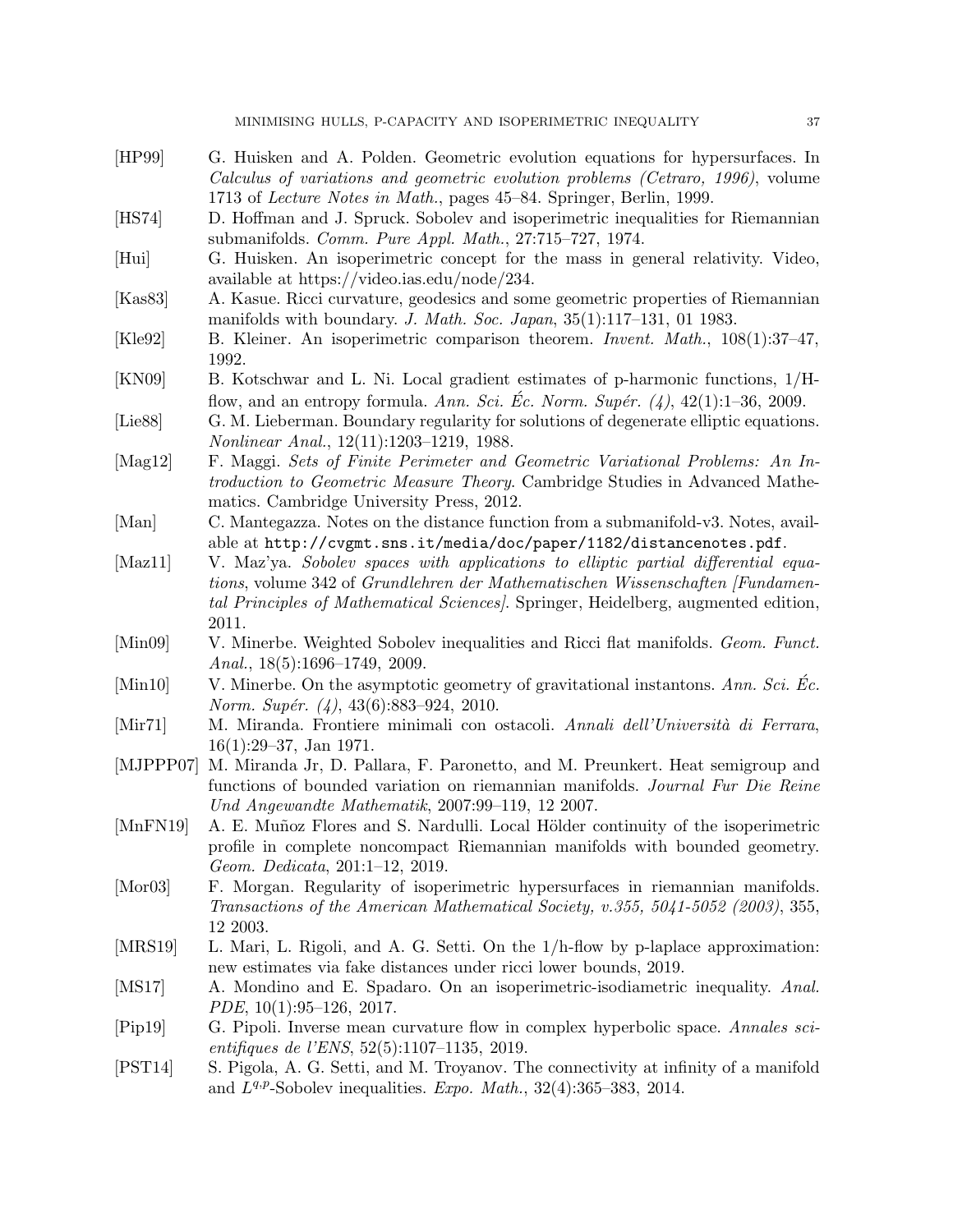- <span id="page-36-10"></span>[HP99] G. Huisken and A. Polden. Geometric evolution equations for hypersurfaces. In Calculus of variations and geometric evolution problems (Cetraro, 1996), volume 1713 of Lecture Notes in Math., pages 45–84. Springer, Berlin, 1999.
- <span id="page-36-1"></span>[HS74] D. Hoffman and J. Spruck. Sobolev and isoperimetric inequalities for Riemannian submanifolds. Comm. Pure Appl. Math., 27:715–727, 1974.
- <span id="page-36-5"></span>[Hui] G. Huisken. An isoperimetric concept for the mass in general relativity. Video, available at https://video.ias.edu/node/234.
- <span id="page-36-17"></span>[Kas83] A. Kasue. Ricci curvature, geodesics and some geometric properties of Riemannian manifolds with boundary. J. Math. Soc. Japan, 35(1):117–131, 01 1983.
- <span id="page-36-2"></span>[Kle92] B. Kleiner. An isoperimetric comparison theorem. Invent. Math., 108(1):37–47, 1992.
- <span id="page-36-11"></span>[KN09] B. Kotschwar and L. Ni. Local gradient estimates of p-harmonic functions, 1/Hflow, and an entropy formula. Ann. Sci. Ec. Norm. Supér.  $(4)$ , 42(1):1–36, 2009.
- <span id="page-36-13"></span>[Lie88] G. M. Lieberman. Boundary regularity for solutions of degenerate elliptic equations. Nonlinear Anal., 12(11):1203–1219, 1988.
- <span id="page-36-9"></span>[Mag12] F. Maggi. Sets of Finite Perimeter and Geometric Variational Problems: An Introduction to Geometric Measure Theory. Cambridge Studies in Advanced Mathematics. Cambridge University Press, 2012.
- <span id="page-36-15"></span>[Man] C. Mantegazza. Notes on the distance function from a submanifold-v3. Notes, available at http://cvgmt.sns.it/media/doc/paper/1182/distancenotes.pdf.
- <span id="page-36-19"></span>[Maz11] V. Maz'ya. Sobolev spaces with applications to elliptic partial differential equations, volume 342 of Grundlehren der Mathematischen Wissenschaften [Fundamental Principles of Mathematical Sciences]. Springer, Heidelberg, augmented edition, 2011.
- <span id="page-36-14"></span>[Min09] V. Minerbe. Weighted Sobolev inequalities and Ricci flat manifolds. Geom. Funct. Anal., 18(5):1696–1749, 2009.
- <span id="page-36-4"></span> $[\text{Min10}]$  V. Minerbe. On the asymptotic geometry of gravitational instantons. Ann. Sci. Ec. Norm. Supér.  $(4)$ , 43 $(6)$ :883–924, 2010.
- <span id="page-36-0"></span>[Mir71] M. Miranda. Frontiere minimali con ostacoli. Annali dell'Università di Ferrara, 16(1):29–37, Jan 1971.
- <span id="page-36-8"></span>[MJPPP07] M. Miranda Jr, D. Pallara, F. Paronetto, and M. Preunkert. Heat semigroup and functions of bounded variation on riemannian manifolds. Journal Fur Die Reine Und Angewandte Mathematik, 2007:99–119, 12 2007.
- <span id="page-36-18"></span>[MnFN19] A. E. Muñoz Flores and S. Nardulli. Local Hölder continuity of the isoperimetric profile in complete noncompact Riemannian manifolds with bounded geometry. Geom. Dedicata, 201:1–12, 2019.
- <span id="page-36-16"></span>[Mor03] F. Morgan. Regularity of isoperimetric hypersurfaces in riemannian manifolds. Transactions of the American Mathematical Society, v.355, 5041-5052 (2003), 355, 12 2003.
- <span id="page-36-6"></span>[MRS19] L. Mari, L. Rigoli, and A. G. Setti. On the 1/h-flow by p-laplace approximation: new estimates via fake distances under ricci lower bounds, 2019.
- <span id="page-36-7"></span>[MS17] A. Mondino and E. Spadaro. On an isoperimetric-isodiametric inequality. Anal. PDE, 10(1):95–126, 2017.
- <span id="page-36-12"></span>[Pip19] G. Pipoli. Inverse mean curvature flow in complex hyperbolic space. Annales scientifiques de l'ENS, 52(5):1107–1135, 2019.
- <span id="page-36-3"></span>[PST14] S. Pigola, A. G. Setti, and M. Troyanov. The connectivity at infinity of a manifold and  $L^{q,p}$ -Sobolev inequalities. Expo. Math., 32(4):365-383, 2014.